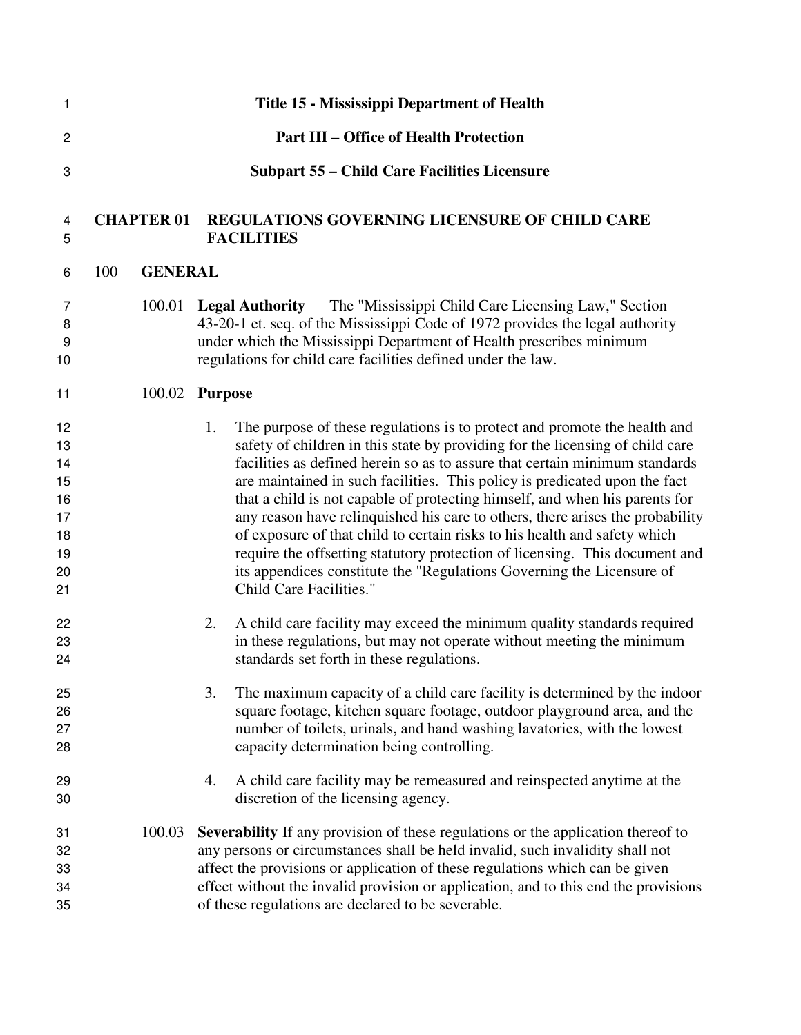| 1                                                        |     |                   | Title 15 - Mississippi Department of Health                                                                                                                                                                                                                                                                                                                                                                                                                                                                                                                                                                                                                                                                                                                          |
|----------------------------------------------------------|-----|-------------------|----------------------------------------------------------------------------------------------------------------------------------------------------------------------------------------------------------------------------------------------------------------------------------------------------------------------------------------------------------------------------------------------------------------------------------------------------------------------------------------------------------------------------------------------------------------------------------------------------------------------------------------------------------------------------------------------------------------------------------------------------------------------|
| 2                                                        |     |                   | <b>Part III – Office of Health Protection</b>                                                                                                                                                                                                                                                                                                                                                                                                                                                                                                                                                                                                                                                                                                                        |
| 3                                                        |     |                   | <b>Subpart 55 - Child Care Facilities Licensure</b>                                                                                                                                                                                                                                                                                                                                                                                                                                                                                                                                                                                                                                                                                                                  |
| 4<br>5                                                   |     | <b>CHAPTER 01</b> | <b>REGULATIONS GOVERNING LICENSURE OF CHILD CARE</b><br><b>FACILITIES</b>                                                                                                                                                                                                                                                                                                                                                                                                                                                                                                                                                                                                                                                                                            |
| 6                                                        | 100 | <b>GENERAL</b>    |                                                                                                                                                                                                                                                                                                                                                                                                                                                                                                                                                                                                                                                                                                                                                                      |
| 7<br>8<br>9<br>10                                        |     | 100.01            | The "Mississippi Child Care Licensing Law," Section<br><b>Legal Authority</b><br>43-20-1 et. seq. of the Mississippi Code of 1972 provides the legal authority<br>under which the Mississippi Department of Health prescribes minimum<br>regulations for child care facilities defined under the law.                                                                                                                                                                                                                                                                                                                                                                                                                                                                |
| 11                                                       |     | 100.02            | <b>Purpose</b>                                                                                                                                                                                                                                                                                                                                                                                                                                                                                                                                                                                                                                                                                                                                                       |
| 12<br>13<br>14<br>15<br>16<br>17<br>18<br>19<br>20<br>21 |     |                   | The purpose of these regulations is to protect and promote the health and<br>1.<br>safety of children in this state by providing for the licensing of child care<br>facilities as defined herein so as to assure that certain minimum standards<br>are maintained in such facilities. This policy is predicated upon the fact<br>that a child is not capable of protecting himself, and when his parents for<br>any reason have relinquished his care to others, there arises the probability<br>of exposure of that child to certain risks to his health and safety which<br>require the offsetting statutory protection of licensing. This document and<br>its appendices constitute the "Regulations Governing the Licensure of<br><b>Child Care Facilities."</b> |
| 22<br>23<br>24                                           |     |                   | A child care facility may exceed the minimum quality standards required<br>2.<br>in these regulations, but may not operate without meeting the minimum<br>standards set forth in these regulations.                                                                                                                                                                                                                                                                                                                                                                                                                                                                                                                                                                  |
| 25<br>26<br>27<br>28                                     |     |                   | 3.<br>The maximum capacity of a child care facility is determined by the indoor<br>square footage, kitchen square footage, outdoor playground area, and the<br>number of toilets, urinals, and hand washing lavatories, with the lowest<br>capacity determination being controlling.                                                                                                                                                                                                                                                                                                                                                                                                                                                                                 |
| 29<br>30                                                 |     |                   | A child care facility may be remeasured and reinspected anytime at the<br>4.<br>discretion of the licensing agency.                                                                                                                                                                                                                                                                                                                                                                                                                                                                                                                                                                                                                                                  |
| 31<br>32<br>33<br>34<br>35                               |     | 100.03            | Severability If any provision of these regulations or the application thereof to<br>any persons or circumstances shall be held invalid, such invalidity shall not<br>affect the provisions or application of these regulations which can be given<br>effect without the invalid provision or application, and to this end the provisions<br>of these regulations are declared to be severable.                                                                                                                                                                                                                                                                                                                                                                       |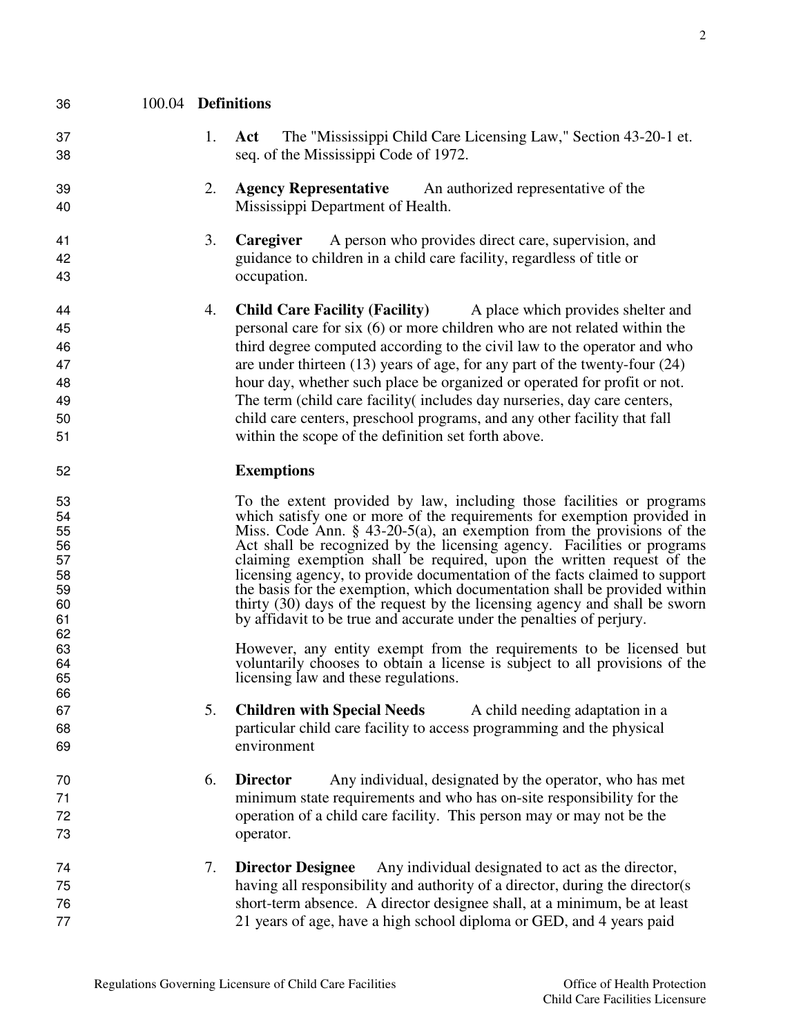| 36                                                       | 100.04 Definitions |    |                                                                                                                                                                                                                                                                                                                                                                                                                                                                                                                                                                                                                                                                                                   |
|----------------------------------------------------------|--------------------|----|---------------------------------------------------------------------------------------------------------------------------------------------------------------------------------------------------------------------------------------------------------------------------------------------------------------------------------------------------------------------------------------------------------------------------------------------------------------------------------------------------------------------------------------------------------------------------------------------------------------------------------------------------------------------------------------------------|
| 37<br>38                                                 |                    | 1. | The "Mississippi Child Care Licensing Law," Section 43-20-1 et.<br>Act<br>seq. of the Mississippi Code of 1972.                                                                                                                                                                                                                                                                                                                                                                                                                                                                                                                                                                                   |
| 39<br>40                                                 |                    | 2. | <b>Agency Representative</b> An authorized representative of the<br>Mississippi Department of Health.                                                                                                                                                                                                                                                                                                                                                                                                                                                                                                                                                                                             |
| 41<br>42<br>43                                           |                    | 3. | Caregiver<br>A person who provides direct care, supervision, and<br>guidance to children in a child care facility, regardless of title or<br>occupation.                                                                                                                                                                                                                                                                                                                                                                                                                                                                                                                                          |
| 44<br>45<br>46<br>47<br>48<br>49<br>50<br>51             |                    | 4. | <b>Child Care Facility (Facility)</b><br>A place which provides shelter and<br>personal care for six (6) or more children who are not related within the<br>third degree computed according to the civil law to the operator and who<br>are under thirteen $(13)$ years of age, for any part of the twenty-four $(24)$<br>hour day, whether such place be organized or operated for profit or not.<br>The term (child care facility(includes day nurseries, day care centers,<br>child care centers, preschool programs, and any other facility that fall<br>within the scope of the definition set forth above.                                                                                  |
| 52                                                       |                    |    | <b>Exemptions</b>                                                                                                                                                                                                                                                                                                                                                                                                                                                                                                                                                                                                                                                                                 |
| 53<br>54<br>55<br>56<br>57<br>58<br>59<br>60<br>61<br>62 |                    |    | To the extent provided by law, including those facilities or programs<br>which satisfy one or more of the requirements for exemption provided in<br>Miss. Code Ann. $\S$ 43-20-5(a), an exemption from the provisions of the<br>Act shall be recognized by the licensing agency. Facilities or programs<br>claiming exemption shall be required, upon the written request of the<br>licensing agency, to provide documentation of the facts claimed to support<br>the basis for the exemption, which documentation shall be provided within<br>thirty (30) days of the request by the licensing agency and shall be sworn<br>by affidavit to be true and accurate under the penalties of perjury. |
| 63<br>64<br>65<br>66                                     |                    |    | However, any entity exempt from the requirements to be licensed but<br>voluntarily chooses to obtain a license is subject to all provisions of the<br>licensing law and these regulations.                                                                                                                                                                                                                                                                                                                                                                                                                                                                                                        |
| 67<br>68<br>69                                           |                    | 5. | <b>Children with Special Needs</b><br>A child needing adaptation in a<br>particular child care facility to access programming and the physical<br>environment                                                                                                                                                                                                                                                                                                                                                                                                                                                                                                                                     |
| 70<br>71<br>72<br>73                                     |                    | 6. | Any individual, designated by the operator, who has met<br><b>Director</b><br>minimum state requirements and who has on-site responsibility for the<br>operation of a child care facility. This person may or may not be the<br>operator.                                                                                                                                                                                                                                                                                                                                                                                                                                                         |
| 74<br>75<br>76                                           |                    | 7. | Any individual designated to act as the director,<br><b>Director Designee</b><br>having all responsibility and authority of a director, during the director(s)<br>short-term absence. A director designee shall, at a minimum, be at least                                                                                                                                                                                                                                                                                                                                                                                                                                                        |

21 years of age, have a high school diploma or GED, and 4 years paid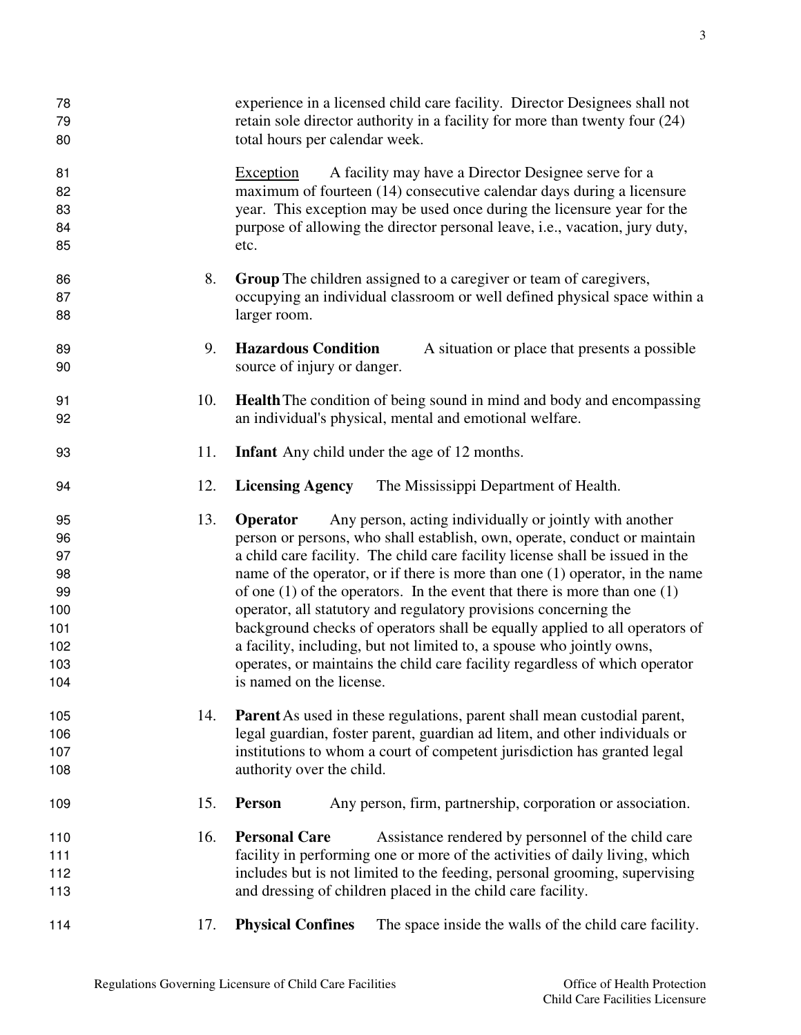| 78<br>79<br>80                                                       |            | experience in a licensed child care facility. Director Designees shall not<br>retain sole director authority in a facility for more than twenty four (24)<br>total hours per calendar week.                                                                                                                                                                                                                                                                                                                                                                                                                                                                                                                                                                                                                                    |
|----------------------------------------------------------------------|------------|--------------------------------------------------------------------------------------------------------------------------------------------------------------------------------------------------------------------------------------------------------------------------------------------------------------------------------------------------------------------------------------------------------------------------------------------------------------------------------------------------------------------------------------------------------------------------------------------------------------------------------------------------------------------------------------------------------------------------------------------------------------------------------------------------------------------------------|
| 81<br>82<br>83<br>84<br>85                                           |            | A facility may have a Director Designee serve for a<br>Exception<br>maximum of fourteen (14) consecutive calendar days during a licensure<br>year. This exception may be used once during the licensure year for the<br>purpose of allowing the director personal leave, i.e., vacation, jury duty,<br>etc.                                                                                                                                                                                                                                                                                                                                                                                                                                                                                                                    |
| 86<br>87<br>88                                                       | 8.         | <b>Group</b> The children assigned to a caregiver or team of caregivers,<br>occupying an individual classroom or well defined physical space within a<br>larger room.                                                                                                                                                                                                                                                                                                                                                                                                                                                                                                                                                                                                                                                          |
| 89<br>90                                                             | 9.         | <b>Hazardous Condition</b><br>A situation or place that presents a possible<br>source of injury or danger.                                                                                                                                                                                                                                                                                                                                                                                                                                                                                                                                                                                                                                                                                                                     |
| 91<br>92                                                             | 10.        | <b>Health</b> The condition of being sound in mind and body and encompassing<br>an individual's physical, mental and emotional welfare.                                                                                                                                                                                                                                                                                                                                                                                                                                                                                                                                                                                                                                                                                        |
| 93                                                                   | 11.        | <b>Infant</b> Any child under the age of 12 months.                                                                                                                                                                                                                                                                                                                                                                                                                                                                                                                                                                                                                                                                                                                                                                            |
| 94                                                                   | 12.        | <b>Licensing Agency</b><br>The Mississippi Department of Health.                                                                                                                                                                                                                                                                                                                                                                                                                                                                                                                                                                                                                                                                                                                                                               |
| 95<br>96<br>97<br>98<br>99<br>100<br>101<br>102<br>103<br>104<br>105 | 13.<br>14. | Any person, acting individually or jointly with another<br>Operator<br>person or persons, who shall establish, own, operate, conduct or maintain<br>a child care facility. The child care facility license shall be issued in the<br>name of the operator, or if there is more than one $(1)$ operator, in the name<br>of one $(1)$ of the operators. In the event that there is more than one $(1)$<br>operator, all statutory and regulatory provisions concerning the<br>background checks of operators shall be equally applied to all operators of<br>a facility, including, but not limited to, a spouse who jointly owns,<br>operates, or maintains the child care facility regardless of which operator<br>is named on the license.<br><b>Parent</b> As used in these regulations, parent shall mean custodial parent, |
| 106<br>107<br>108                                                    |            | legal guardian, foster parent, guardian ad litem, and other individuals or<br>institutions to whom a court of competent jurisdiction has granted legal<br>authority over the child.                                                                                                                                                                                                                                                                                                                                                                                                                                                                                                                                                                                                                                            |
| 109                                                                  | 15.        | <b>Person</b><br>Any person, firm, partnership, corporation or association.                                                                                                                                                                                                                                                                                                                                                                                                                                                                                                                                                                                                                                                                                                                                                    |
| 110<br>111<br>112<br>113                                             | 16.        | <b>Personal Care</b><br>Assistance rendered by personnel of the child care<br>facility in performing one or more of the activities of daily living, which<br>includes but is not limited to the feeding, personal grooming, supervising<br>and dressing of children placed in the child care facility.                                                                                                                                                                                                                                                                                                                                                                                                                                                                                                                         |
| 114                                                                  | 17.        | <b>Physical Confines</b><br>The space inside the walls of the child care facility.                                                                                                                                                                                                                                                                                                                                                                                                                                                                                                                                                                                                                                                                                                                                             |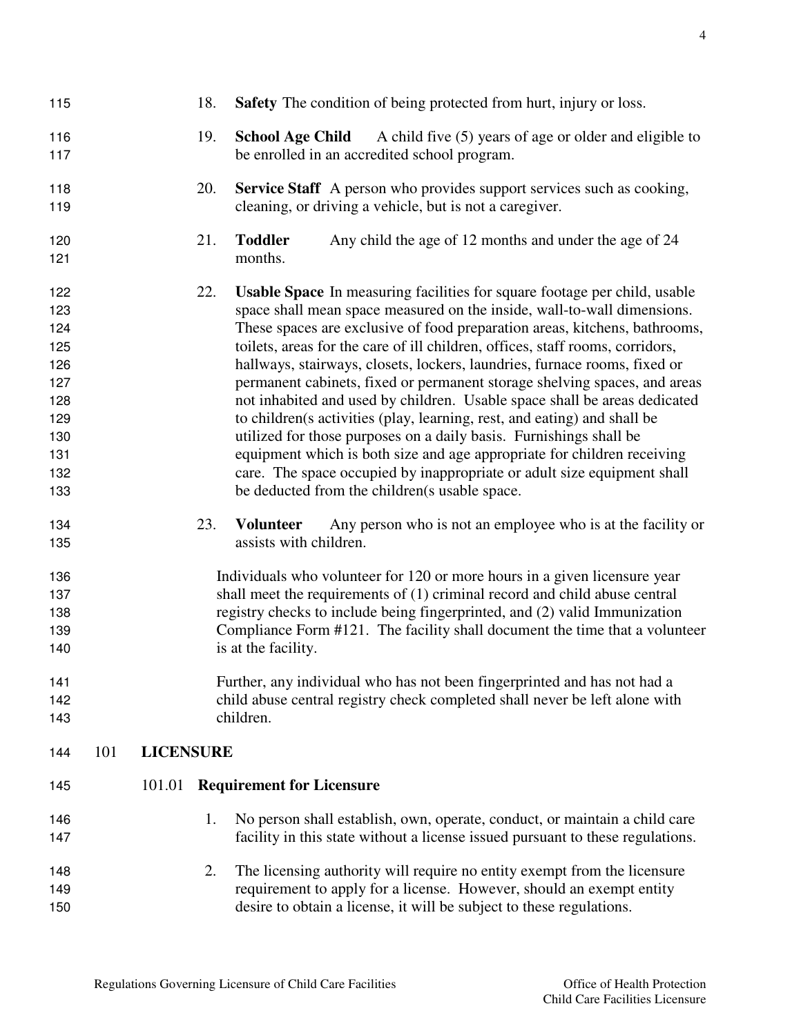| 115 |     |                  | 18. | <b>Safety</b> The condition of being protected from hurt, injury or loss.         |
|-----|-----|------------------|-----|-----------------------------------------------------------------------------------|
| 116 |     |                  | 19. | <b>School Age Child</b><br>A child five (5) years of age or older and eligible to |
| 117 |     |                  |     | be enrolled in an accredited school program.                                      |
| 118 |     |                  | 20. | <b>Service Staff</b> A person who provides support services such as cooking,      |
| 119 |     |                  |     | cleaning, or driving a vehicle, but is not a caregiver.                           |
| 120 |     |                  | 21. | <b>Toddler</b><br>Any child the age of 12 months and under the age of 24          |
| 121 |     |                  |     | months.                                                                           |
| 122 |     |                  | 22. | <b>Usable Space</b> In measuring facilities for square footage per child, usable  |
| 123 |     |                  |     | space shall mean space measured on the inside, wall-to-wall dimensions.           |
| 124 |     |                  |     | These spaces are exclusive of food preparation areas, kitchens, bathrooms,        |
| 125 |     |                  |     | toilets, areas for the care of ill children, offices, staff rooms, corridors,     |
| 126 |     |                  |     | hallways, stairways, closets, lockers, laundries, furnace rooms, fixed or         |
| 127 |     |                  |     | permanent cabinets, fixed or permanent storage shelving spaces, and areas         |
| 128 |     |                  |     | not inhabited and used by children. Usable space shall be areas dedicated         |
| 129 |     |                  |     | to children(s activities (play, learning, rest, and eating) and shall be          |
| 130 |     |                  |     | utilized for those purposes on a daily basis. Furnishings shall be                |
| 131 |     |                  |     | equipment which is both size and age appropriate for children receiving           |
| 132 |     |                  |     | care. The space occupied by inappropriate or adult size equipment shall           |
| 133 |     |                  |     | be deducted from the children(s usable space.                                     |
| 134 |     |                  | 23. | <b>Volunteer</b><br>Any person who is not an employee who is at the facility or   |
| 135 |     |                  |     | assists with children.                                                            |
| 136 |     |                  |     | Individuals who volunteer for 120 or more hours in a given licensure year         |
| 137 |     |                  |     | shall meet the requirements of (1) criminal record and child abuse central        |
| 138 |     |                  |     | registry checks to include being fingerprinted, and (2) valid Immunization        |
| 139 |     |                  |     | Compliance Form #121. The facility shall document the time that a volunteer       |
| 140 |     |                  |     | is at the facility.                                                               |
| 141 |     |                  |     | Further, any individual who has not been fingerprinted and has not had a          |
| 142 |     |                  |     | child abuse central registry check completed shall never be left alone with       |
| 143 |     |                  |     | children.                                                                         |
| 144 | 101 | <b>LICENSURE</b> |     |                                                                                   |
| 145 |     | 101.01           |     | <b>Requirement for Licensure</b>                                                  |
|     |     |                  |     |                                                                                   |
| 146 |     |                  | 1.  | No person shall establish, own, operate, conduct, or maintain a child care        |
| 147 |     |                  |     | facility in this state without a license issued pursuant to these regulations.    |
| 148 |     |                  | 2.  | The licensing authority will require no entity exempt from the licensure          |
| 149 |     |                  |     | requirement to apply for a license. However, should an exempt entity              |
| 150 |     |                  |     | desire to obtain a license, it will be subject to these regulations.              |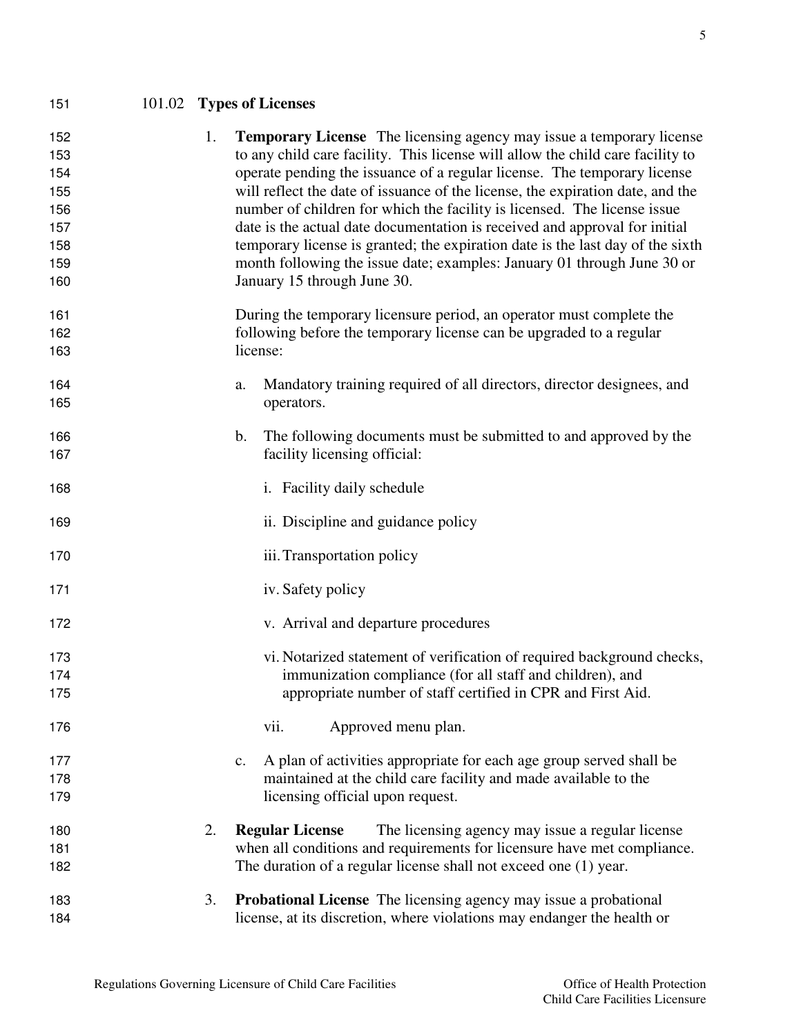# 101.02 **Types of Licenses**

| 152 | 1. | <b>Temporary License</b> The licensing agency may issue a temporary license    |
|-----|----|--------------------------------------------------------------------------------|
| 153 |    | to any child care facility. This license will allow the child care facility to |
| 154 |    | operate pending the issuance of a regular license. The temporary license       |
| 155 |    | will reflect the date of issuance of the license, the expiration date, and the |
| 156 |    | number of children for which the facility is licensed. The license issue       |
| 157 |    | date is the actual date documentation is received and approval for initial     |
| 158 |    | temporary license is granted; the expiration date is the last day of the sixth |
| 159 |    | month following the issue date; examples: January 01 through June 30 or        |
| 160 |    | January 15 through June 30.                                                    |
| 161 |    | During the temporary licensure period, an operator must complete the           |
| 162 |    | following before the temporary license can be upgraded to a regular            |
| 163 |    | license:                                                                       |
| 164 |    | Mandatory training required of all directors, director designees, and<br>a.    |
| 165 |    | operators.                                                                     |
| 166 |    | The following documents must be submitted to and approved by the<br>b.         |
| 167 |    | facility licensing official:                                                   |
| 168 |    | i. Facility daily schedule                                                     |
| 169 |    | ii. Discipline and guidance policy                                             |
| 170 |    | iii. Transportation policy                                                     |
| 171 |    | iv. Safety policy                                                              |
| 172 |    | v. Arrival and departure procedures                                            |
| 173 |    | vi. Notarized statement of verification of required background checks,         |
| 174 |    | immunization compliance (for all staff and children), and                      |
| 175 |    | appropriate number of staff certified in CPR and First Aid.                    |
| 176 |    | Approved menu plan.<br>vii.                                                    |
| 177 |    | A plan of activities appropriate for each age group served shall be<br>c.      |
| 178 |    | maintained at the child care facility and made available to the                |
| 179 |    | licensing official upon request.                                               |
| 180 | 2. | The licensing agency may issue a regular license<br><b>Regular License</b>     |
| 181 |    | when all conditions and requirements for licensure have met compliance.        |
| 182 |    | The duration of a regular license shall not exceed one (1) year.               |
| 183 | 3. | <b>Probational License</b> The licensing agency may issue a probational        |
| 184 |    | license, at its discretion, where violations may endanger the health or        |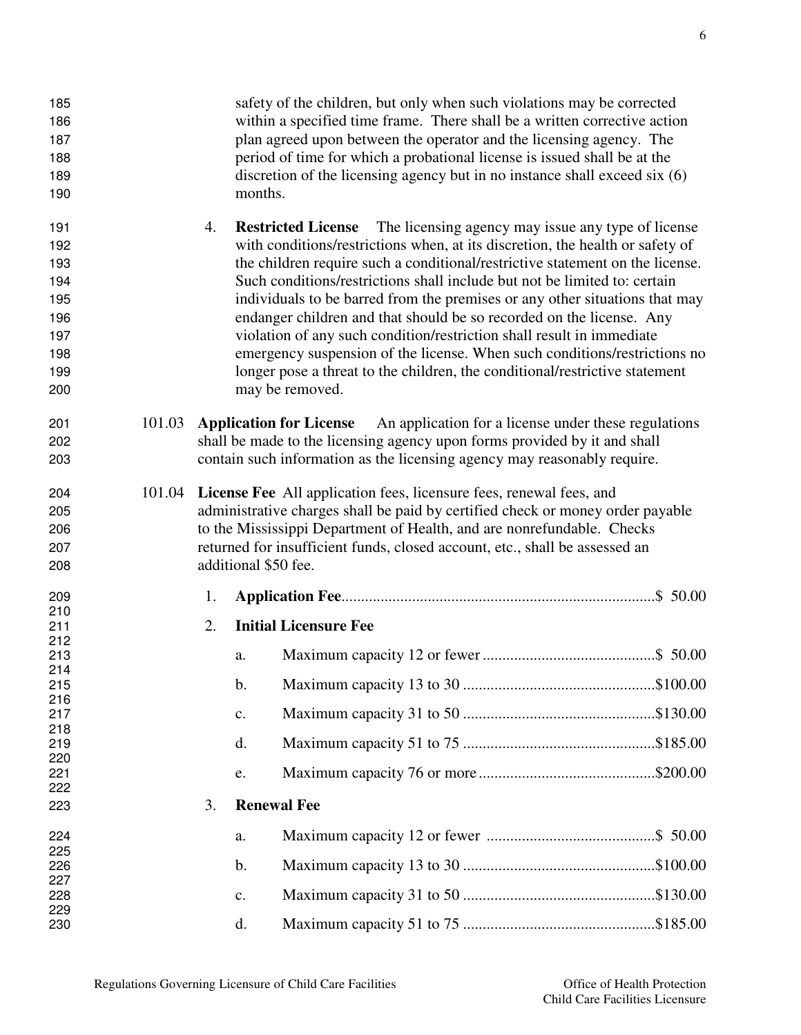| 185<br>186<br>187<br>188<br>189<br>190                             |        |    | months.              | safety of the children, but only when such violations may be corrected<br>within a specified time frame. There shall be a written corrective action<br>plan agreed upon between the operator and the licensing agency. The<br>period of time for which a probational license is issued shall be at the<br>discretion of the licensing agency but in no instance shall exceed six (6)                                                                                                                                                                                                                                                                                                                                                          |  |
|--------------------------------------------------------------------|--------|----|----------------------|-----------------------------------------------------------------------------------------------------------------------------------------------------------------------------------------------------------------------------------------------------------------------------------------------------------------------------------------------------------------------------------------------------------------------------------------------------------------------------------------------------------------------------------------------------------------------------------------------------------------------------------------------------------------------------------------------------------------------------------------------|--|
| 191<br>192<br>193<br>194<br>195<br>196<br>197<br>198<br>199<br>200 |        | 4. |                      | The licensing agency may issue any type of license<br><b>Restricted License</b><br>with conditions/restrictions when, at its discretion, the health or safety of<br>the children require such a conditional/restrictive statement on the license.<br>Such conditions/restrictions shall include but not be limited to: certain<br>individuals to be barred from the premises or any other situations that may<br>endanger children and that should be so recorded on the license. Any<br>violation of any such condition/restriction shall result in immediate<br>emergency suspension of the license. When such conditions/restrictions no<br>longer pose a threat to the children, the conditional/restrictive statement<br>may be removed. |  |
| 201<br>202<br>203                                                  | 101.03 |    |                      | An application for a license under these regulations<br><b>Application for License</b><br>shall be made to the licensing agency upon forms provided by it and shall<br>contain such information as the licensing agency may reasonably require.                                                                                                                                                                                                                                                                                                                                                                                                                                                                                               |  |
| 204<br>205<br>206<br>207<br>208                                    | 101.04 |    | additional \$50 fee. | <b>License Fee</b> All application fees, licensure fees, renewal fees, and<br>administrative charges shall be paid by certified check or money order payable<br>to the Mississippi Department of Health, and are nonrefundable. Checks<br>returned for insufficient funds, closed account, etc., shall be assessed an                                                                                                                                                                                                                                                                                                                                                                                                                         |  |
| 209                                                                |        | 1. |                      |                                                                                                                                                                                                                                                                                                                                                                                                                                                                                                                                                                                                                                                                                                                                               |  |
| 210<br>211<br>212                                                  |        | 2. |                      | <b>Initial Licensure Fee</b>                                                                                                                                                                                                                                                                                                                                                                                                                                                                                                                                                                                                                                                                                                                  |  |
| 213<br>214                                                         |        |    | a.                   |                                                                                                                                                                                                                                                                                                                                                                                                                                                                                                                                                                                                                                                                                                                                               |  |
| 215<br>216                                                         |        |    | b.                   |                                                                                                                                                                                                                                                                                                                                                                                                                                                                                                                                                                                                                                                                                                                                               |  |
| 217<br>218                                                         |        |    | $\mathbf{C}$ .       |                                                                                                                                                                                                                                                                                                                                                                                                                                                                                                                                                                                                                                                                                                                                               |  |
| 219                                                                |        |    | d.                   |                                                                                                                                                                                                                                                                                                                                                                                                                                                                                                                                                                                                                                                                                                                                               |  |
| 220<br>221                                                         |        |    | e.                   |                                                                                                                                                                                                                                                                                                                                                                                                                                                                                                                                                                                                                                                                                                                                               |  |
| 222<br>223                                                         |        | 3. |                      | <b>Renewal Fee</b>                                                                                                                                                                                                                                                                                                                                                                                                                                                                                                                                                                                                                                                                                                                            |  |
| 224                                                                |        |    | a.                   |                                                                                                                                                                                                                                                                                                                                                                                                                                                                                                                                                                                                                                                                                                                                               |  |
| 225<br>226                                                         |        |    | $\mathbf b$ .        |                                                                                                                                                                                                                                                                                                                                                                                                                                                                                                                                                                                                                                                                                                                                               |  |
| 227                                                                |        |    |                      |                                                                                                                                                                                                                                                                                                                                                                                                                                                                                                                                                                                                                                                                                                                                               |  |
| 228<br>229                                                         |        |    | c.                   |                                                                                                                                                                                                                                                                                                                                                                                                                                                                                                                                                                                                                                                                                                                                               |  |
| 230                                                                |        |    | d.                   |                                                                                                                                                                                                                                                                                                                                                                                                                                                                                                                                                                                                                                                                                                                                               |  |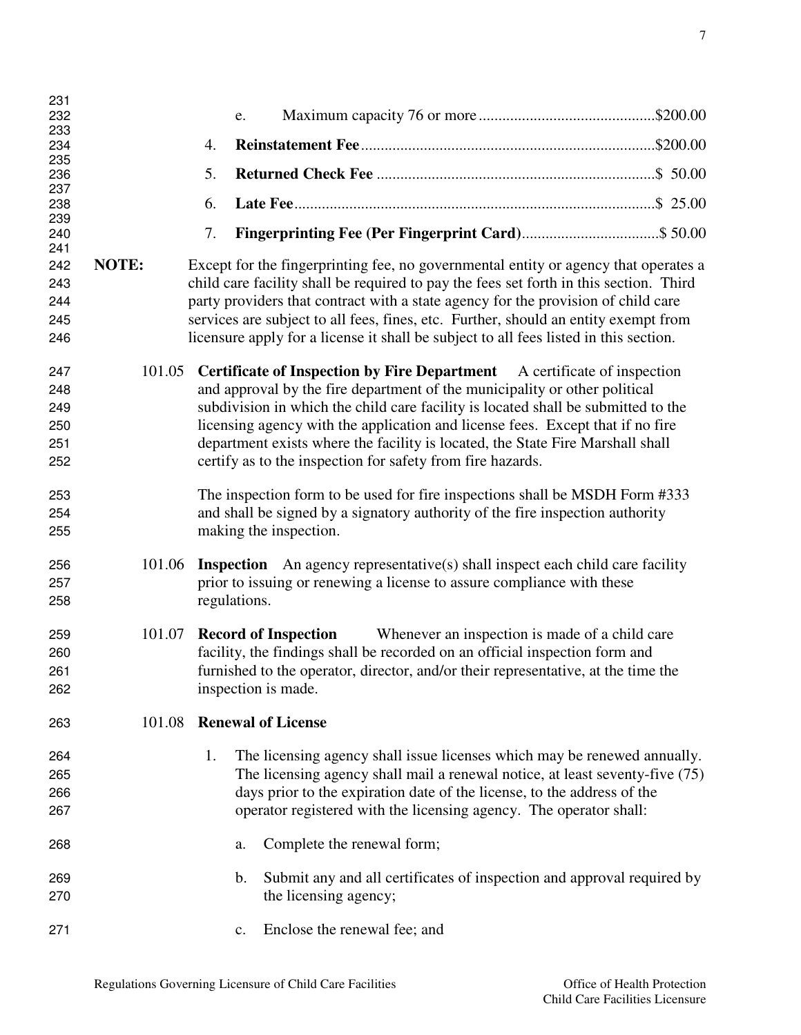| 231        |        |                                                                                         |
|------------|--------|-----------------------------------------------------------------------------------------|
| 232        |        | e.                                                                                      |
| 233        |        |                                                                                         |
| 234        |        | 4.                                                                                      |
| 235        |        |                                                                                         |
| 236        |        | 5.                                                                                      |
| 237        |        | 6.                                                                                      |
| 238<br>239 |        |                                                                                         |
| 240        |        | 7.                                                                                      |
| 241        |        |                                                                                         |
| 242        | NOTE:  | Except for the fingerprinting fee, no governmental entity or agency that operates a     |
| 243        |        | child care facility shall be required to pay the fees set forth in this section. Third  |
| 244        |        | party providers that contract with a state agency for the provision of child care       |
|            |        |                                                                                         |
| 245        |        | services are subject to all fees, fines, etc. Further, should an entity exempt from     |
| 246        |        | licensure apply for a license it shall be subject to all fees listed in this section.   |
|            |        |                                                                                         |
| 247        | 101.05 | <b>Certificate of Inspection by Fire Department</b> A certificate of inspection         |
| 248        |        | and approval by the fire department of the municipality or other political              |
| 249        |        | subdivision in which the child care facility is located shall be submitted to the       |
| 250        |        | licensing agency with the application and license fees. Except that if no fire          |
| 251        |        | department exists where the facility is located, the State Fire Marshall shall          |
| 252        |        | certify as to the inspection for safety from fire hazards.                              |
|            |        |                                                                                         |
| 253        |        | The inspection form to be used for fire inspections shall be MSDH Form #333             |
| 254        |        | and shall be signed by a signatory authority of the fire inspection authority           |
|            |        |                                                                                         |
| 255        |        | making the inspection.                                                                  |
|            | 101.06 |                                                                                         |
| 256        |        | <b>Inspection</b> An agency representative(s) shall inspect each child care facility    |
| 257        |        | prior to issuing or renewing a license to assure compliance with these                  |
| 258        |        | regulations.                                                                            |
|            |        |                                                                                         |
| 259        | 101.07 | <b>Record of Inspection</b><br>Whenever an inspection is made of a child care           |
| 260        |        | facility, the findings shall be recorded on an official inspection form and             |
| 261        |        | furnished to the operator, director, and/or their representative, at the time the       |
| 262        |        | inspection is made.                                                                     |
|            |        |                                                                                         |
| 263        | 101.08 | <b>Renewal of License</b>                                                               |
|            |        |                                                                                         |
| 264        |        | The licensing agency shall issue licenses which may be renewed annually.<br>1.          |
| 265        |        | The licensing agency shall mail a renewal notice, at least seventy-five (75)            |
| 266        |        | days prior to the expiration date of the license, to the address of the                 |
| 267        |        | operator registered with the licensing agency. The operator shall:                      |
|            |        |                                                                                         |
| 268        |        | Complete the renewal form;<br>a.                                                        |
|            |        |                                                                                         |
| 269        |        | Submit any and all certificates of inspection and approval required by<br>$\mathbf b$ . |
| 270        |        | the licensing agency;                                                                   |
|            |        |                                                                                         |
| 271        |        | Enclose the renewal fee; and<br>$\mathbf{c}$ .                                          |
|            |        |                                                                                         |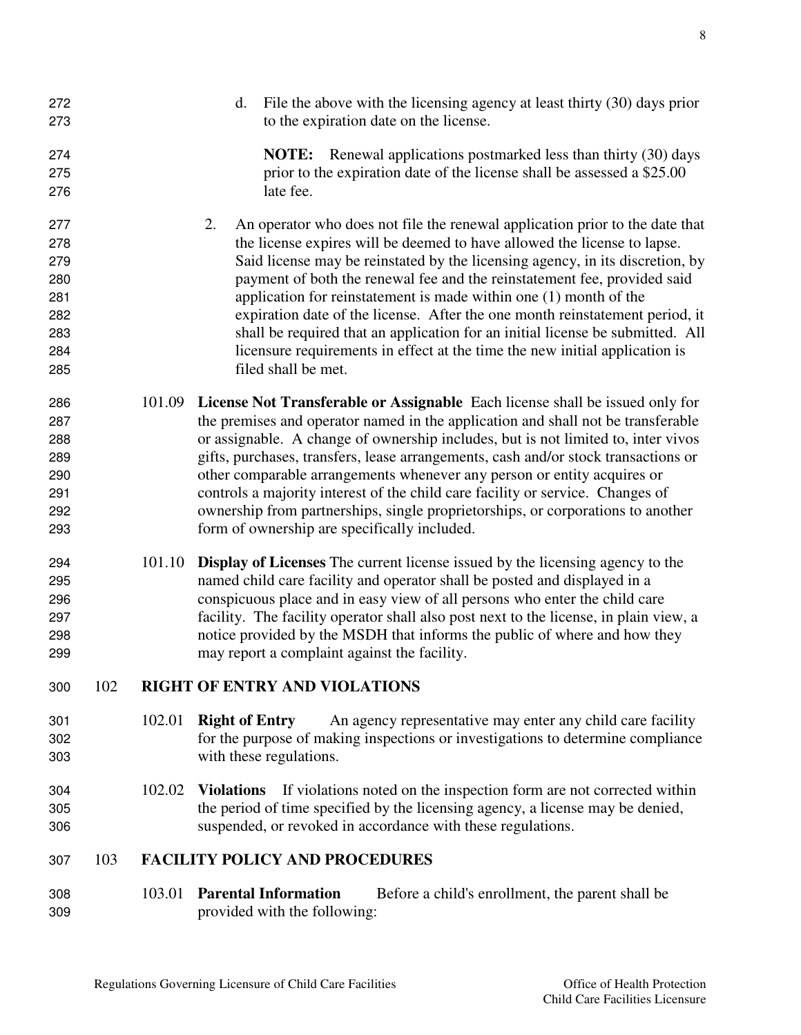d. File the above with the licensing agency at least thirty (30) days prior to the expiration date on the license. **NOTE:** Renewal applications postmarked less than thirty (30) days prior to the expiration date of the license shall be assessed a \$25.00 late fee. 2. An operator who does not file the renewal application prior to the date that the license expires will be deemed to have allowed the license to lapse. Said license may be reinstated by the licensing agency, in its discretion, by payment of both the renewal fee and the reinstatement fee, provided said application for reinstatement is made within one (1) month of the expiration date of the license. After the one month reinstatement period, it shall be required that an application for an initial license be submitted. All licensure requirements in effect at the time the new initial application is filed shall be met. 101.09 **License Not Transferable or Assignable** Each license shall be issued only for the premises and operator named in the application and shall not be transferable or assignable. A change of ownership includes, but is not limited to, inter vivos gifts, purchases, transfers, lease arrangements, cash and/or stock transactions or other comparable arrangements whenever any person or entity acquires or controls a majority interest of the child care facility or service. Changes of ownership from partnerships, single proprietorships, or corporations to another form of ownership are specifically included. 101.10 **Display of Licenses** The current license issued by the licensing agency to the named child care facility and operator shall be posted and displayed in a conspicuous place and in easy view of all persons who enter the child care facility. The facility operator shall also post next to the license, in plain view, a notice provided by the MSDH that informs the public of where and how they may report a complaint against the facility. 102 **RIGHT OF ENTRY AND VIOLATIONS**  102.01 **Right of Entry** An agency representative may enter any child care facility for the purpose of making inspections or investigations to determine compliance with these regulations. 102.02 **Violations** If violations noted on the inspection form are not corrected within the period of time specified by the licensing agency, a license may be denied, suspended, or revoked in accordance with these regulations. 103 **FACILITY POLICY AND PROCEDURES**  103.01 **Parental Information** Before a child's enrollment, the parent shall be provided with the following: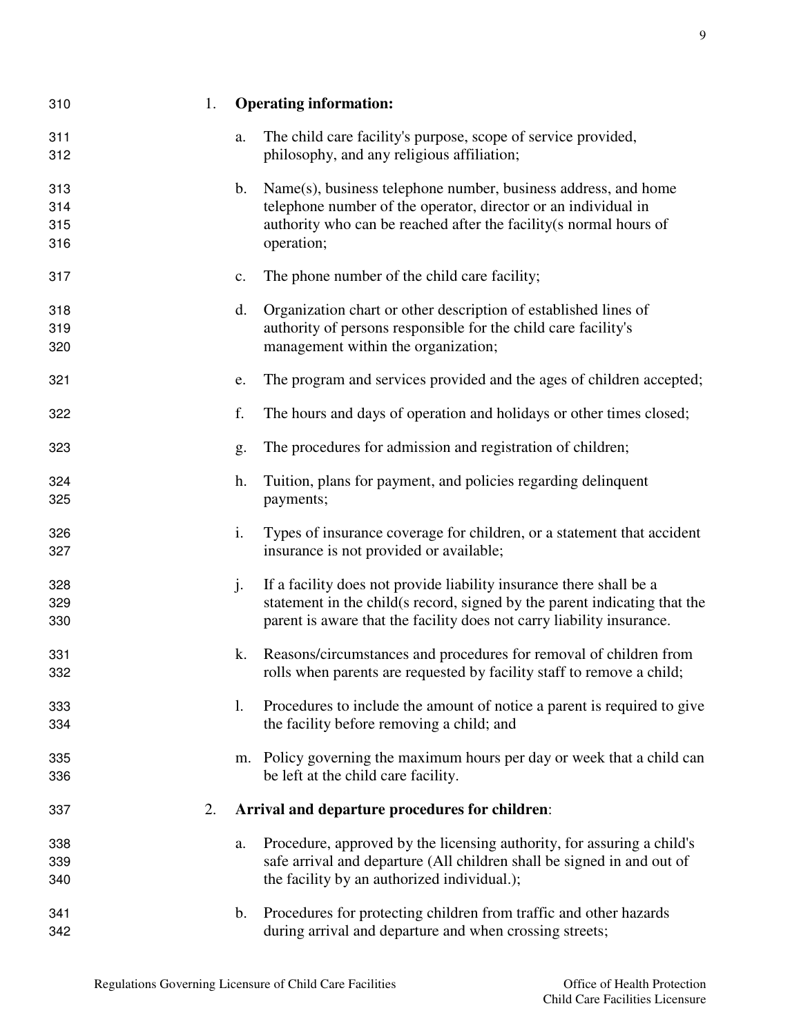| 310                      | 1. |                | <b>Operating information:</b>                                                                                                                                                                                             |
|--------------------------|----|----------------|---------------------------------------------------------------------------------------------------------------------------------------------------------------------------------------------------------------------------|
| 311<br>312               |    | a.             | The child care facility's purpose, scope of service provided,<br>philosophy, and any religious affiliation;                                                                                                               |
| 313<br>314<br>315<br>316 |    | $\mathbf{b}$ . | Name(s), business telephone number, business address, and home<br>telephone number of the operator, director or an individual in<br>authority who can be reached after the facility(s normal hours of<br>operation;       |
| 317                      |    | c.             | The phone number of the child care facility;                                                                                                                                                                              |
| 318<br>319<br>320        |    | d.             | Organization chart or other description of established lines of<br>authority of persons responsible for the child care facility's<br>management within the organization;                                                  |
| 321                      |    | e.             | The program and services provided and the ages of children accepted;                                                                                                                                                      |
| 322                      |    | f.             | The hours and days of operation and holidays or other times closed;                                                                                                                                                       |
| 323                      |    | g.             | The procedures for admission and registration of children;                                                                                                                                                                |
| 324<br>325               |    | h.             | Tuition, plans for payment, and policies regarding delinquent<br>payments;                                                                                                                                                |
| 326<br>327               |    | i.             | Types of insurance coverage for children, or a statement that accident<br>insurance is not provided or available;                                                                                                         |
| 328<br>329<br>330        |    | j.             | If a facility does not provide liability insurance there shall be a<br>statement in the child(s record, signed by the parent indicating that the<br>parent is aware that the facility does not carry liability insurance. |
| 331<br>332               |    | k.             | Reasons/circumstances and procedures for removal of children from<br>rolls when parents are requested by facility staff to remove a child;                                                                                |
| 333<br>334               |    | 1.             | Procedures to include the amount of notice a parent is required to give<br>the facility before removing a child; and                                                                                                      |
| 335<br>336               |    | m.             | Policy governing the maximum hours per day or week that a child can<br>be left at the child care facility.                                                                                                                |
| 337                      | 2. |                | Arrival and departure procedures for children:                                                                                                                                                                            |
| 338<br>339<br>340        |    | a.             | Procedure, approved by the licensing authority, for assuring a child's<br>safe arrival and departure (All children shall be signed in and out of<br>the facility by an authorized individual.);                           |
| 341<br>342               |    | $\mathbf{b}$ . | Procedures for protecting children from traffic and other hazards<br>during arrival and departure and when crossing streets;                                                                                              |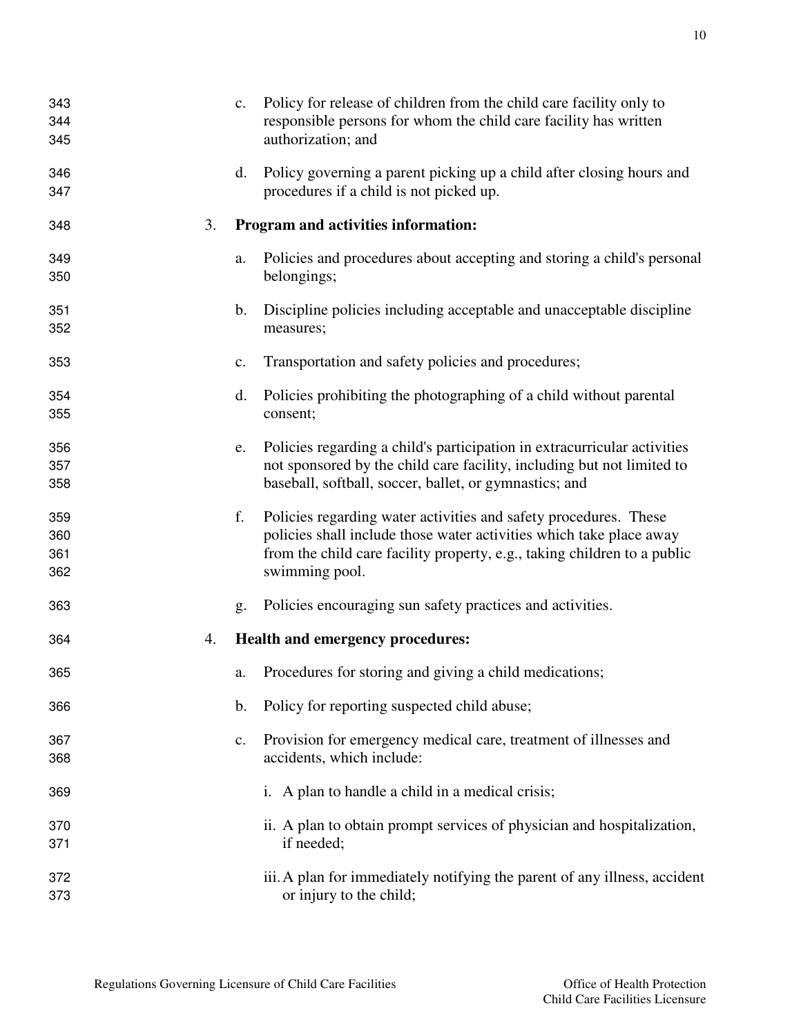| 343        |    | c.             | Policy for release of children from the child care facility only to                                                                             |
|------------|----|----------------|-------------------------------------------------------------------------------------------------------------------------------------------------|
| 344<br>345 |    |                | responsible persons for whom the child care facility has written<br>authorization; and                                                          |
| 346        |    | d.             | Policy governing a parent picking up a child after closing hours and                                                                            |
| 347        |    |                | procedures if a child is not picked up.                                                                                                         |
| 348        | 3. |                | Program and activities information:                                                                                                             |
| 349        |    | a.             | Policies and procedures about accepting and storing a child's personal                                                                          |
| 350        |    |                | belongings;                                                                                                                                     |
| 351<br>352 |    | b.             | Discipline policies including acceptable and unacceptable discipline<br>measures;                                                               |
| 353        |    | $\mathbf{c}$ . | Transportation and safety policies and procedures;                                                                                              |
|            |    |                |                                                                                                                                                 |
| 354<br>355 |    | d.             | Policies prohibiting the photographing of a child without parental<br>consent;                                                                  |
| 356        |    | e.             | Policies regarding a child's participation in extracurricular activities                                                                        |
| 357        |    |                | not sponsored by the child care facility, including but not limited to                                                                          |
| 358        |    |                | baseball, softball, soccer, ballet, or gymnastics; and                                                                                          |
| 359        |    | f.             | Policies regarding water activities and safety procedures. These                                                                                |
| 360<br>361 |    |                | policies shall include those water activities which take place away<br>from the child care facility property, e.g., taking children to a public |
| 362        |    |                | swimming pool.                                                                                                                                  |
| 363        |    | g.             | Policies encouraging sun safety practices and activities.                                                                                       |
| 364        | 4. |                | Health and emergency procedures:                                                                                                                |
| 365        |    | a.             | Procedures for storing and giving a child medications;                                                                                          |
| 366        |    | b.             | Policy for reporting suspected child abuse;                                                                                                     |
| 367        |    | c.             | Provision for emergency medical care, treatment of illnesses and                                                                                |
| 368        |    |                | accidents, which include:                                                                                                                       |
| 369        |    |                | i. A plan to handle a child in a medical crisis;                                                                                                |
| 370        |    |                | ii. A plan to obtain prompt services of physician and hospitalization,                                                                          |
| 371        |    |                | if needed;                                                                                                                                      |
| 372        |    |                | iii. A plan for immediately notifying the parent of any illness, accident                                                                       |
| 373        |    |                | or injury to the child;                                                                                                                         |
|            |    |                |                                                                                                                                                 |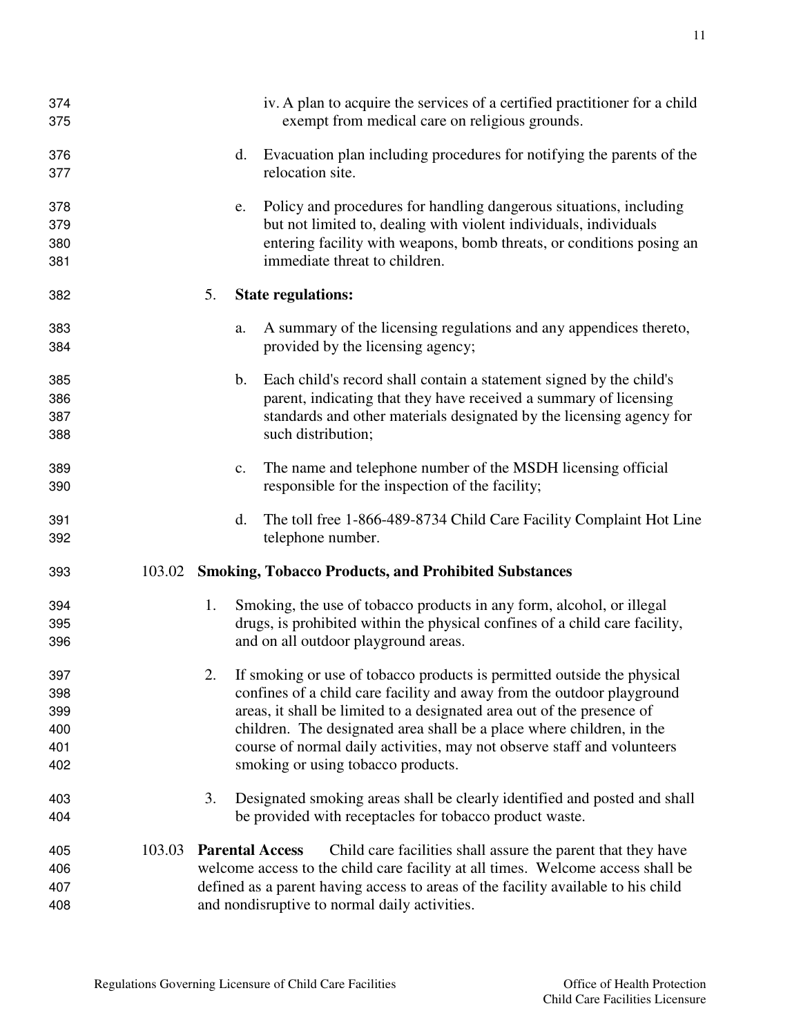| 374<br>375                             |        |    |                | iv. A plan to acquire the services of a certified practitioner for a child<br>exempt from medical care on religious grounds.                                                                                                                                                                                                                                                                                          |
|----------------------------------------|--------|----|----------------|-----------------------------------------------------------------------------------------------------------------------------------------------------------------------------------------------------------------------------------------------------------------------------------------------------------------------------------------------------------------------------------------------------------------------|
| 376<br>377                             |        |    | d.             | Evacuation plan including procedures for notifying the parents of the<br>relocation site.                                                                                                                                                                                                                                                                                                                             |
| 378<br>379<br>380<br>381               |        |    | e.             | Policy and procedures for handling dangerous situations, including<br>but not limited to, dealing with violent individuals, individuals<br>entering facility with weapons, bomb threats, or conditions posing an<br>immediate threat to children.                                                                                                                                                                     |
| 382                                    |        | 5. |                | <b>State regulations:</b>                                                                                                                                                                                                                                                                                                                                                                                             |
| 383<br>384                             |        |    | a.             | A summary of the licensing regulations and any appendices thereto,<br>provided by the licensing agency;                                                                                                                                                                                                                                                                                                               |
| 385<br>386<br>387<br>388               |        |    | $\mathbf{b}$ . | Each child's record shall contain a statement signed by the child's<br>parent, indicating that they have received a summary of licensing<br>standards and other materials designated by the licensing agency for<br>such distribution;                                                                                                                                                                                |
| 389<br>390                             |        |    | c.             | The name and telephone number of the MSDH licensing official<br>responsible for the inspection of the facility;                                                                                                                                                                                                                                                                                                       |
| 391<br>392                             |        |    | d.             | The toll free 1-866-489-8734 Child Care Facility Complaint Hot Line<br>telephone number.                                                                                                                                                                                                                                                                                                                              |
| 393                                    | 103.02 |    |                | <b>Smoking, Tobacco Products, and Prohibited Substances</b>                                                                                                                                                                                                                                                                                                                                                           |
| 394<br>395<br>396                      |        | 1. |                | Smoking, the use of tobacco products in any form, alcohol, or illegal<br>drugs, is prohibited within the physical confines of a child care facility,<br>and on all outdoor playground areas.                                                                                                                                                                                                                          |
| 397<br>398<br>399<br>400<br>401<br>402 |        |    |                | If smoking or use of tobacco products is permitted outside the physical<br>confines of a child care facility and away from the outdoor playground<br>areas, it shall be limited to a designated area out of the presence of<br>children. The designated area shall be a place where children, in the<br>course of normal daily activities, may not observe staff and volunteers<br>smoking or using tobacco products. |
| 403<br>404                             |        | 3. |                | Designated smoking areas shall be clearly identified and posted and shall<br>be provided with receptacles for tobacco product waste.                                                                                                                                                                                                                                                                                  |
| 405<br>406<br>407<br>408               | 103.03 |    |                | <b>Parental Access</b><br>Child care facilities shall assure the parent that they have<br>welcome access to the child care facility at all times. Welcome access shall be<br>defined as a parent having access to areas of the facility available to his child<br>and nondisruptive to normal daily activities.                                                                                                       |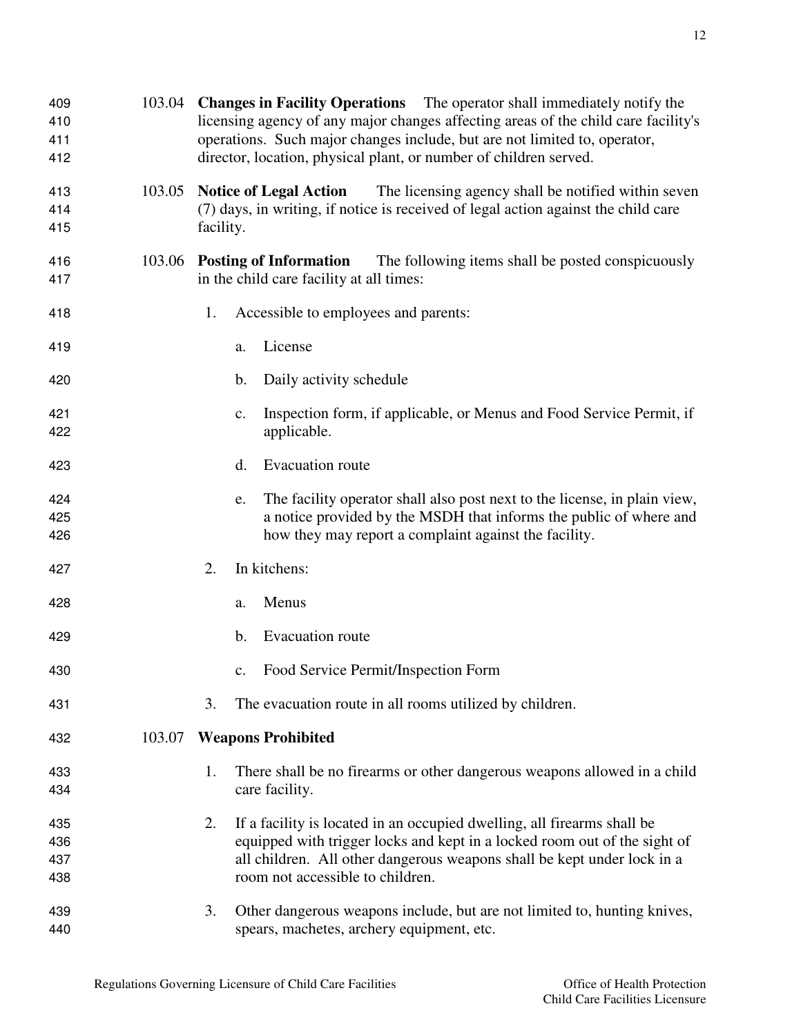- 103.05 **Notice of Legal Action** The licensing agency shall be notified within seven (7) days, in writing, if notice is received of legal action against the child care facility.
- 103.06 **Posting of Information** The following items shall be posted conspicuously in the child care facility at all times:
- 1. Accessible to employees and parents:

director, location, physical plant, or number of children served.

- a. License
- b. Daily activity schedule
- c. Inspection form, if applicable, or Menus and Food Service Permit, if applicable.
- d. Evacuation route
- e. The facility operator shall also post next to the license, in plain view, a notice provided by the MSDH that informs the public of where and how they may report a complaint against the facility.
- 2. In kitchens:
- a. Menus
- b. Evacuation route
- c. Food Service Permit/Inspection Form
- 3. The evacuation route in all rooms utilized by children.
- 103.07 **Weapons Prohibited**
- 1. There shall be no firearms or other dangerous weapons allowed in a child care facility.
- 2. If a facility is located in an occupied dwelling, all firearms shall be equipped with trigger locks and kept in a locked room out of the sight of all children. All other dangerous weapons shall be kept under lock in a room not accessible to children.
- 3. Other dangerous weapons include, but are not limited to, hunting knives, spears, machetes, archery equipment, etc.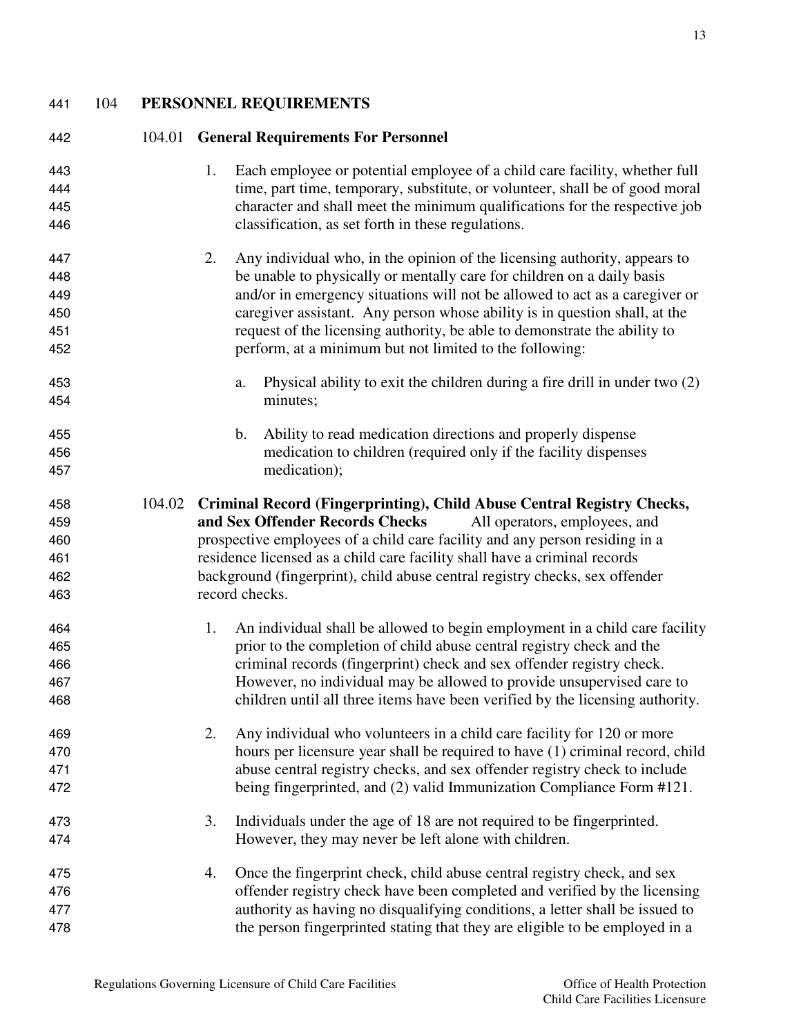104 **PERSONNEL REQUIREMENTS** 

| 442        |        | 104.01 General Requirements For Personnel                                                                                                                        |
|------------|--------|------------------------------------------------------------------------------------------------------------------------------------------------------------------|
| 443<br>444 |        | Each employee or potential employee of a child care facility, whether full<br>1.<br>time, part time, temporary, substitute, or volunteer, shall be of good moral |
| 445<br>446 |        | character and shall meet the minimum qualifications for the respective job<br>classification, as set forth in these regulations.                                 |
| 447        |        | 2.<br>Any individual who, in the opinion of the licensing authority, appears to                                                                                  |
| 448        |        | be unable to physically or mentally care for children on a daily basis                                                                                           |
| 449        |        | and/or in emergency situations will not be allowed to act as a caregiver or                                                                                      |
| 450        |        | caregiver assistant. Any person whose ability is in question shall, at the                                                                                       |
| 451<br>452 |        | request of the licensing authority, be able to demonstrate the ability to<br>perform, at a minimum but not limited to the following:                             |
| 453<br>454 |        | Physical ability to exit the children during a fire drill in under two $(2)$<br>a.<br>minutes;                                                                   |
| 455        |        | Ability to read medication directions and properly dispense<br>$\mathbf{b}$ .                                                                                    |
| 456        |        | medication to children (required only if the facility dispenses                                                                                                  |
| 457        |        | medication);                                                                                                                                                     |
| 458        | 104.02 | Criminal Record (Fingerprinting), Child Abuse Central Registry Checks,                                                                                           |
| 459        |        | and Sex Offender Records Checks<br>All operators, employees, and                                                                                                 |
| 460        |        | prospective employees of a child care facility and any person residing in a                                                                                      |
| 461        |        | residence licensed as a child care facility shall have a criminal records                                                                                        |
| 462        |        | background (fingerprint), child abuse central registry checks, sex offender                                                                                      |
| 463        |        | record checks.                                                                                                                                                   |
| 464        |        | An individual shall be allowed to begin employment in a child care facility<br>1.                                                                                |
| 465        |        | prior to the completion of child abuse central registry check and the                                                                                            |
| 466        |        | criminal records (fingerprint) check and sex offender registry check.                                                                                            |
| 467        |        | However, no individual may be allowed to provide unsupervised care to                                                                                            |
| 468        |        | children until all three items have been verified by the licensing authority.                                                                                    |
| 469        |        | 2.<br>Any individual who volunteers in a child care facility for 120 or more                                                                                     |
| 470        |        | hours per licensure year shall be required to have (1) criminal record, child                                                                                    |
| 471        |        | abuse central registry checks, and sex offender registry check to include                                                                                        |
| 472        |        | being fingerprinted, and (2) valid Immunization Compliance Form #121.                                                                                            |
| 473        |        | Individuals under the age of 18 are not required to be fingerprinted.<br>3.                                                                                      |
| 474        |        | However, they may never be left alone with children.                                                                                                             |
| 475        |        | Once the fingerprint check, child abuse central registry check, and sex<br>4.                                                                                    |
| 476        |        | offender registry check have been completed and verified by the licensing                                                                                        |
| 477        |        | authority as having no disqualifying conditions, a letter shall be issued to                                                                                     |
| 478        |        | the person fingerprinted stating that they are eligible to be employed in a                                                                                      |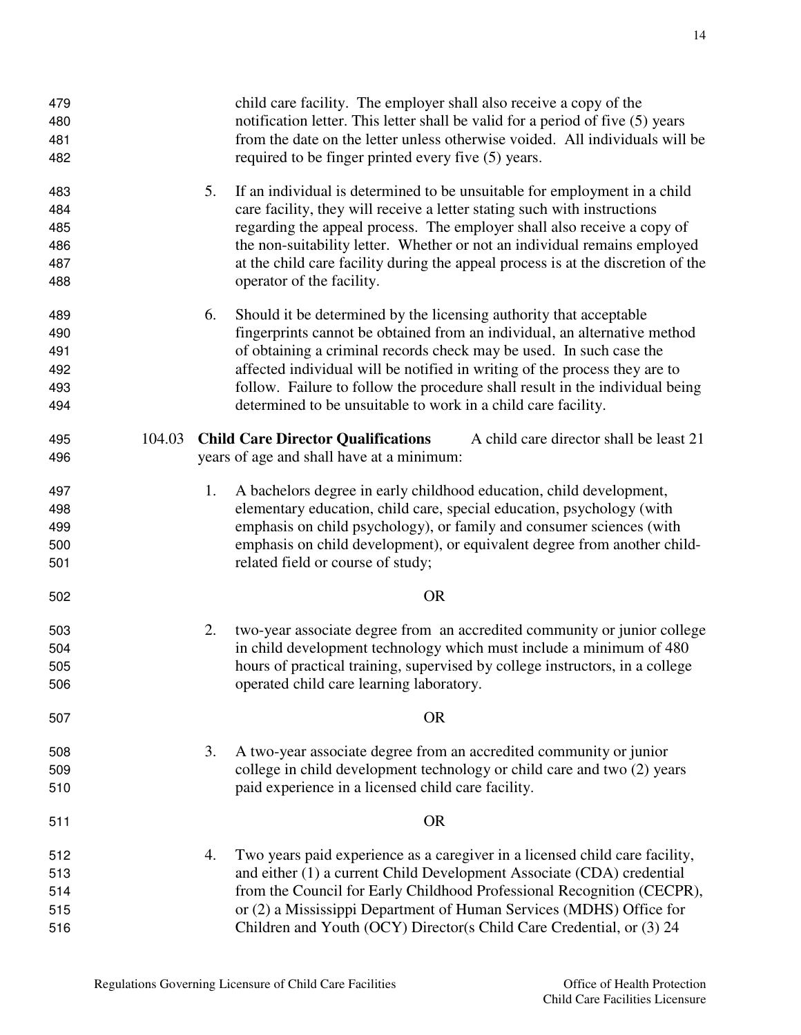| 479<br>480<br>481<br>482 |        |    | child care facility. The employer shall also receive a copy of the<br>notification letter. This letter shall be valid for a period of five (5) years<br>from the date on the letter unless otherwise voided. All individuals will be<br>required to be finger printed every five (5) years. |
|--------------------------|--------|----|---------------------------------------------------------------------------------------------------------------------------------------------------------------------------------------------------------------------------------------------------------------------------------------------|
| 483<br>484               |        | 5. | If an individual is determined to be unsuitable for employment in a child<br>care facility, they will receive a letter stating such with instructions                                                                                                                                       |
| 485                      |        |    | regarding the appeal process. The employer shall also receive a copy of                                                                                                                                                                                                                     |
| 486                      |        |    | the non-suitability letter. Whether or not an individual remains employed                                                                                                                                                                                                                   |
| 487                      |        |    | at the child care facility during the appeal process is at the discretion of the                                                                                                                                                                                                            |
| 488                      |        |    | operator of the facility.                                                                                                                                                                                                                                                                   |
| 489                      |        | 6. | Should it be determined by the licensing authority that acceptable                                                                                                                                                                                                                          |
| 490                      |        |    | fingerprints cannot be obtained from an individual, an alternative method                                                                                                                                                                                                                   |
| 491                      |        |    | of obtaining a criminal records check may be used. In such case the                                                                                                                                                                                                                         |
| 492                      |        |    | affected individual will be notified in writing of the process they are to                                                                                                                                                                                                                  |
| 493                      |        |    | follow. Failure to follow the procedure shall result in the individual being                                                                                                                                                                                                                |
| 494                      |        |    | determined to be unsuitable to work in a child care facility.                                                                                                                                                                                                                               |
| 495                      | 104.03 |    | <b>Child Care Director Qualifications</b><br>A child care director shall be least 21                                                                                                                                                                                                        |
| 496                      |        |    | years of age and shall have at a minimum:                                                                                                                                                                                                                                                   |
| 497                      |        | 1. | A bachelors degree in early childhood education, child development,                                                                                                                                                                                                                         |
| 498                      |        |    | elementary education, child care, special education, psychology (with                                                                                                                                                                                                                       |
| 499                      |        |    | emphasis on child psychology), or family and consumer sciences (with                                                                                                                                                                                                                        |
| 500                      |        |    | emphasis on child development), or equivalent degree from another child-                                                                                                                                                                                                                    |
| 501                      |        |    | related field or course of study;                                                                                                                                                                                                                                                           |
| 502                      |        |    | <b>OR</b>                                                                                                                                                                                                                                                                                   |
| 503                      |        | 2. | two-year associate degree from an accredited community or junior college                                                                                                                                                                                                                    |
| 504                      |        |    | in child development technology which must include a minimum of 480                                                                                                                                                                                                                         |
| 505                      |        |    | hours of practical training, supervised by college instructors, in a college                                                                                                                                                                                                                |
| 506                      |        |    | operated child care learning laboratory.                                                                                                                                                                                                                                                    |
| 507                      |        |    | <b>OR</b>                                                                                                                                                                                                                                                                                   |
| 508                      |        | 3. | A two-year associate degree from an accredited community or junior                                                                                                                                                                                                                          |
| 509                      |        |    | college in child development technology or child care and two (2) years                                                                                                                                                                                                                     |
| 510                      |        |    | paid experience in a licensed child care facility.                                                                                                                                                                                                                                          |
| 511                      |        |    | <b>OR</b>                                                                                                                                                                                                                                                                                   |
| 512                      |        | 4. | Two years paid experience as a caregiver in a licensed child care facility,                                                                                                                                                                                                                 |
| 513                      |        |    | and either (1) a current Child Development Associate (CDA) credential                                                                                                                                                                                                                       |
| 514                      |        |    | from the Council for Early Childhood Professional Recognition (CECPR),                                                                                                                                                                                                                      |
| 515                      |        |    | or (2) a Mississippi Department of Human Services (MDHS) Office for                                                                                                                                                                                                                         |
| 516                      |        |    | Children and Youth (OCY) Director(s Child Care Credential, or (3) 24                                                                                                                                                                                                                        |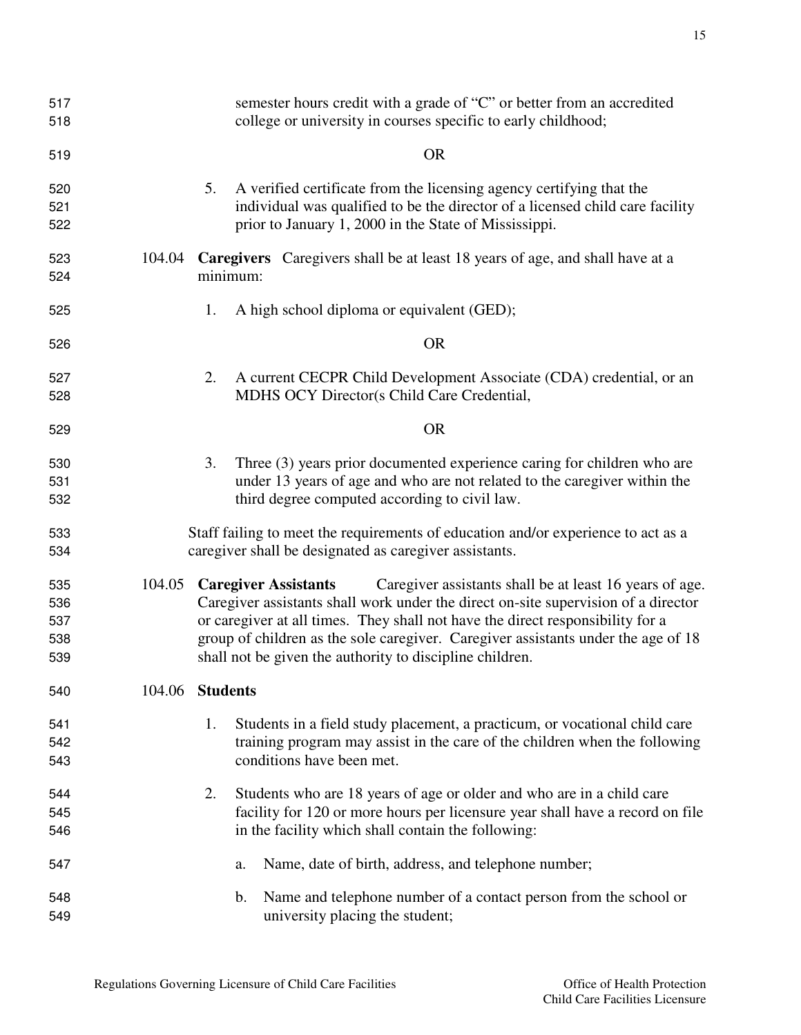| 517 |    | semester hours credit with a grade of "C" or better from an accredited        |
|-----|----|-------------------------------------------------------------------------------|
| 518 |    | college or university in courses specific to early childhood;                 |
| 519 |    | OR                                                                            |
| 520 | 5. | A verified certificate from the licensing agency certifying that the          |
| 521 |    | individual was qualified to be the director of a licensed child care facility |
| 522 |    | prior to January 1, 2000 in the State of Mississippi.                         |

- 104.04 **Caregivers** Caregivers shall be at least 18 years of age, and shall have at a minimum:
- 1. A high school diploma or equivalent (GED);

OR

- 2. A current CECPR Child Development Associate (CDA) credential, or an MDHS OCY Director(s Child Care Credential,
- OR
- 3. Three (3) years prior documented experience caring for children who are under 13 years of age and who are not related to the caregiver within the third degree computed according to civil law.
- Staff failing to meet the requirements of education and/or experience to act as a caregiver shall be designated as caregiver assistants.
- 104.05 **Caregiver Assistants** Caregiver assistants shall be at least 16 years of age. Caregiver assistants shall work under the direct on-site supervision of a director or caregiver at all times. They shall not have the direct responsibility for a group of children as the sole caregiver. Caregiver assistants under the age of 18 shall not be given the authority to discipline children.
- 104.06 **Students**
- 1. Students in a field study placement, a practicum, or vocational child care training program may assist in the care of the children when the following conditions have been met.
- 2. Students who are 18 years of age or older and who are in a child care facility for 120 or more hours per licensure year shall have a record on file in the facility which shall contain the following:
- a. Name, date of birth, address, and telephone number;
- b. Name and telephone number of a contact person from the school or university placing the student;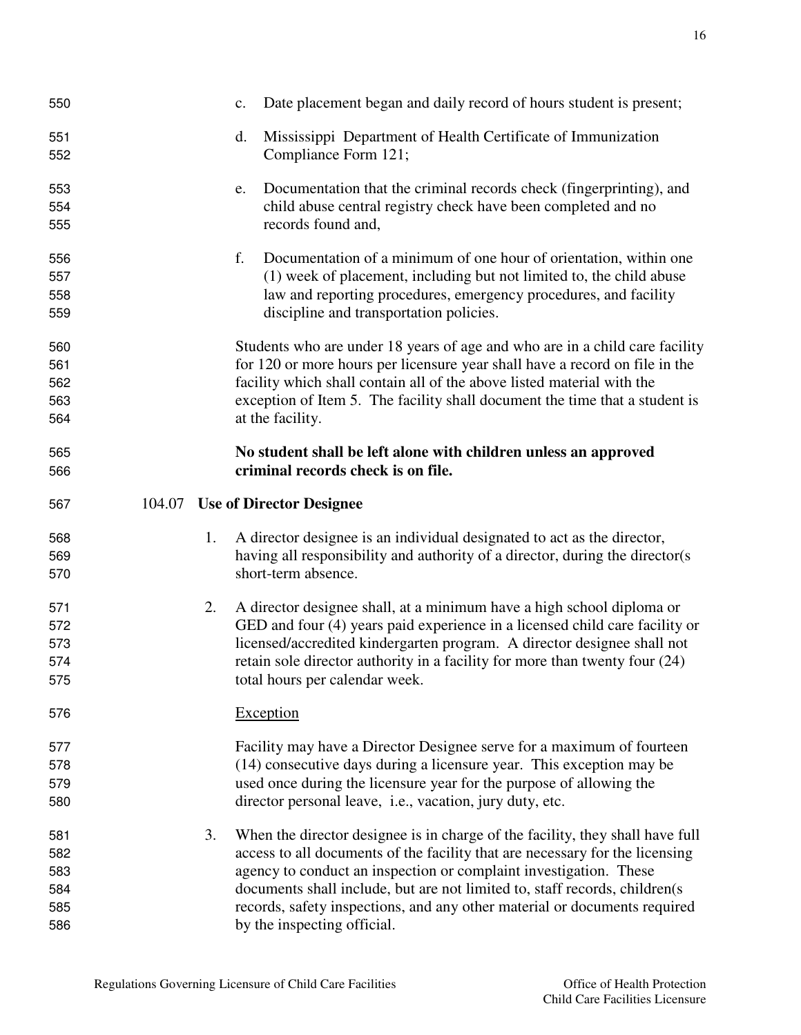| 550                                    |        |    | Date placement began and daily record of hours student is present;<br>c.                                                                                                                                                                                                                                                                                                                                                     |
|----------------------------------------|--------|----|------------------------------------------------------------------------------------------------------------------------------------------------------------------------------------------------------------------------------------------------------------------------------------------------------------------------------------------------------------------------------------------------------------------------------|
| 551<br>552                             |        |    | Mississippi Department of Health Certificate of Immunization<br>d.<br>Compliance Form 121;                                                                                                                                                                                                                                                                                                                                   |
| 553<br>554<br>555                      |        |    | Documentation that the criminal records check (fingerprinting), and<br>e.<br>child abuse central registry check have been completed and no<br>records found and,                                                                                                                                                                                                                                                             |
| 556<br>557<br>558<br>559               |        |    | f.<br>Documentation of a minimum of one hour of orientation, within one<br>(1) week of placement, including but not limited to, the child abuse<br>law and reporting procedures, emergency procedures, and facility<br>discipline and transportation policies.                                                                                                                                                               |
| 560<br>561<br>562<br>563<br>564        |        |    | Students who are under 18 years of age and who are in a child care facility<br>for 120 or more hours per licensure year shall have a record on file in the<br>facility which shall contain all of the above listed material with the<br>exception of Item 5. The facility shall document the time that a student is<br>at the facility.                                                                                      |
| 565<br>566                             |        |    | No student shall be left alone with children unless an approved<br>criminal records check is on file.                                                                                                                                                                                                                                                                                                                        |
|                                        |        |    |                                                                                                                                                                                                                                                                                                                                                                                                                              |
| 567                                    | 104.07 |    | <b>Use of Director Designee</b>                                                                                                                                                                                                                                                                                                                                                                                              |
| 568<br>569<br>570                      |        | 1. | A director designee is an individual designated to act as the director,<br>having all responsibility and authority of a director, during the director(s)<br>short-term absence.                                                                                                                                                                                                                                              |
| 571<br>572<br>573<br>574<br>575        |        | 2. | A director designee shall, at a minimum have a high school diploma or<br>GED and four (4) years paid experience in a licensed child care facility or<br>licensed/accredited kindergarten program. A director designee shall not<br>retain sole director authority in a facility for more than twenty four (24)<br>total hours per calendar week.                                                                             |
| 576                                    |        |    | Exception                                                                                                                                                                                                                                                                                                                                                                                                                    |
| 577<br>578<br>579<br>580               |        |    | Facility may have a Director Designee serve for a maximum of fourteen<br>(14) consecutive days during a licensure year. This exception may be<br>used once during the licensure year for the purpose of allowing the<br>director personal leave, i.e., vacation, jury duty, etc.                                                                                                                                             |
| 581<br>582<br>583<br>584<br>585<br>586 |        | 3. | When the director designee is in charge of the facility, they shall have full<br>access to all documents of the facility that are necessary for the licensing<br>agency to conduct an inspection or complaint investigation. These<br>documents shall include, but are not limited to, staff records, children(s<br>records, safety inspections, and any other material or documents required<br>by the inspecting official. |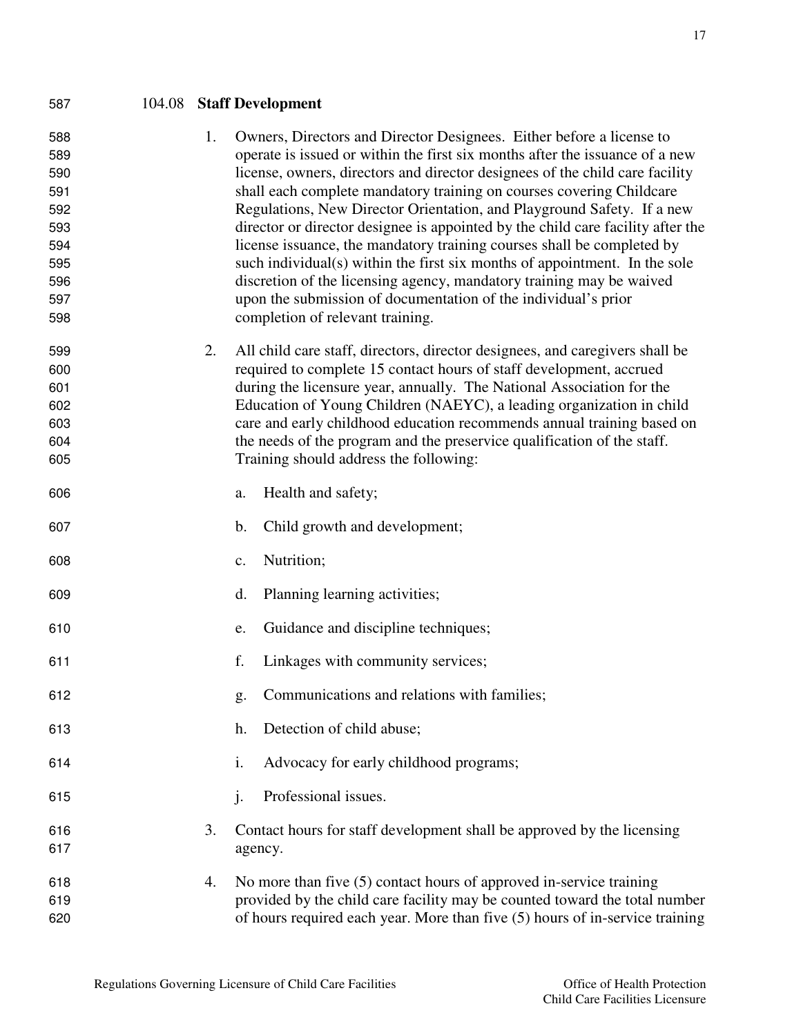| 587                                                                       |    | 104.08 Staff Development                                                                                                                                                                                                                                                                                                                                                                                                                                                                                                                                                                                                                                                                                                                                                                                        |
|---------------------------------------------------------------------------|----|-----------------------------------------------------------------------------------------------------------------------------------------------------------------------------------------------------------------------------------------------------------------------------------------------------------------------------------------------------------------------------------------------------------------------------------------------------------------------------------------------------------------------------------------------------------------------------------------------------------------------------------------------------------------------------------------------------------------------------------------------------------------------------------------------------------------|
| 588<br>589<br>590<br>591<br>592<br>593<br>594<br>595<br>596<br>597<br>598 | 1. | Owners, Directors and Director Designees. Either before a license to<br>operate is issued or within the first six months after the issuance of a new<br>license, owners, directors and director designees of the child care facility<br>shall each complete mandatory training on courses covering Childcare<br>Regulations, New Director Orientation, and Playground Safety. If a new<br>director or director designee is appointed by the child care facility after the<br>license issuance, the mandatory training courses shall be completed by<br>such individual(s) within the first six months of appointment. In the sole<br>discretion of the licensing agency, mandatory training may be waived<br>upon the submission of documentation of the individual's prior<br>completion of relevant training. |
| 599<br>600<br>601<br>602<br>603<br>604<br>605                             | 2. | All child care staff, directors, director designees, and caregivers shall be<br>required to complete 15 contact hours of staff development, accrued<br>during the licensure year, annually. The National Association for the<br>Education of Young Children (NAEYC), a leading organization in child<br>care and early childhood education recommends annual training based on<br>the needs of the program and the preservice qualification of the staff.<br>Training should address the following:                                                                                                                                                                                                                                                                                                             |
| 606                                                                       |    | Health and safety;<br>a.                                                                                                                                                                                                                                                                                                                                                                                                                                                                                                                                                                                                                                                                                                                                                                                        |
| 607                                                                       |    | b.<br>Child growth and development;                                                                                                                                                                                                                                                                                                                                                                                                                                                                                                                                                                                                                                                                                                                                                                             |
| 608                                                                       |    | Nutrition;<br>c.                                                                                                                                                                                                                                                                                                                                                                                                                                                                                                                                                                                                                                                                                                                                                                                                |
| 609                                                                       |    | d.<br>Planning learning activities;                                                                                                                                                                                                                                                                                                                                                                                                                                                                                                                                                                                                                                                                                                                                                                             |
| 610                                                                       |    | Guidance and discipline techniques;<br>e.                                                                                                                                                                                                                                                                                                                                                                                                                                                                                                                                                                                                                                                                                                                                                                       |
| 611                                                                       |    | f.<br>Linkages with community services;                                                                                                                                                                                                                                                                                                                                                                                                                                                                                                                                                                                                                                                                                                                                                                         |
| 612                                                                       |    | Communications and relations with families;<br>g.                                                                                                                                                                                                                                                                                                                                                                                                                                                                                                                                                                                                                                                                                                                                                               |
| 613                                                                       |    | Detection of child abuse;<br>h.                                                                                                                                                                                                                                                                                                                                                                                                                                                                                                                                                                                                                                                                                                                                                                                 |
| 614                                                                       |    | i.<br>Advocacy for early childhood programs;                                                                                                                                                                                                                                                                                                                                                                                                                                                                                                                                                                                                                                                                                                                                                                    |
| 615                                                                       |    | Professional issues.<br>j.                                                                                                                                                                                                                                                                                                                                                                                                                                                                                                                                                                                                                                                                                                                                                                                      |
| 616<br>617                                                                | 3. | Contact hours for staff development shall be approved by the licensing<br>agency.                                                                                                                                                                                                                                                                                                                                                                                                                                                                                                                                                                                                                                                                                                                               |

4. No more than five (5) contact hours of approved in-service training provided by the child care facility may be counted toward the total number of hours required each year. More than five (5) hours of in-service training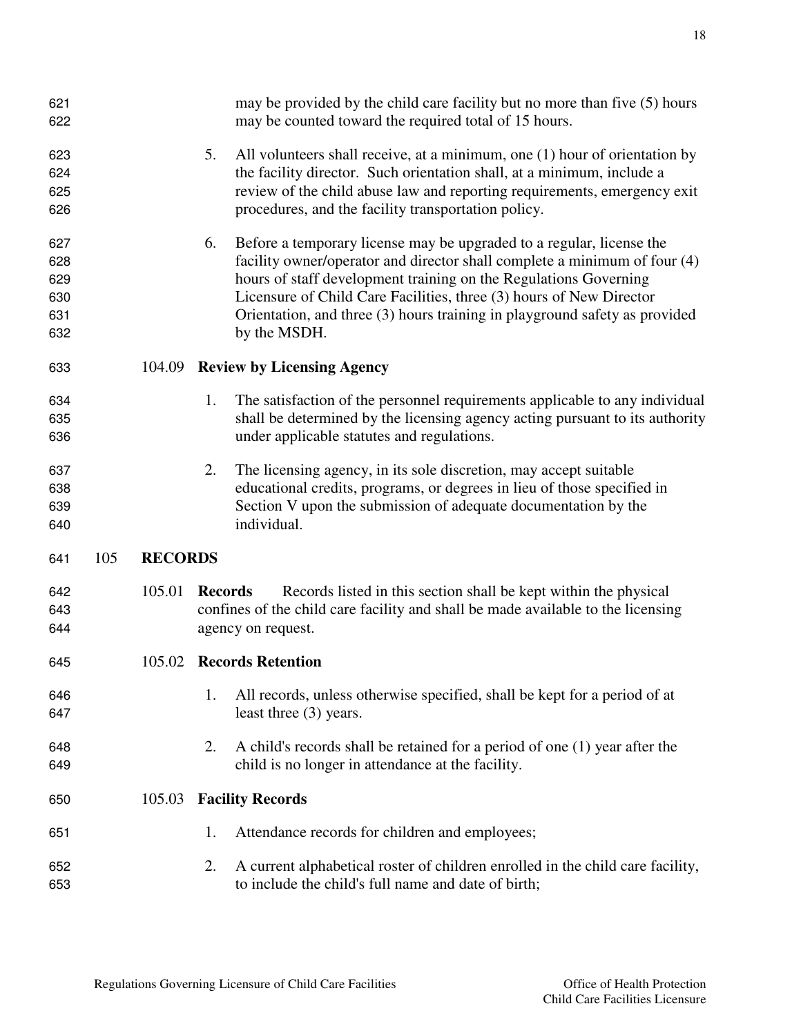| 621<br>622 |     |                |                | may be provided by the child care facility but no more than five (5) hours<br>may be counted toward the required total of 15 hours. |
|------------|-----|----------------|----------------|-------------------------------------------------------------------------------------------------------------------------------------|
| 623        |     |                | 5.             | All volunteers shall receive, at a minimum, one (1) hour of orientation by                                                          |
| 624        |     |                |                | the facility director. Such orientation shall, at a minimum, include a                                                              |
| 625        |     |                |                | review of the child abuse law and reporting requirements, emergency exit                                                            |
| 626        |     |                |                | procedures, and the facility transportation policy.                                                                                 |
|            |     |                |                |                                                                                                                                     |
| 627        |     |                | 6.             | Before a temporary license may be upgraded to a regular, license the                                                                |
| 628        |     |                |                | facility owner/operator and director shall complete a minimum of four (4)                                                           |
| 629        |     |                |                | hours of staff development training on the Regulations Governing                                                                    |
| 630        |     |                |                | Licensure of Child Care Facilities, three (3) hours of New Director                                                                 |
| 631        |     |                |                | Orientation, and three (3) hours training in playground safety as provided                                                          |
| 632        |     |                |                | by the MSDH.                                                                                                                        |
|            |     |                |                |                                                                                                                                     |
| 633        |     | 104.09         |                | <b>Review by Licensing Agency</b>                                                                                                   |
| 634        |     |                | 1.             | The satisfaction of the personnel requirements applicable to any individual                                                         |
| 635        |     |                |                | shall be determined by the licensing agency acting pursuant to its authority                                                        |
| 636        |     |                |                | under applicable statutes and regulations.                                                                                          |
|            |     |                |                |                                                                                                                                     |
| 637        |     |                | 2.             | The licensing agency, in its sole discretion, may accept suitable                                                                   |
| 638        |     |                |                | educational credits, programs, or degrees in lieu of those specified in                                                             |
| 639        |     |                |                | Section V upon the submission of adequate documentation by the                                                                      |
| 640        |     |                |                | individual.                                                                                                                         |
|            |     |                |                |                                                                                                                                     |
| 641        | 105 | <b>RECORDS</b> |                |                                                                                                                                     |
| 642        |     | 105.01         | <b>Records</b> | Records listed in this section shall be kept within the physical                                                                    |
| 643        |     |                |                | confines of the child care facility and shall be made available to the licensing                                                    |
| 644        |     |                |                | agency on request.                                                                                                                  |
|            |     |                |                |                                                                                                                                     |
| 645        |     | 105.02         |                | <b>Records Retention</b>                                                                                                            |
| 646        |     |                | 1.             | All records, unless otherwise specified, shall be kept for a period of at                                                           |
| 647        |     |                |                | least three (3) years.                                                                                                              |
|            |     |                |                |                                                                                                                                     |
| 648        |     |                | 2.             | A child's records shall be retained for a period of one (1) year after the                                                          |
| 649        |     |                |                | child is no longer in attendance at the facility.                                                                                   |
| 650        |     | 105.03         |                | <b>Facility Records</b>                                                                                                             |
| 651        |     |                | 1.             | Attendance records for children and employees;                                                                                      |
|            |     |                |                |                                                                                                                                     |
| 652        |     |                | 2.             | A current alphabetical roster of children enrolled in the child care facility,                                                      |
| 653        |     |                |                | to include the child's full name and date of birth;                                                                                 |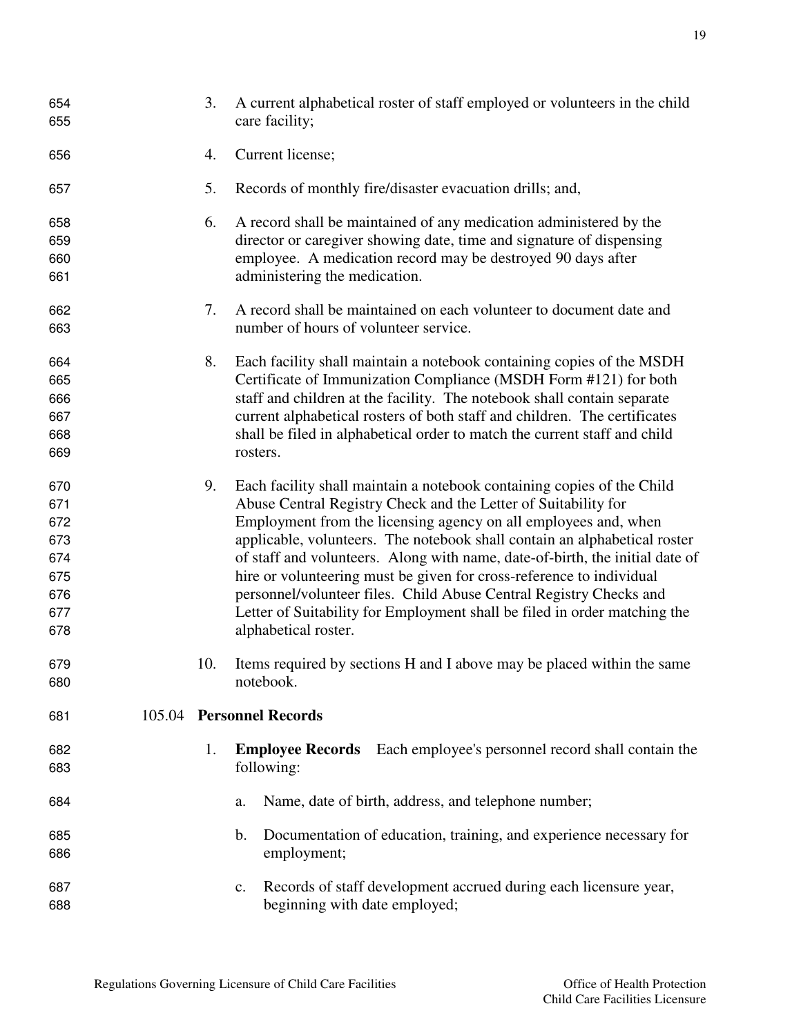| 654<br>655 | 3.  | A current alphabetical roster of staff employed or volunteers in the child<br>care facility; |
|------------|-----|----------------------------------------------------------------------------------------------|
| 656        | 4.  | Current license;                                                                             |
| 657        | 5.  | Records of monthly fire/disaster evacuation drills; and,                                     |
| 658        | 6.  | A record shall be maintained of any medication administered by the                           |
| 659        |     | director or caregiver showing date, time and signature of dispensing                         |
| 660        |     | employee. A medication record may be destroyed 90 days after                                 |
| 661        |     | administering the medication.                                                                |
| 662        | 7.  | A record shall be maintained on each volunteer to document date and                          |
| 663        |     | number of hours of volunteer service.                                                        |
| 664        | 8.  | Each facility shall maintain a notebook containing copies of the MSDH                        |
| 665        |     | Certificate of Immunization Compliance (MSDH Form #121) for both                             |
| 666        |     | staff and children at the facility. The notebook shall contain separate                      |
| 667        |     | current alphabetical rosters of both staff and children. The certificates                    |
| 668        |     | shall be filed in alphabetical order to match the current staff and child                    |
| 669        |     | rosters.                                                                                     |
| 670        | 9.  | Each facility shall maintain a notebook containing copies of the Child                       |
| 671        |     | Abuse Central Registry Check and the Letter of Suitability for                               |
| 672        |     | Employment from the licensing agency on all employees and, when                              |
| 673        |     | applicable, volunteers. The notebook shall contain an alphabetical roster                    |
| 674        |     | of staff and volunteers. Along with name, date-of-birth, the initial date of                 |
| 675        |     | hire or volunteering must be given for cross-reference to individual                         |
| 676        |     | personnel/volunteer files. Child Abuse Central Registry Checks and                           |
| 677        |     | Letter of Suitability for Employment shall be filed in order matching the                    |
| 678        |     | alphabetical roster.                                                                         |
| 679        | 10. | Items required by sections H and I above may be placed within the same                       |
| 680        |     | notebook.                                                                                    |
| 681        |     | 105.04 Personnel Records                                                                     |
| 682        | 1.  | Each employee's personnel record shall contain the<br><b>Employee Records</b>                |
| 683        |     | following:                                                                                   |
| 684        |     | Name, date of birth, address, and telephone number;<br>a.                                    |
| 685        |     | Documentation of education, training, and experience necessary for<br>$\mathbf b$ .          |
| 686        |     | employment;                                                                                  |
| 687        |     | Records of staff development accrued during each licensure year,<br>c.                       |
| 688        |     | beginning with date employed;                                                                |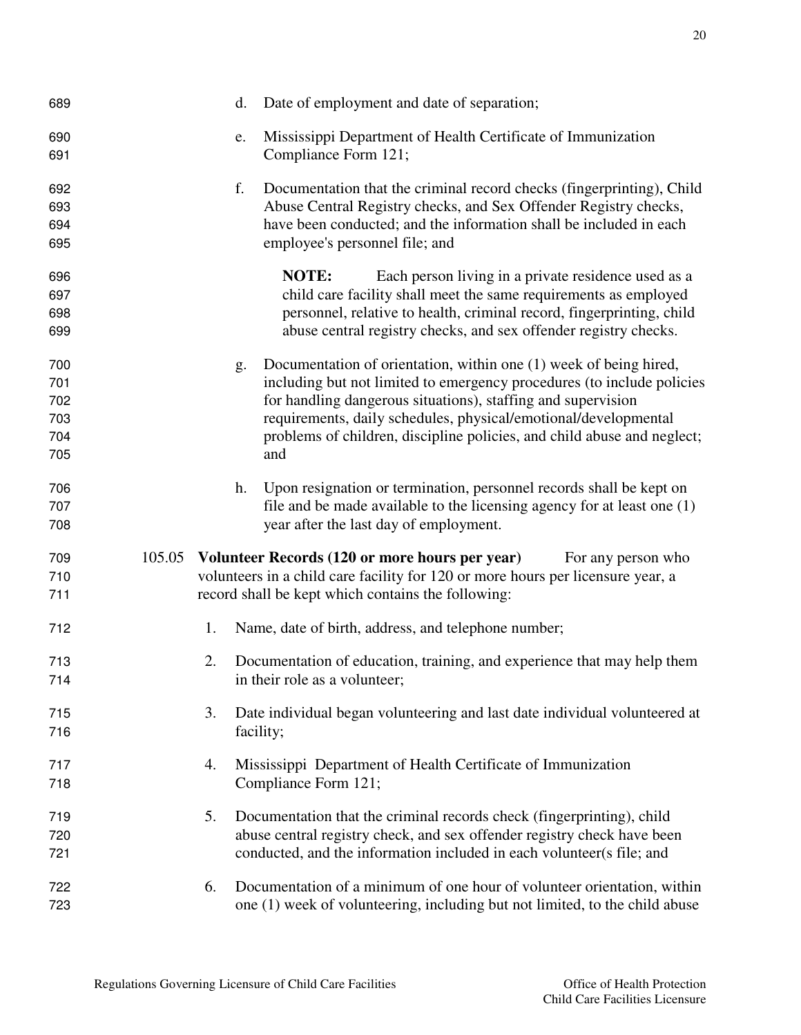| 689                                    |        |    | d. | Date of employment and date of separation;                                                                                                                                                                                                                                                                                                                       |
|----------------------------------------|--------|----|----|------------------------------------------------------------------------------------------------------------------------------------------------------------------------------------------------------------------------------------------------------------------------------------------------------------------------------------------------------------------|
| 690<br>691                             |        |    | e. | Mississippi Department of Health Certificate of Immunization<br>Compliance Form 121;                                                                                                                                                                                                                                                                             |
| 692<br>693<br>694<br>695               |        |    | f. | Documentation that the criminal record checks (fingerprinting), Child<br>Abuse Central Registry checks, and Sex Offender Registry checks,<br>have been conducted; and the information shall be included in each<br>employee's personnel file; and                                                                                                                |
| 696<br>697<br>698<br>699               |        |    |    | NOTE:<br>Each person living in a private residence used as a<br>child care facility shall meet the same requirements as employed<br>personnel, relative to health, criminal record, fingerprinting, child<br>abuse central registry checks, and sex offender registry checks.                                                                                    |
| 700<br>701<br>702<br>703<br>704<br>705 |        |    | g. | Documentation of orientation, within one (1) week of being hired,<br>including but not limited to emergency procedures (to include policies<br>for handling dangerous situations), staffing and supervision<br>requirements, daily schedules, physical/emotional/developmental<br>problems of children, discipline policies, and child abuse and neglect;<br>and |
| 706<br>707<br>708                      |        |    | h. | Upon resignation or termination, personnel records shall be kept on<br>file and be made available to the licensing agency for at least one $(1)$<br>year after the last day of employment.                                                                                                                                                                       |
| 709<br>710<br>711                      | 105.05 |    |    | Volunteer Records (120 or more hours per year)<br>For any person who<br>volunteers in a child care facility for 120 or more hours per licensure year, a<br>record shall be kept which contains the following:                                                                                                                                                    |
| 712                                    |        | 1. |    | Name, date of birth, address, and telephone number;                                                                                                                                                                                                                                                                                                              |
| 713<br>714                             |        | 2. |    | Documentation of education, training, and experience that may help them<br>in their role as a volunteer;                                                                                                                                                                                                                                                         |
| 715<br>716                             |        | 3. |    | Date individual began volunteering and last date individual volunteered at<br>facility;                                                                                                                                                                                                                                                                          |
| 717<br>718                             |        | 4. |    | Mississippi Department of Health Certificate of Immunization<br>Compliance Form 121;                                                                                                                                                                                                                                                                             |
| 719<br>720<br>721                      |        | 5. |    | Documentation that the criminal records check (fingerprinting), child<br>abuse central registry check, and sex offender registry check have been<br>conducted, and the information included in each volunteer(s file; and                                                                                                                                        |
| 722<br>723                             |        | 6. |    | Documentation of a minimum of one hour of volunteer orientation, within<br>one (1) week of volunteering, including but not limited, to the child abuse                                                                                                                                                                                                           |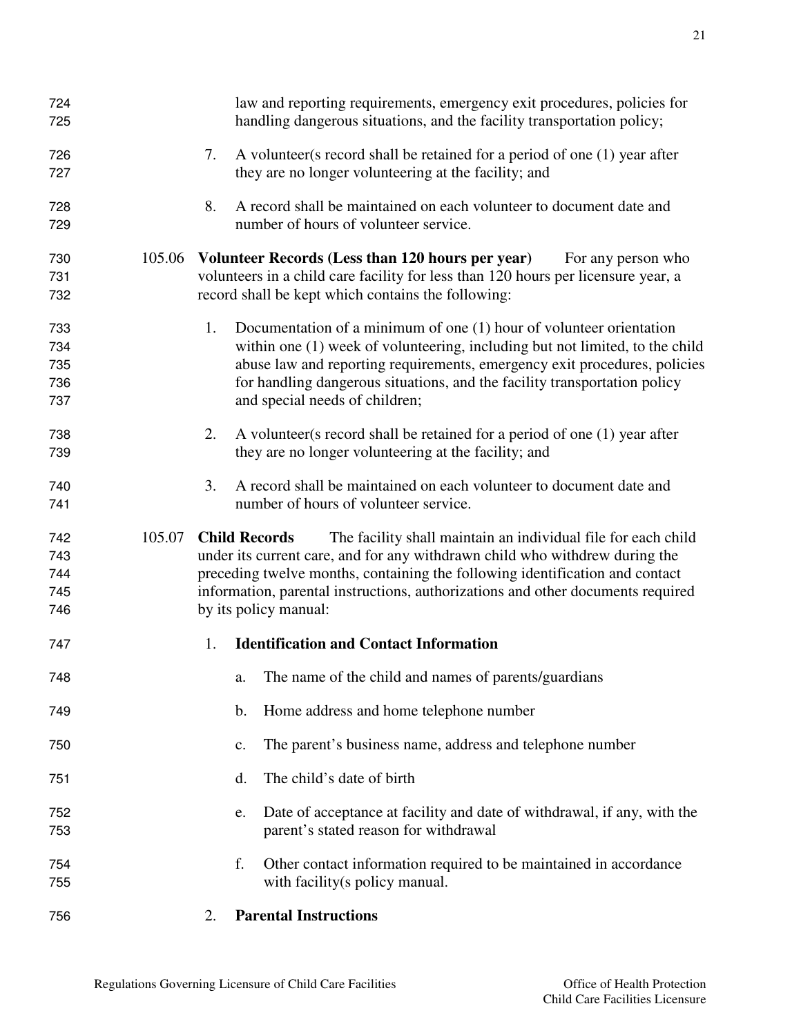| 724 |        | law and reporting requirements, emergency exit procedures, policies for               |
|-----|--------|---------------------------------------------------------------------------------------|
| 725 |        | handling dangerous situations, and the facility transportation policy;                |
| 726 |        | A volunteer (s record shall be retained for a period of one (1) year after<br>7.      |
| 727 |        | they are no longer volunteering at the facility; and                                  |
| 728 |        | 8.<br>A record shall be maintained on each volunteer to document date and             |
| 729 |        | number of hours of volunteer service.                                                 |
| 730 | 105.06 | Volunteer Records (Less than 120 hours per year)<br>For any person who                |
| 731 |        | volunteers in a child care facility for less than 120 hours per licensure year, a     |
| 732 |        | record shall be kept which contains the following:                                    |
| 733 |        | Documentation of a minimum of one $(1)$ hour of volunteer orientation<br>1.           |
| 734 |        | within one (1) week of volunteering, including but not limited, to the child          |
| 735 |        | abuse law and reporting requirements, emergency exit procedures, policies             |
| 736 |        | for handling dangerous situations, and the facility transportation policy             |
| 737 |        | and special needs of children;                                                        |
| 738 |        | 2.<br>A volunteer (s record shall be retained for a period of one (1) year after      |
| 739 |        | they are no longer volunteering at the facility; and                                  |
| 740 |        | A record shall be maintained on each volunteer to document date and<br>3.             |
| 741 |        | number of hours of volunteer service.                                                 |
| 742 | 105.07 | <b>Child Records</b><br>The facility shall maintain an individual file for each child |
| 743 |        | under its current care, and for any withdrawn child who withdrew during the           |
| 744 |        | preceding twelve months, containing the following identification and contact          |
| 745 |        | information, parental instructions, authorizations and other documents required       |
| 746 |        | by its policy manual:                                                                 |
| 747 |        | <b>Identification and Contact Information</b><br>1.                                   |
| 748 |        | The name of the child and names of parents/guardians<br>a.                            |
| 749 |        | Home address and home telephone number<br>$\mathbf b$ .                               |
| 750 |        | The parent's business name, address and telephone number<br>c.                        |
| 751 |        | The child's date of birth<br>d.                                                       |
| 752 |        | Date of acceptance at facility and date of withdrawal, if any, with the<br>e.         |
| 753 |        | parent's stated reason for withdrawal                                                 |
| 754 |        | f.<br>Other contact information required to be maintained in accordance               |
| 755 |        | with facility(s policy manual.                                                        |
| 756 |        | <b>Parental Instructions</b><br>2.                                                    |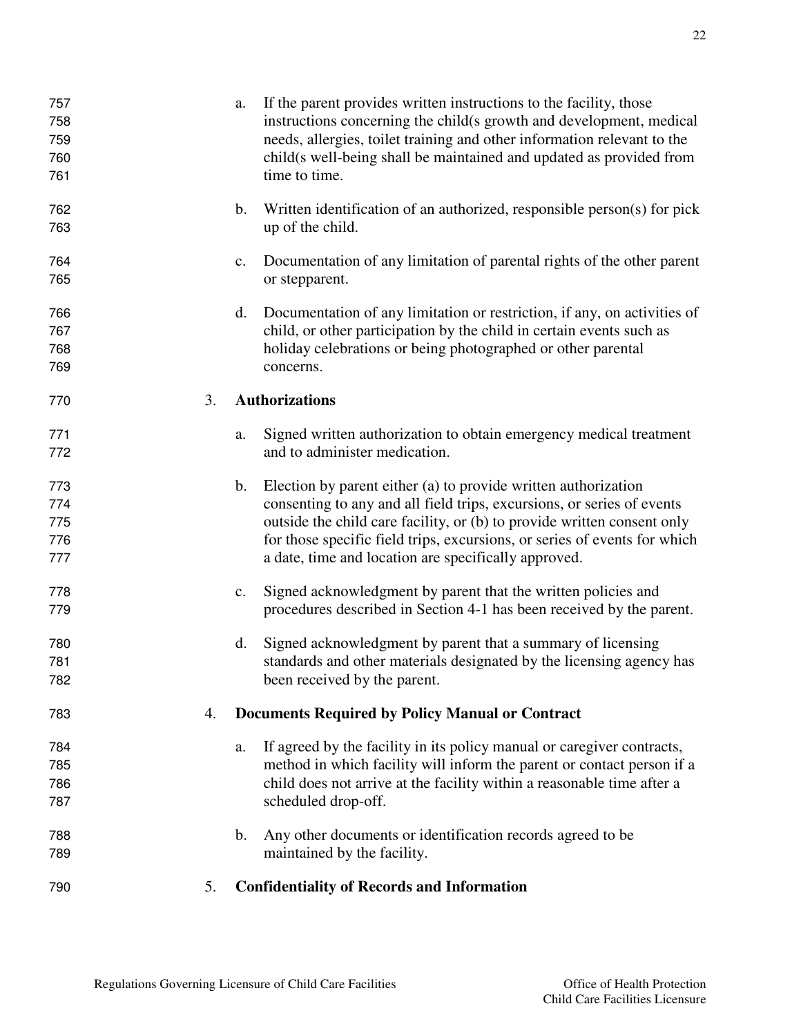| 757<br>758<br>759<br>760<br>761 |    | a.             | If the parent provides written instructions to the facility, those<br>instructions concerning the child(s growth and development, medical<br>needs, allergies, toilet training and other information relevant to the<br>child(s well-being shall be maintained and updated as provided from<br>time to time.                                             |
|---------------------------------|----|----------------|----------------------------------------------------------------------------------------------------------------------------------------------------------------------------------------------------------------------------------------------------------------------------------------------------------------------------------------------------------|
| 762<br>763                      |    | b.             | Written identification of an authorized, responsible person(s) for pick<br>up of the child.                                                                                                                                                                                                                                                              |
| 764<br>765                      |    | $\mathbf{c}$ . | Documentation of any limitation of parental rights of the other parent<br>or stepparent.                                                                                                                                                                                                                                                                 |
| 766<br>767<br>768<br>769        |    | d.             | Documentation of any limitation or restriction, if any, on activities of<br>child, or other participation by the child in certain events such as<br>holiday celebrations or being photographed or other parental<br>concerns.                                                                                                                            |
| 770                             | 3. |                | <b>Authorizations</b>                                                                                                                                                                                                                                                                                                                                    |
| 771<br>772                      |    | a.             | Signed written authorization to obtain emergency medical treatment<br>and to administer medication.                                                                                                                                                                                                                                                      |
| 773<br>774<br>775<br>776<br>777 |    | $\mathbf b$ .  | Election by parent either (a) to provide written authorization<br>consenting to any and all field trips, excursions, or series of events<br>outside the child care facility, or (b) to provide written consent only<br>for those specific field trips, excursions, or series of events for which<br>a date, time and location are specifically approved. |
| 778<br>779                      |    | $\mathbf{c}$ . | Signed acknowledgment by parent that the written policies and<br>procedures described in Section 4-1 has been received by the parent.                                                                                                                                                                                                                    |
| 780<br>781<br>782               |    | d.             | Signed acknowledgment by parent that a summary of licensing<br>standards and other materials designated by the licensing agency has<br>been received by the parent.                                                                                                                                                                                      |
| 783                             | 4. |                | <b>Documents Required by Policy Manual or Contract</b>                                                                                                                                                                                                                                                                                                   |
| 784<br>785<br>786<br>787        |    | a.             | If agreed by the facility in its policy manual or caregiver contracts,<br>method in which facility will inform the parent or contact person if a<br>child does not arrive at the facility within a reasonable time after a<br>scheduled drop-off.                                                                                                        |
| 788<br>789                      |    | $\mathbf b$ .  | Any other documents or identification records agreed to be<br>maintained by the facility.                                                                                                                                                                                                                                                                |
| 790                             | 5. |                | <b>Confidentiality of Records and Information</b>                                                                                                                                                                                                                                                                                                        |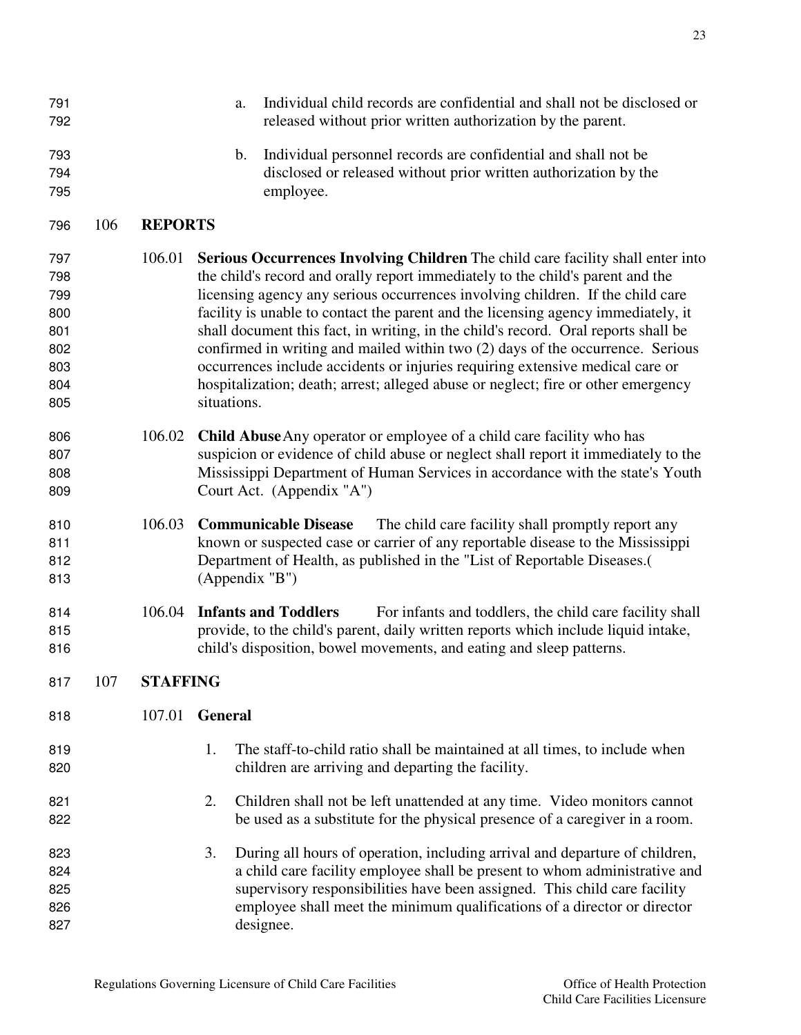| 791<br>792                      |     |                 | a.             | Individual child records are confidential and shall not be disclosed or<br>released without prior written authorization by the parent.                                                                                                                                                                                                     |  |  |  |
|---------------------------------|-----|-----------------|----------------|--------------------------------------------------------------------------------------------------------------------------------------------------------------------------------------------------------------------------------------------------------------------------------------------------------------------------------------------|--|--|--|
| 793<br>794<br>795               |     |                 | b.             | Individual personnel records are confidential and shall not be<br>disclosed or released without prior written authorization by the<br>employee.                                                                                                                                                                                            |  |  |  |
| 796                             | 106 | <b>REPORTS</b>  |                |                                                                                                                                                                                                                                                                                                                                            |  |  |  |
| 797<br>798<br>799<br>800        |     | 106.01          |                | Serious Occurrences Involving Children The child care facility shall enter into<br>the child's record and orally report immediately to the child's parent and the<br>licensing agency any serious occurrences involving children. If the child care<br>facility is unable to contact the parent and the licensing agency immediately, it   |  |  |  |
| 801<br>802<br>803<br>804<br>805 |     |                 | situations.    | shall document this fact, in writing, in the child's record. Oral reports shall be<br>confirmed in writing and mailed within two (2) days of the occurrence. Serious<br>occurrences include accidents or injuries requiring extensive medical care or<br>hospitalization; death; arrest; alleged abuse or neglect; fire or other emergency |  |  |  |
| 806<br>807<br>808<br>809        |     | 106.02          |                | <b>Child Abuse</b> Any operator or employee of a child care facility who has<br>suspicion or evidence of child abuse or neglect shall report it immediately to the<br>Mississippi Department of Human Services in accordance with the state's Youth<br>Court Act. (Appendix "A")                                                           |  |  |  |
| 810<br>811<br>812<br>813        |     | 106.03          |                | <b>Communicable Disease</b><br>The child care facility shall promptly report any<br>known or suspected case or carrier of any reportable disease to the Mississippi<br>Department of Health, as published in the "List of Reportable Diseases.<br>(Appendix "B")                                                                           |  |  |  |
| 814<br>815<br>816               |     | 106.04          |                | <b>Infants and Toddlers</b><br>For infants and toddlers, the child care facility shall<br>provide, to the child's parent, daily written reports which include liquid intake,<br>child's disposition, bowel movements, and eating and sleep patterns.                                                                                       |  |  |  |
| 817                             | 107 | <b>STAFFING</b> |                |                                                                                                                                                                                                                                                                                                                                            |  |  |  |
| 818                             |     | 107.01          | <b>General</b> |                                                                                                                                                                                                                                                                                                                                            |  |  |  |
| 819<br>820                      |     |                 | 1.             | The staff-to-child ratio shall be maintained at all times, to include when<br>children are arriving and departing the facility.                                                                                                                                                                                                            |  |  |  |
| 821<br>822                      |     |                 | 2.             | Children shall not be left unattended at any time. Video monitors cannot<br>be used as a substitute for the physical presence of a caregiver in a room.                                                                                                                                                                                    |  |  |  |
| 823<br>824<br>825<br>826<br>827 |     |                 | 3.             | During all hours of operation, including arrival and departure of children,<br>a child care facility employee shall be present to whom administrative and<br>supervisory responsibilities have been assigned. This child care facility<br>employee shall meet the minimum qualifications of a director or director<br>designee.            |  |  |  |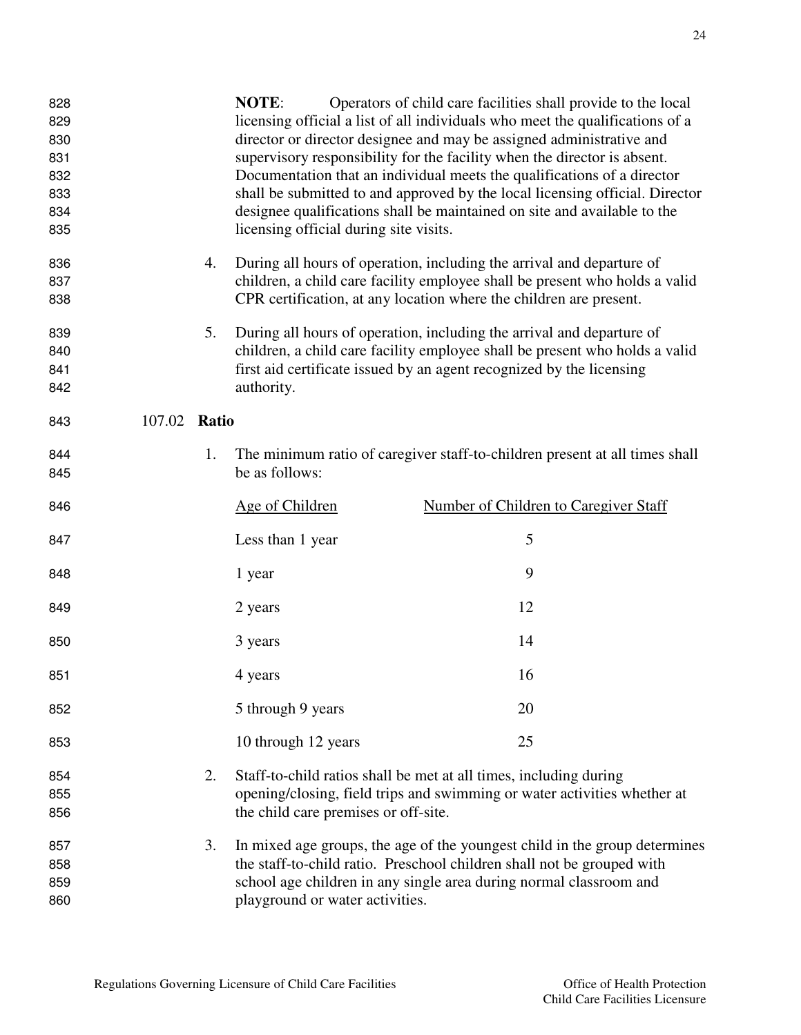| 828<br>829<br>830<br>831<br>832<br>833<br>834<br>835 |              |    | <b>NOTE:</b><br>licensing official during site visits. | Operators of child care facilities shall provide to the local<br>licensing official a list of all individuals who meet the qualifications of a<br>director or director designee and may be assigned administrative and<br>supervisory responsibility for the facility when the director is absent.<br>Documentation that an individual meets the qualifications of a director<br>shall be submitted to and approved by the local licensing official. Director<br>designee qualifications shall be maintained on site and available to the |
|------------------------------------------------------|--------------|----|--------------------------------------------------------|-------------------------------------------------------------------------------------------------------------------------------------------------------------------------------------------------------------------------------------------------------------------------------------------------------------------------------------------------------------------------------------------------------------------------------------------------------------------------------------------------------------------------------------------|
| 836<br>837<br>838                                    |              | 4. |                                                        | During all hours of operation, including the arrival and departure of<br>children, a child care facility employee shall be present who holds a valid<br>CPR certification, at any location where the children are present.                                                                                                                                                                                                                                                                                                                |
| 839<br>840<br>841<br>842                             |              | 5. | authority.                                             | During all hours of operation, including the arrival and departure of<br>children, a child care facility employee shall be present who holds a valid<br>first aid certificate issued by an agent recognized by the licensing                                                                                                                                                                                                                                                                                                              |
| 843                                                  | 107.02 Ratio |    |                                                        |                                                                                                                                                                                                                                                                                                                                                                                                                                                                                                                                           |
| 844<br>845                                           |              | 1. | be as follows:                                         | The minimum ratio of caregiver staff-to-children present at all times shall                                                                                                                                                                                                                                                                                                                                                                                                                                                               |
| 846                                                  |              |    | Age of Children                                        | Number of Children to Caregiver Staff                                                                                                                                                                                                                                                                                                                                                                                                                                                                                                     |
| 847                                                  |              |    | Less than 1 year                                       | 5                                                                                                                                                                                                                                                                                                                                                                                                                                                                                                                                         |
| 848                                                  |              |    | 1 year                                                 | 9                                                                                                                                                                                                                                                                                                                                                                                                                                                                                                                                         |
| 849                                                  |              |    | 2 years                                                | 12                                                                                                                                                                                                                                                                                                                                                                                                                                                                                                                                        |
| 850                                                  |              |    | 3 years                                                | 14                                                                                                                                                                                                                                                                                                                                                                                                                                                                                                                                        |
| 851                                                  |              |    | 4 years                                                | 16                                                                                                                                                                                                                                                                                                                                                                                                                                                                                                                                        |
| 852                                                  |              |    | 5 through 9 years                                      | 20                                                                                                                                                                                                                                                                                                                                                                                                                                                                                                                                        |
| 853                                                  |              |    | 10 through 12 years                                    | 25                                                                                                                                                                                                                                                                                                                                                                                                                                                                                                                                        |
| 854<br>855<br>856                                    |              | 2. | the child care premises or off-site.                   | Staff-to-child ratios shall be met at all times, including during<br>opening/closing, field trips and swimming or water activities whether at                                                                                                                                                                                                                                                                                                                                                                                             |
| 857<br>858<br>859<br>860                             |              | 3. | playground or water activities.                        | In mixed age groups, the age of the youngest child in the group determines<br>the staff-to-child ratio. Preschool children shall not be grouped with<br>school age children in any single area during normal classroom and                                                                                                                                                                                                                                                                                                                |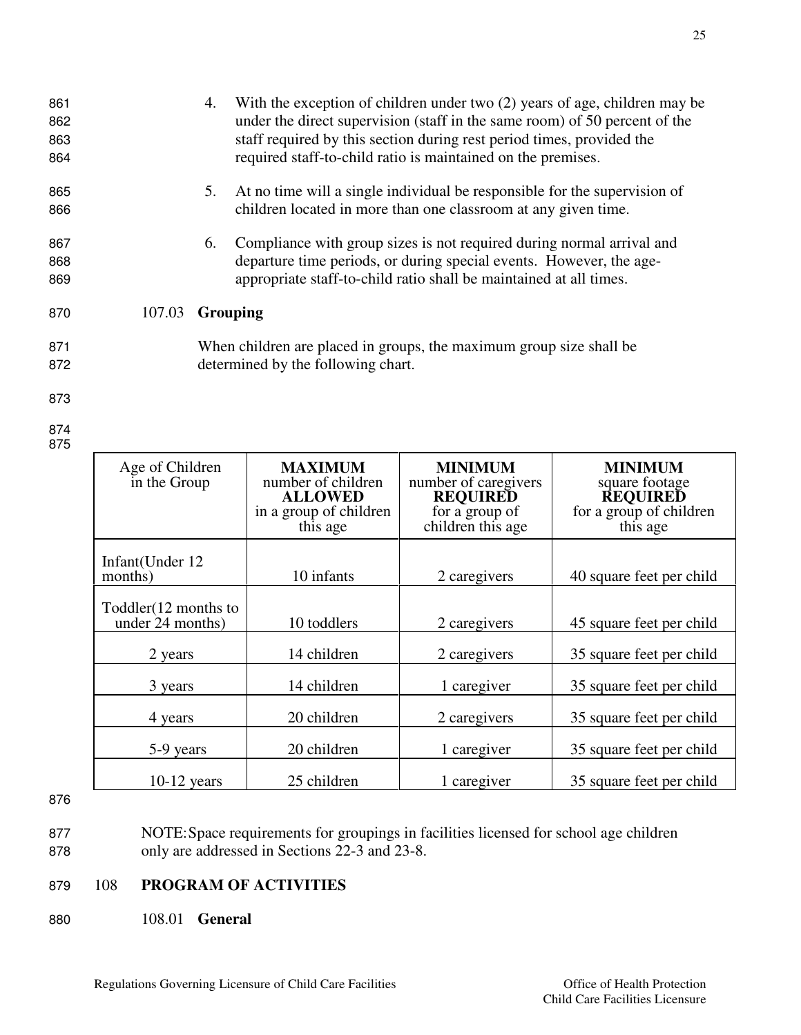10 toddlers 2 caregivers 15 square feet per child

2 years 14 children 2 caregivers 35 square feet per child

3 years 14 children 1 caregiver 35 square feet per child

4 years 20 children 2 caregivers 35 square feet per child

5-9 years 20 children 1 caregiver 35 square feet per child

10-12 years 25 children 1 caregiver 35 square feet per child

863 staff required by this section during rest period times, provided the 864 required staff-to-child ratio is maintained on the premises. 865 5. At no time will a single individual be responsible for the supervision of 866 children located in more than one classroom at any given time. 867 6. Compliance with group sizes is not required during normal arrival and 868 departure time periods, or during special events. However, the age-869 appropriate staff-to-child ratio shall be maintained at all times. 870 107.03 **Grouping**  871 When children are placed in groups, the maximum group size shall be 872 determined by the following chart. 873 874 875 Age of Children in the Group **MAXIMUM** number of children **ALLOWED** in a group of children this age **MINIMUM** number of caregivers **REQUIRED** for a group of children this age **MINIMUM** square footage **REQUIRED** for a group of children this age Infant(Under 12 10 infants 2 caregivers 40 square feet per child

861 4. With the exception of children under two (2) years of age, children may be 862 under the direct supervision (staff in the same room) of 50 percent of the

- 876
- 877 NOTE: Space requirements for groupings in facilities licensed for school age children 878 only are addressed in Sections 22-3 and 23-8.
- 879 108 **PROGRAM OF ACTIVITIES**

Toddler(12 months to<br>under 24 months)

880 108.01 **General**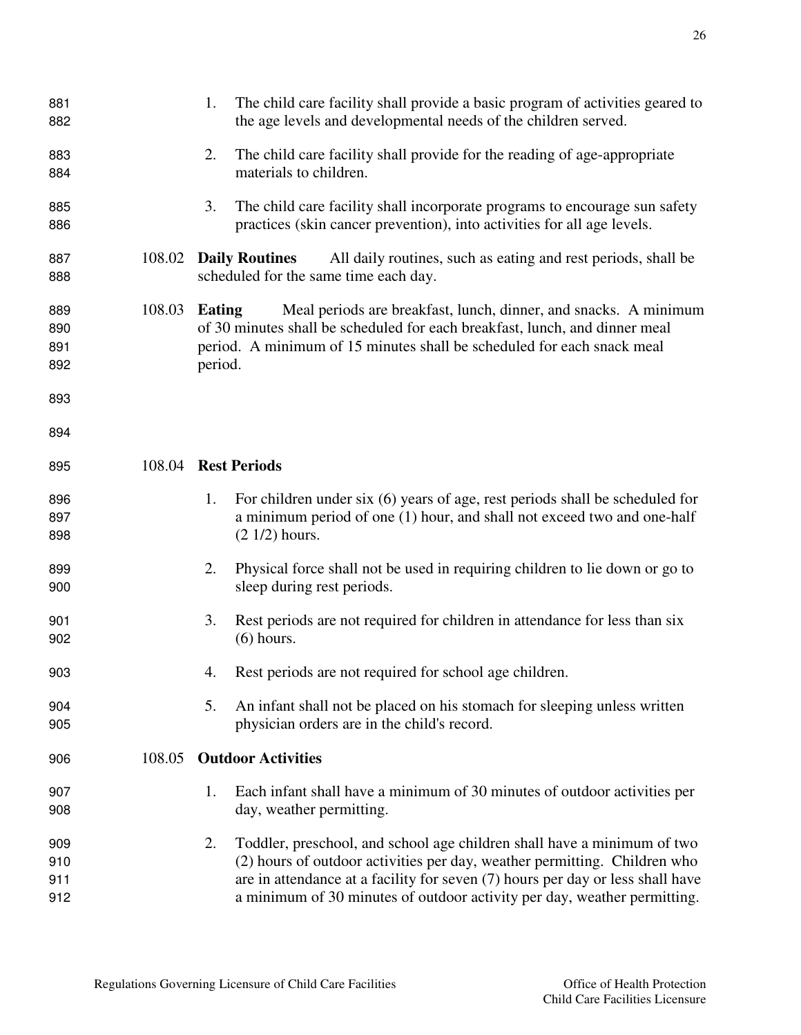| 881<br>882                      |        | The child care facility shall provide a basic program of activities geared to<br>1.<br>the age levels and developmental needs of the children served.                                                                                                                                                                    |  |  |
|---------------------------------|--------|--------------------------------------------------------------------------------------------------------------------------------------------------------------------------------------------------------------------------------------------------------------------------------------------------------------------------|--|--|
| 883<br>884                      |        | The child care facility shall provide for the reading of age-appropriate<br>2.<br>materials to children.                                                                                                                                                                                                                 |  |  |
| 885<br>886                      |        | The child care facility shall incorporate programs to encourage sun safety<br>3.<br>practices (skin cancer prevention), into activities for all age levels.                                                                                                                                                              |  |  |
| 887<br>888                      | 108.02 | <b>Daily Routines</b><br>All daily routines, such as eating and rest periods, shall be<br>scheduled for the same time each day.                                                                                                                                                                                          |  |  |
| 889<br>890<br>891<br>892<br>893 | 108.03 | Meal periods are breakfast, lunch, dinner, and snacks. A minimum<br>Eating<br>of 30 minutes shall be scheduled for each breakfast, lunch, and dinner meal<br>period. A minimum of 15 minutes shall be scheduled for each snack meal<br>period.                                                                           |  |  |
| 894                             |        |                                                                                                                                                                                                                                                                                                                          |  |  |
| 895                             |        | 108.04 Rest Periods                                                                                                                                                                                                                                                                                                      |  |  |
| 896<br>897<br>898               |        | For children under six (6) years of age, rest periods shall be scheduled for<br>1.<br>a minimum period of one (1) hour, and shall not exceed two and one-half<br>$(2 1/2)$ hours.                                                                                                                                        |  |  |
| 899<br>900                      |        | Physical force shall not be used in requiring children to lie down or go to<br>2.<br>sleep during rest periods.                                                                                                                                                                                                          |  |  |
| 901<br>902                      |        | 3.<br>Rest periods are not required for children in attendance for less than six<br>$(6)$ hours.                                                                                                                                                                                                                         |  |  |
| 903                             |        | Rest periods are not required for school age children.<br>4.                                                                                                                                                                                                                                                             |  |  |
| 904<br>905                      |        | 5.<br>An infant shall not be placed on his stomach for sleeping unless written<br>physician orders are in the child's record.                                                                                                                                                                                            |  |  |
| 906                             | 108.05 | <b>Outdoor Activities</b>                                                                                                                                                                                                                                                                                                |  |  |
| 907<br>908                      |        | 1.<br>Each infant shall have a minimum of 30 minutes of outdoor activities per<br>day, weather permitting.                                                                                                                                                                                                               |  |  |
| 909<br>910<br>911<br>912        |        | 2.<br>Toddler, preschool, and school age children shall have a minimum of two<br>(2) hours of outdoor activities per day, weather permitting. Children who<br>are in attendance at a facility for seven (7) hours per day or less shall have<br>a minimum of 30 minutes of outdoor activity per day, weather permitting. |  |  |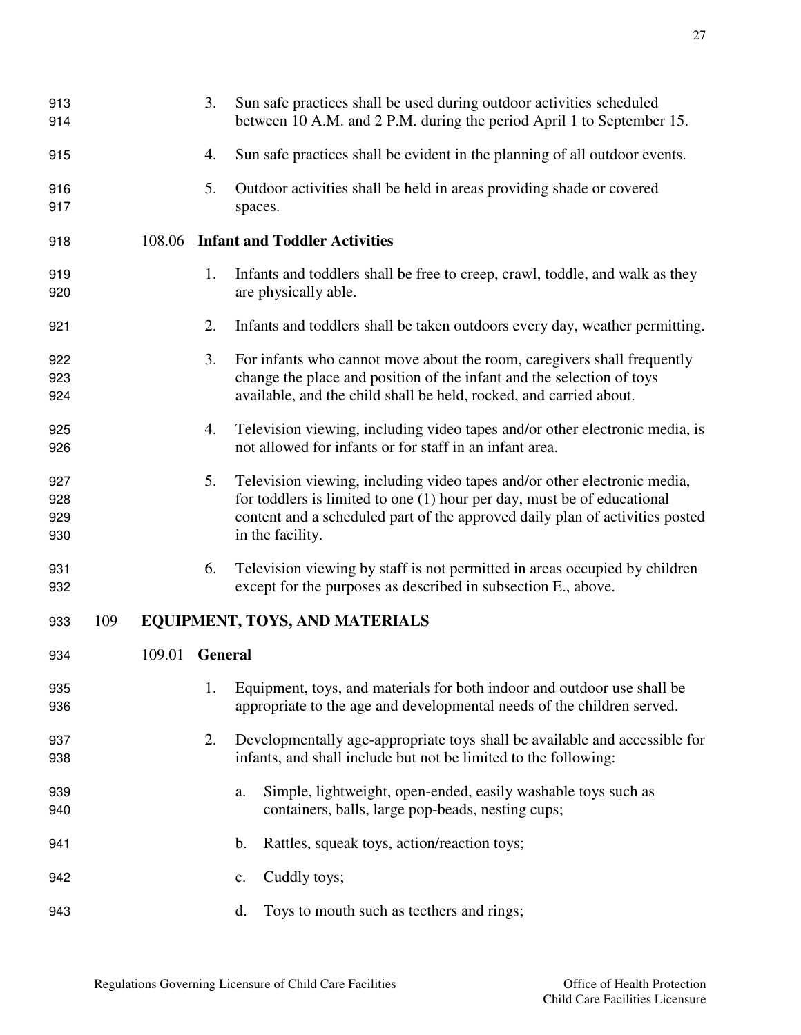| 913<br>914               |     |        | 3.             | Sun safe practices shall be used during outdoor activities scheduled<br>between 10 A.M. and 2 P.M. during the period April 1 to September 15.                                                                                                             |
|--------------------------|-----|--------|----------------|-----------------------------------------------------------------------------------------------------------------------------------------------------------------------------------------------------------------------------------------------------------|
| 915                      |     |        | 4.             | Sun safe practices shall be evident in the planning of all outdoor events.                                                                                                                                                                                |
| 916<br>917               |     |        | 5.             | Outdoor activities shall be held in areas providing shade or covered<br>spaces.                                                                                                                                                                           |
| 918                      |     | 108.06 |                | <b>Infant and Toddler Activities</b>                                                                                                                                                                                                                      |
| 919<br>920               |     |        | 1.             | Infants and toddlers shall be free to creep, crawl, toddle, and walk as they<br>are physically able.                                                                                                                                                      |
| 921                      |     |        | 2.             | Infants and toddlers shall be taken outdoors every day, weather permitting.                                                                                                                                                                               |
| 922<br>923<br>924        |     |        | 3.             | For infants who cannot move about the room, caregivers shall frequently<br>change the place and position of the infant and the selection of toys<br>available, and the child shall be held, rocked, and carried about.                                    |
| 925<br>926               |     |        | 4.             | Television viewing, including video tapes and/or other electronic media, is<br>not allowed for infants or for staff in an infant area.                                                                                                                    |
| 927<br>928<br>929<br>930 |     |        | 5.             | Television viewing, including video tapes and/or other electronic media,<br>for toddlers is limited to one $(1)$ hour per day, must be of educational<br>content and a scheduled part of the approved daily plan of activities posted<br>in the facility. |
| 931<br>932               |     |        | 6.             | Television viewing by staff is not permitted in areas occupied by children<br>except for the purposes as described in subsection E., above.                                                                                                               |
| 933                      | 109 |        |                | <b>EQUIPMENT, TOYS, AND MATERIALS</b>                                                                                                                                                                                                                     |
| 934                      |     | 109.01 | <b>General</b> |                                                                                                                                                                                                                                                           |
| 935<br>936               |     |        | 1.             | Equipment, toys, and materials for both indoor and outdoor use shall be<br>appropriate to the age and developmental needs of the children served.                                                                                                         |
| 937<br>938               |     |        | 2.             | Developmentally age-appropriate toys shall be available and accessible for<br>infants, and shall include but not be limited to the following:                                                                                                             |
| 939<br>940               |     |        |                | Simple, lightweight, open-ended, easily washable toys such as<br>a.<br>containers, balls, large pop-beads, nesting cups;                                                                                                                                  |
| 941                      |     |        |                | Rattles, squeak toys, action/reaction toys;<br>$\mathbf b$ .                                                                                                                                                                                              |
| 942                      |     |        |                | Cuddly toys;<br>c.                                                                                                                                                                                                                                        |
| 943                      |     |        |                | Toys to mouth such as teethers and rings;<br>d.                                                                                                                                                                                                           |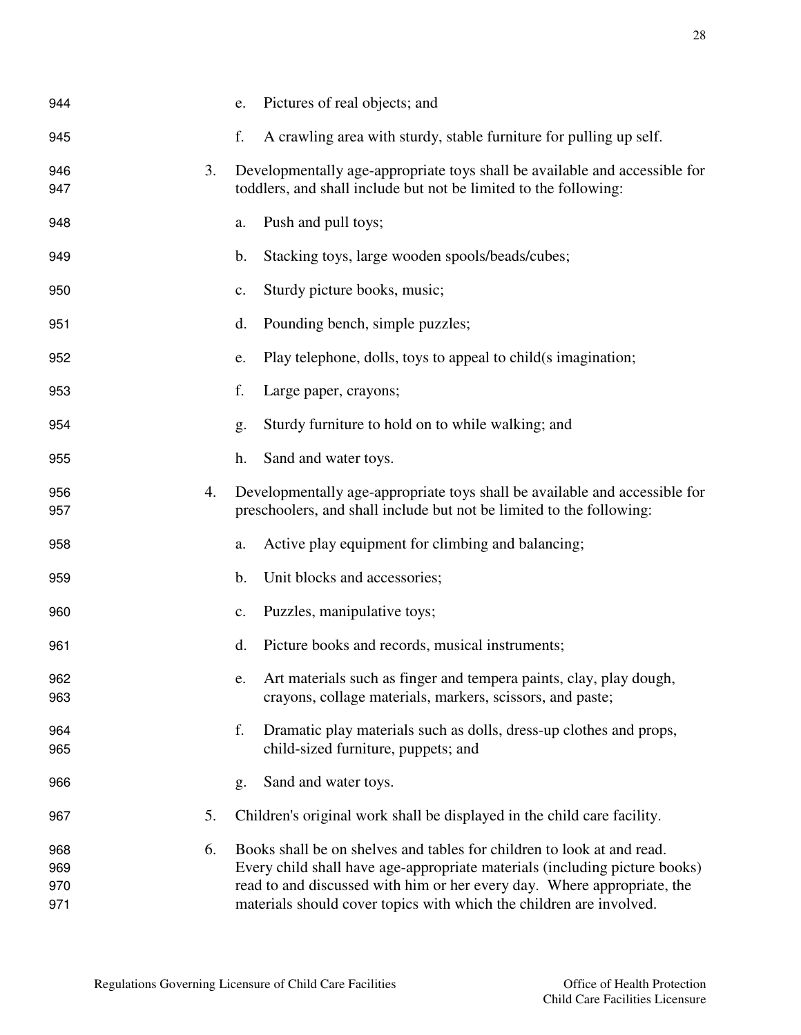| 944 |    | e.            | Pictures of real objects; and                                              |
|-----|----|---------------|----------------------------------------------------------------------------|
| 945 |    | f.            | A crawling area with sturdy, stable furniture for pulling up self.         |
| 946 | 3. |               | Developmentally age-appropriate toys shall be available and accessible for |
| 947 |    |               | toddlers, and shall include but not be limited to the following:           |
| 948 |    | a.            | Push and pull toys;                                                        |
| 949 |    | $\mathbf b$ . | Stacking toys, large wooden spools/beads/cubes;                            |
| 950 |    | c.            | Sturdy picture books, music;                                               |
| 951 |    | d.            | Pounding bench, simple puzzles;                                            |
| 952 |    | e.            | Play telephone, dolls, toys to appeal to child(s imagination;              |
| 953 |    | f.            | Large paper, crayons;                                                      |
| 954 |    | g.            | Sturdy furniture to hold on to while walking; and                          |
| 955 |    | h.            | Sand and water toys.                                                       |
| 956 | 4. |               | Developmentally age-appropriate toys shall be available and accessible for |
| 957 |    |               | preschoolers, and shall include but not be limited to the following:       |
| 958 |    | a.            | Active play equipment for climbing and balancing;                          |
| 959 |    | b.            | Unit blocks and accessories;                                               |
| 960 |    | c.            | Puzzles, manipulative toys;                                                |
| 961 |    | d.            | Picture books and records, musical instruments;                            |
| 962 |    | e.            | Art materials such as finger and tempera paints, clay, play dough,         |
| 963 |    |               | crayons, collage materials, markers, scissors, and paste;                  |
| 964 |    | f.            | Dramatic play materials such as dolls, dress-up clothes and props,         |
| 965 |    |               | child-sized furniture, puppets; and                                        |
| 966 |    | g.            | Sand and water toys.                                                       |
| 967 | 5. |               | Children's original work shall be displayed in the child care facility.    |
| 968 | 6. |               | Books shall be on shelves and tables for children to look at and read.     |
| 969 |    |               | Every child shall have age-appropriate materials (including picture books) |
| 970 |    |               | read to and discussed with him or her every day. Where appropriate, the    |
| 971 |    |               | materials should cover topics with which the children are involved.        |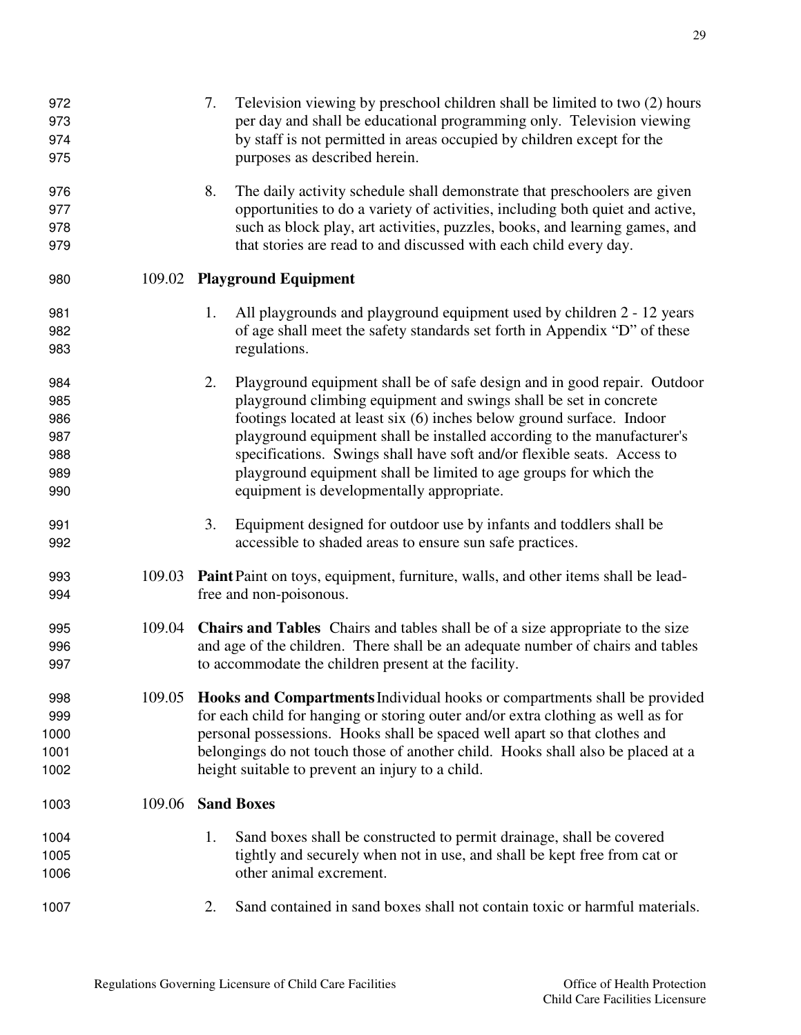| 973<br>974<br>975                             |        | per day and shall be educational programming only. Television viewing<br>by staff is not permitted in areas occupied by children except for the<br>purposes as described herein.                                                                                                                                                                                                                                                                                                                     |
|-----------------------------------------------|--------|------------------------------------------------------------------------------------------------------------------------------------------------------------------------------------------------------------------------------------------------------------------------------------------------------------------------------------------------------------------------------------------------------------------------------------------------------------------------------------------------------|
| 976<br>977<br>978<br>979                      |        | 8.<br>The daily activity schedule shall demonstrate that preschoolers are given<br>opportunities to do a variety of activities, including both quiet and active,<br>such as block play, art activities, puzzles, books, and learning games, and<br>that stories are read to and discussed with each child every day.                                                                                                                                                                                 |
| 980                                           |        | 109.02 Playground Equipment                                                                                                                                                                                                                                                                                                                                                                                                                                                                          |
| 981<br>982<br>983                             |        | All playgrounds and playground equipment used by children 2 - 12 years<br>1.<br>of age shall meet the safety standards set forth in Appendix "D" of these<br>regulations.                                                                                                                                                                                                                                                                                                                            |
| 984<br>985<br>986<br>987<br>988<br>989<br>990 |        | 2.<br>Playground equipment shall be of safe design and in good repair. Outdoor<br>playground climbing equipment and swings shall be set in concrete<br>footings located at least six (6) inches below ground surface. Indoor<br>playground equipment shall be installed according to the manufacturer's<br>specifications. Swings shall have soft and/or flexible seats. Access to<br>playground equipment shall be limited to age groups for which the<br>equipment is developmentally appropriate. |
| 991<br>992                                    |        | 3.<br>Equipment designed for outdoor use by infants and toddlers shall be<br>accessible to shaded areas to ensure sun safe practices.                                                                                                                                                                                                                                                                                                                                                                |
| 993<br>994                                    | 109.03 | <b>Paint</b> Paint on toys, equipment, furniture, walls, and other items shall be lead-<br>free and non-poisonous.                                                                                                                                                                                                                                                                                                                                                                                   |
| 995<br>996<br>997                             |        | 109.04 Chairs and Tables Chairs and tables shall be of a size appropriate to the size<br>and age of the children. There shall be an adequate number of chairs and tables<br>to accommodate the children present at the facility.                                                                                                                                                                                                                                                                     |
| 998<br>999<br>1000<br>1001<br>1002            |        | 109.05 Hooks and Compartments Individual hooks or compartments shall be provided<br>for each child for hanging or storing outer and/or extra clothing as well as for<br>personal possessions. Hooks shall be spaced well apart so that clothes and<br>belongings do not touch those of another child. Hooks shall also be placed at a<br>height suitable to prevent an injury to a child.                                                                                                            |
| 1003                                          | 109.06 | <b>Sand Boxes</b>                                                                                                                                                                                                                                                                                                                                                                                                                                                                                    |
| 1004<br>1005<br>1006                          |        | Sand boxes shall be constructed to permit drainage, shall be covered<br>1.<br>tightly and securely when not in use, and shall be kept free from cat or<br>other animal excrement.                                                                                                                                                                                                                                                                                                                    |
| 1007                                          |        | Sand contained in sand boxes shall not contain toxic or harmful materials.<br>2.                                                                                                                                                                                                                                                                                                                                                                                                                     |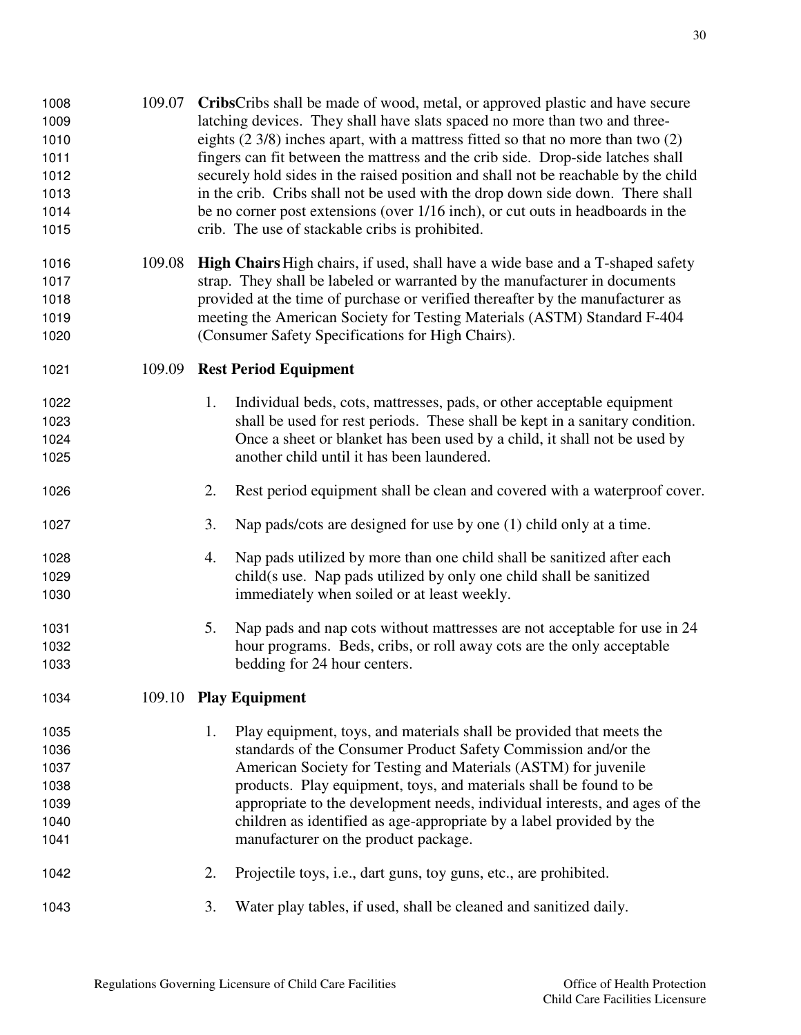| 1008<br>1009<br>1010<br>1011<br>1012<br>1013<br>1014<br>1015 | 109.07 | CribsCribs shall be made of wood, metal, or approved plastic and have secure<br>latching devices. They shall have slats spaced no more than two and three-<br>eights $(2\frac{3}{8})$ inches apart, with a mattress fitted so that no more than two $(2)$<br>fingers can fit between the mattress and the crib side. Drop-side latches shall<br>securely hold sides in the raised position and shall not be reachable by the child<br>in the crib. Cribs shall not be used with the drop down side down. There shall<br>be no corner post extensions (over 1/16 inch), or cut outs in headboards in the<br>crib. The use of stackable cribs is prohibited. |
|--------------------------------------------------------------|--------|------------------------------------------------------------------------------------------------------------------------------------------------------------------------------------------------------------------------------------------------------------------------------------------------------------------------------------------------------------------------------------------------------------------------------------------------------------------------------------------------------------------------------------------------------------------------------------------------------------------------------------------------------------|
| 1016<br>1017<br>1018<br>1019<br>1020                         | 109.08 | High Chairs High chairs, if used, shall have a wide base and a T-shaped safety<br>strap. They shall be labeled or warranted by the manufacturer in documents<br>provided at the time of purchase or verified thereafter by the manufacturer as<br>meeting the American Society for Testing Materials (ASTM) Standard F-404<br>(Consumer Safety Specifications for High Chairs).                                                                                                                                                                                                                                                                            |
| 1021                                                         | 109.09 | <b>Rest Period Equipment</b>                                                                                                                                                                                                                                                                                                                                                                                                                                                                                                                                                                                                                               |
| 1022<br>1023<br>1024<br>1025                                 |        | 1.<br>Individual beds, cots, mattresses, pads, or other acceptable equipment<br>shall be used for rest periods. These shall be kept in a sanitary condition.<br>Once a sheet or blanket has been used by a child, it shall not be used by<br>another child until it has been laundered.                                                                                                                                                                                                                                                                                                                                                                    |
| 1026                                                         |        | Rest period equipment shall be clean and covered with a waterproof cover.<br>2.                                                                                                                                                                                                                                                                                                                                                                                                                                                                                                                                                                            |
| 1027                                                         |        | 3.<br>Nap pads/cots are designed for use by one (1) child only at a time.                                                                                                                                                                                                                                                                                                                                                                                                                                                                                                                                                                                  |
| 1028<br>1029<br>1030                                         |        | Nap pads utilized by more than one child shall be sanitized after each<br>4.<br>child(s use. Nap pads utilized by only one child shall be sanitized<br>immediately when soiled or at least weekly.                                                                                                                                                                                                                                                                                                                                                                                                                                                         |
| 1031<br>1032<br>1033                                         |        | Nap pads and nap cots without mattresses are not acceptable for use in 24<br>5.<br>hour programs. Beds, cribs, or roll away cots are the only acceptable<br>bedding for 24 hour centers.                                                                                                                                                                                                                                                                                                                                                                                                                                                                   |
| 1034                                                         |        | 109.10 Play Equipment                                                                                                                                                                                                                                                                                                                                                                                                                                                                                                                                                                                                                                      |
| 1035<br>1036<br>1037<br>1038<br>1039<br>1040<br>1041         |        | Play equipment, toys, and materials shall be provided that meets the<br>1.<br>standards of the Consumer Product Safety Commission and/or the<br>American Society for Testing and Materials (ASTM) for juvenile<br>products. Play equipment, toys, and materials shall be found to be<br>appropriate to the development needs, individual interests, and ages of the<br>children as identified as age-appropriate by a label provided by the<br>manufacturer on the product package.                                                                                                                                                                        |
| 1042                                                         |        | 2.<br>Projectile toys, i.e., dart guns, toy guns, etc., are prohibited.                                                                                                                                                                                                                                                                                                                                                                                                                                                                                                                                                                                    |
| 1043                                                         |        | 3.<br>Water play tables, if used, shall be cleaned and sanitized daily.                                                                                                                                                                                                                                                                                                                                                                                                                                                                                                                                                                                    |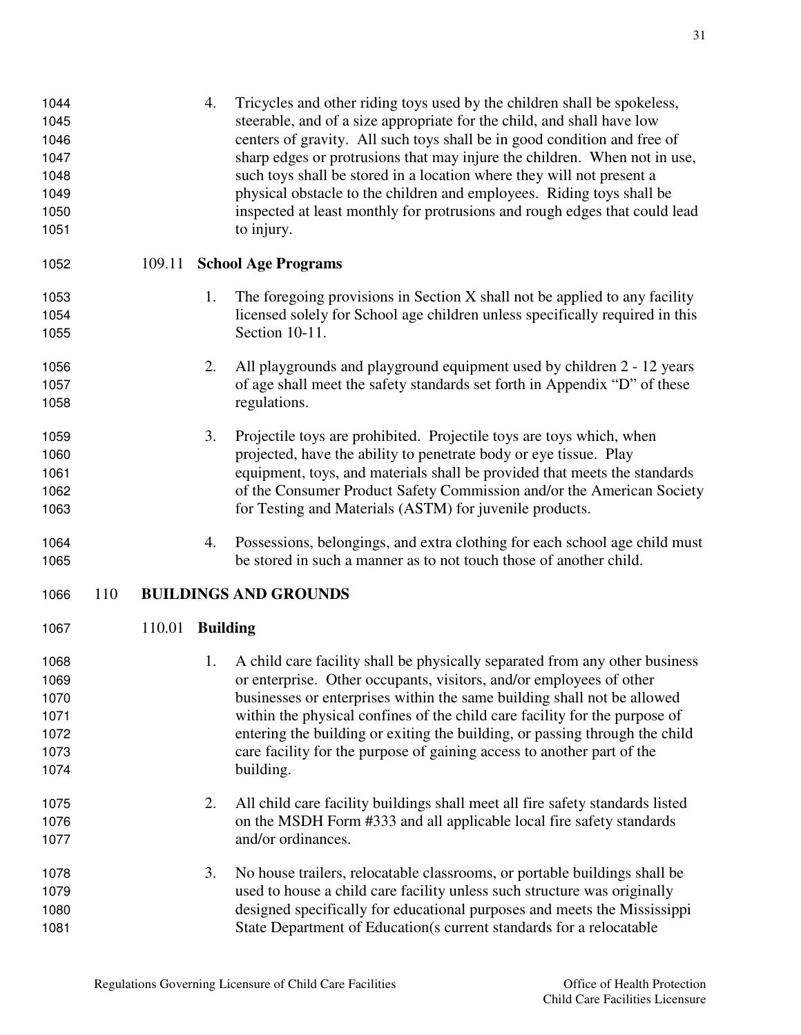| 1044<br>1045<br>1046<br>1047<br>1048<br>1049<br>1050<br>1051 |     |                        | 4. | Tricycles and other riding toys used by the children shall be spokeless,<br>steerable, and of a size appropriate for the child, and shall have low<br>centers of gravity. All such toys shall be in good condition and free of<br>sharp edges or protrusions that may injure the children. When not in use,<br>such toys shall be stored in a location where they will not present a<br>physical obstacle to the children and employees. Riding toys shall be<br>inspected at least monthly for protrusions and rough edges that could lead<br>to injury. |
|--------------------------------------------------------------|-----|------------------------|----|-----------------------------------------------------------------------------------------------------------------------------------------------------------------------------------------------------------------------------------------------------------------------------------------------------------------------------------------------------------------------------------------------------------------------------------------------------------------------------------------------------------------------------------------------------------|
| 1052                                                         |     | 109.11                 |    | <b>School Age Programs</b>                                                                                                                                                                                                                                                                                                                                                                                                                                                                                                                                |
| 1053                                                         |     |                        | 1. | The foregoing provisions in Section $X$ shall not be applied to any facility                                                                                                                                                                                                                                                                                                                                                                                                                                                                              |
| 1054                                                         |     |                        |    | licensed solely for School age children unless specifically required in this                                                                                                                                                                                                                                                                                                                                                                                                                                                                              |
| 1055                                                         |     |                        |    | Section 10-11.                                                                                                                                                                                                                                                                                                                                                                                                                                                                                                                                            |
| 1056                                                         |     |                        | 2. | All playgrounds and playground equipment used by children 2 - 12 years                                                                                                                                                                                                                                                                                                                                                                                                                                                                                    |
| 1057                                                         |     |                        |    | of age shall meet the safety standards set forth in Appendix "D" of these                                                                                                                                                                                                                                                                                                                                                                                                                                                                                 |
| 1058                                                         |     |                        |    | regulations.                                                                                                                                                                                                                                                                                                                                                                                                                                                                                                                                              |
| 1059                                                         |     |                        | 3. | Projectile toys are prohibited. Projectile toys are toys which, when                                                                                                                                                                                                                                                                                                                                                                                                                                                                                      |
| 1060                                                         |     |                        |    | projected, have the ability to penetrate body or eye tissue. Play                                                                                                                                                                                                                                                                                                                                                                                                                                                                                         |
| 1061                                                         |     |                        |    | equipment, toys, and materials shall be provided that meets the standards                                                                                                                                                                                                                                                                                                                                                                                                                                                                                 |
| 1062                                                         |     |                        |    | of the Consumer Product Safety Commission and/or the American Society                                                                                                                                                                                                                                                                                                                                                                                                                                                                                     |
| 1063                                                         |     |                        |    | for Testing and Materials (ASTM) for juvenile products.                                                                                                                                                                                                                                                                                                                                                                                                                                                                                                   |
| 1064                                                         |     |                        | 4. | Possessions, belongings, and extra clothing for each school age child must                                                                                                                                                                                                                                                                                                                                                                                                                                                                                |
| 1065                                                         |     |                        |    | be stored in such a manner as to not touch those of another child.                                                                                                                                                                                                                                                                                                                                                                                                                                                                                        |
| 1066                                                         | 110 |                        |    | <b>BUILDINGS AND GROUNDS</b>                                                                                                                                                                                                                                                                                                                                                                                                                                                                                                                              |
| 1067                                                         |     | 110.01 <b>Building</b> |    |                                                                                                                                                                                                                                                                                                                                                                                                                                                                                                                                                           |
| 1068                                                         |     |                        | 1. | A child care facility shall be physically separated from any other business                                                                                                                                                                                                                                                                                                                                                                                                                                                                               |
| 1069                                                         |     |                        |    | or enterprise. Other occupants, visitors, and/or employees of other                                                                                                                                                                                                                                                                                                                                                                                                                                                                                       |
| 1070                                                         |     |                        |    | businesses or enterprises within the same building shall not be allowed                                                                                                                                                                                                                                                                                                                                                                                                                                                                                   |
| 1071                                                         |     |                        |    | within the physical confines of the child care facility for the purpose of                                                                                                                                                                                                                                                                                                                                                                                                                                                                                |
| 1072                                                         |     |                        |    | entering the building or exiting the building, or passing through the child                                                                                                                                                                                                                                                                                                                                                                                                                                                                               |
| 1073                                                         |     |                        |    | care facility for the purpose of gaining access to another part of the                                                                                                                                                                                                                                                                                                                                                                                                                                                                                    |
| 1074                                                         |     |                        |    | building.                                                                                                                                                                                                                                                                                                                                                                                                                                                                                                                                                 |
|                                                              |     |                        |    |                                                                                                                                                                                                                                                                                                                                                                                                                                                                                                                                                           |
| 1075                                                         |     |                        | 2. | All child care facility buildings shall meet all fire safety standards listed                                                                                                                                                                                                                                                                                                                                                                                                                                                                             |
| 1076                                                         |     |                        |    | on the MSDH Form #333 and all applicable local fire safety standards                                                                                                                                                                                                                                                                                                                                                                                                                                                                                      |
| 1077                                                         |     |                        |    | and/or ordinances.                                                                                                                                                                                                                                                                                                                                                                                                                                                                                                                                        |
| 1078                                                         |     |                        | 3. | No house trailers, relocatable classrooms, or portable buildings shall be                                                                                                                                                                                                                                                                                                                                                                                                                                                                                 |
| 1079                                                         |     |                        |    | used to house a child care facility unless such structure was originally                                                                                                                                                                                                                                                                                                                                                                                                                                                                                  |
| 1080                                                         |     |                        |    | designed specifically for educational purposes and meets the Mississippi                                                                                                                                                                                                                                                                                                                                                                                                                                                                                  |
| 1081                                                         |     |                        |    | State Department of Education(s current standards for a relocatable                                                                                                                                                                                                                                                                                                                                                                                                                                                                                       |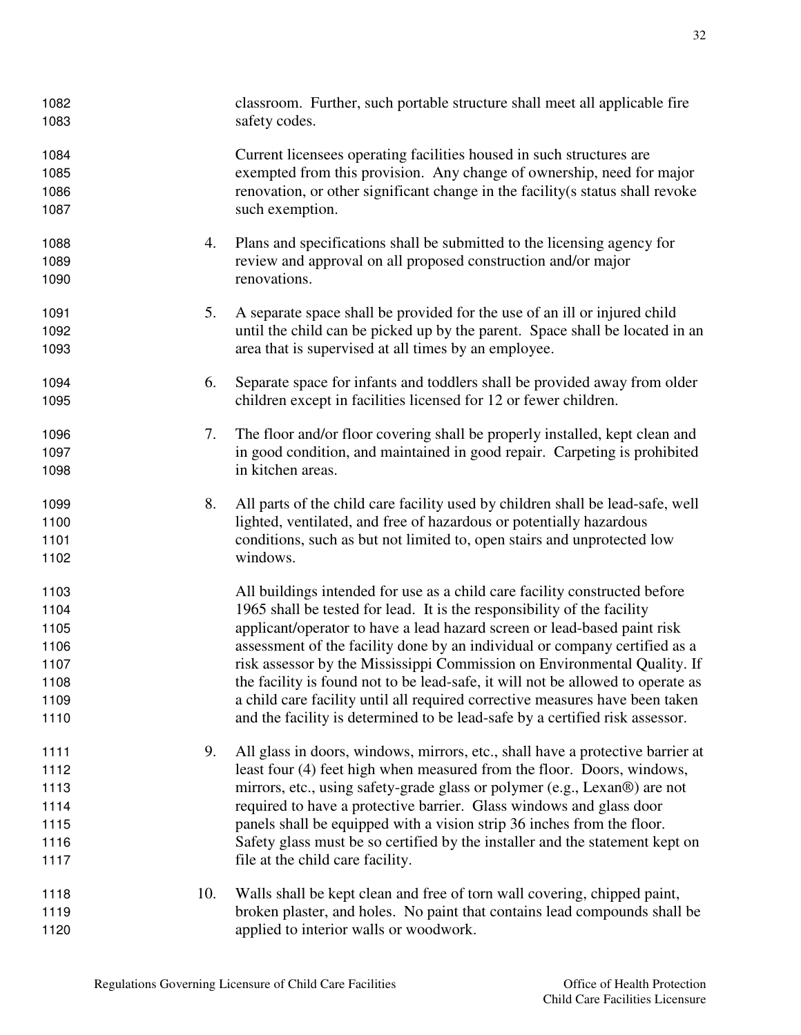| 1082<br>1083 |     | classroom. Further, such portable structure shall meet all applicable fire<br>safety codes.                                                   |
|--------------|-----|-----------------------------------------------------------------------------------------------------------------------------------------------|
| 1084         |     | Current licensees operating facilities housed in such structures are                                                                          |
| 1085         |     | exempted from this provision. Any change of ownership, need for major                                                                         |
| 1086         |     | renovation, or other significant change in the facility(s status shall revoke                                                                 |
| 1087         |     | such exemption.                                                                                                                               |
| 1088         | 4.  | Plans and specifications shall be submitted to the licensing agency for                                                                       |
| 1089         |     | review and approval on all proposed construction and/or major                                                                                 |
| 1090         |     | renovations.                                                                                                                                  |
| 1091         | 5.  | A separate space shall be provided for the use of an ill or injured child                                                                     |
| 1092         |     | until the child can be picked up by the parent. Space shall be located in an                                                                  |
| 1093         |     | area that is supervised at all times by an employee.                                                                                          |
| 1094<br>1095 | 6.  | Separate space for infants and toddlers shall be provided away from older<br>children except in facilities licensed for 12 or fewer children. |
| 1096         | 7.  | The floor and/or floor covering shall be properly installed, kept clean and                                                                   |
| 1097         |     | in good condition, and maintained in good repair. Carpeting is prohibited                                                                     |
| 1098         |     | in kitchen areas.                                                                                                                             |
| 1099         | 8.  | All parts of the child care facility used by children shall be lead-safe, well                                                                |
| 1100         |     | lighted, ventilated, and free of hazardous or potentially hazardous                                                                           |
| 1101         |     | conditions, such as but not limited to, open stairs and unprotected low                                                                       |
| 1102         |     | windows.                                                                                                                                      |
| 1103         |     | All buildings intended for use as a child care facility constructed before                                                                    |
| 1104         |     | 1965 shall be tested for lead. It is the responsibility of the facility                                                                       |
| 1105         |     | applicant/operator to have a lead hazard screen or lead-based paint risk                                                                      |
| 1106         |     | assessment of the facility done by an individual or company certified as a                                                                    |
| 1107         |     | risk assessor by the Mississippi Commission on Environmental Quality. If                                                                      |
| 1108         |     | the facility is found not to be lead-safe, it will not be allowed to operate as                                                               |
| 1109         |     | a child care facility until all required corrective measures have been taken                                                                  |
| 1110         |     | and the facility is determined to be lead-safe by a certified risk assessor.                                                                  |
| 1111         | 9.  | All glass in doors, windows, mirrors, etc., shall have a protective barrier at                                                                |
| 1112         |     | least four (4) feet high when measured from the floor. Doors, windows,                                                                        |
| 1113         |     | mirrors, etc., using safety-grade glass or polymer (e.g., Lexan®) are not                                                                     |
| 1114         |     | required to have a protective barrier. Glass windows and glass door                                                                           |
| 1115         |     | panels shall be equipped with a vision strip 36 inches from the floor.                                                                        |
| 1116         |     | Safety glass must be so certified by the installer and the statement kept on                                                                  |
| 1117         |     | file at the child care facility.                                                                                                              |
| 1118         | 10. | Walls shall be kept clean and free of torn wall covering, chipped paint,                                                                      |
| 1119         |     | broken plaster, and holes. No paint that contains lead compounds shall be                                                                     |
| 1120         |     | applied to interior walls or woodwork.                                                                                                        |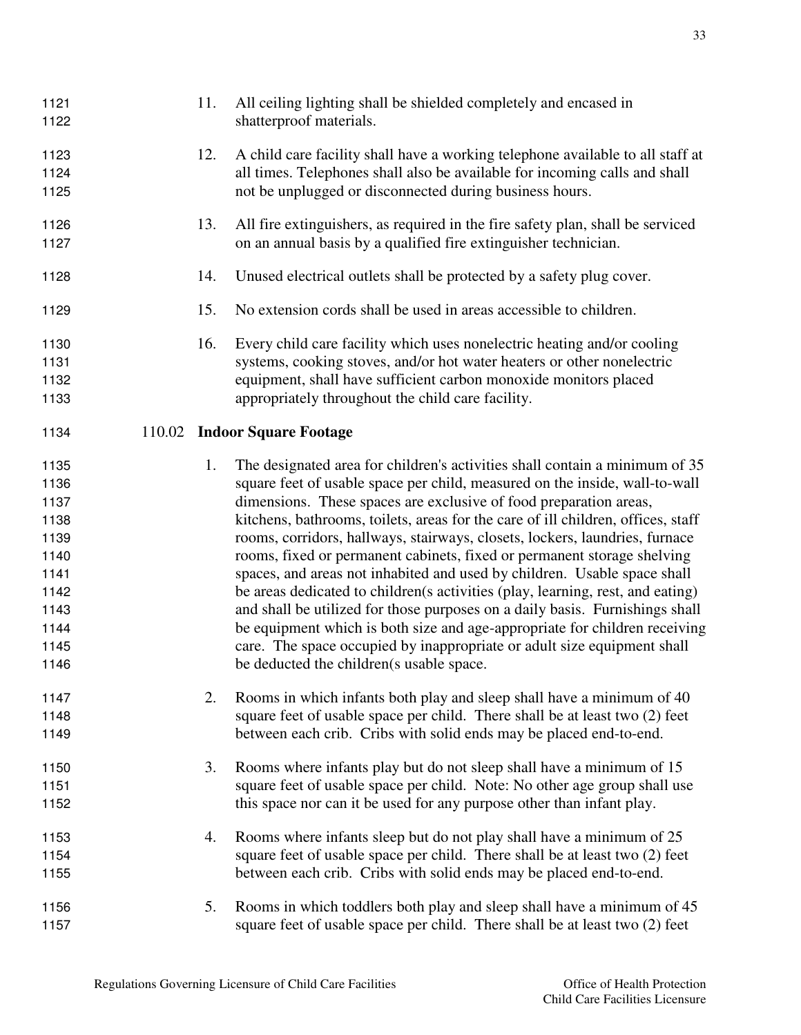| 1121<br>1122                 | 11. | All ceiling lighting shall be shielded completely and encased in<br>shatterproof materials.                                                                                                                                                                                                                            |
|------------------------------|-----|------------------------------------------------------------------------------------------------------------------------------------------------------------------------------------------------------------------------------------------------------------------------------------------------------------------------|
| 1123<br>1124<br>1125         | 12. | A child care facility shall have a working telephone available to all staff at<br>all times. Telephones shall also be available for incoming calls and shall<br>not be unplugged or disconnected during business hours.                                                                                                |
| 1126<br>1127                 | 13. | All fire extinguishers, as required in the fire safety plan, shall be serviced<br>on an annual basis by a qualified fire extinguisher technician.                                                                                                                                                                      |
| 1128                         | 14. | Unused electrical outlets shall be protected by a safety plug cover.                                                                                                                                                                                                                                                   |
| 1129                         | 15. | No extension cords shall be used in areas accessible to children.                                                                                                                                                                                                                                                      |
| 1130<br>1131<br>1132<br>1133 | 16. | Every child care facility which uses nonelectric heating and/or cooling<br>systems, cooking stoves, and/or hot water heaters or other nonelectric<br>equipment, shall have sufficient carbon monoxide monitors placed<br>appropriately throughout the child care facility.                                             |
| 1134                         |     | 110.02 Indoor Square Footage                                                                                                                                                                                                                                                                                           |
| 1135<br>1136<br>1137         | 1.  | The designated area for children's activities shall contain a minimum of 35<br>square feet of usable space per child, measured on the inside, wall-to-wall<br>dimensions. These spaces are exclusive of food preparation areas,                                                                                        |
| 1138<br>1139<br>1140<br>1141 |     | kitchens, bathrooms, toilets, areas for the care of ill children, offices, staff<br>rooms, corridors, hallways, stairways, closets, lockers, laundries, furnace<br>rooms, fixed or permanent cabinets, fixed or permanent storage shelving<br>spaces, and areas not inhabited and used by children. Usable space shall |
| 1142<br>1143<br>1144         |     | be areas dedicated to children(s activities (play, learning, rest, and eating)<br>and shall be utilized for those purposes on a daily basis. Furnishings shall<br>be equipment which is both size and age-appropriate for children receiving                                                                           |
| 1145<br>1146                 |     | care. The space occupied by inappropriate or adult size equipment shall<br>be deducted the children(s usable space.                                                                                                                                                                                                    |
| 1147<br>1148<br>1149         | 2.  | Rooms in which infants both play and sleep shall have a minimum of 40<br>square feet of usable space per child. There shall be at least two (2) feet<br>between each crib. Cribs with solid ends may be placed end-to-end.                                                                                             |
| 1150                         | 3.  | Rooms where infants play but do not sleep shall have a minimum of 15                                                                                                                                                                                                                                                   |
| 1151<br>1152                 |     | square feet of usable space per child. Note: No other age group shall use<br>this space nor can it be used for any purpose other than infant play.                                                                                                                                                                     |
| 1153<br>1154<br>1155         | 4.  | Rooms where infants sleep but do not play shall have a minimum of 25<br>square feet of usable space per child. There shall be at least two (2) feet<br>between each crib. Cribs with solid ends may be placed end-to-end.                                                                                              |
| 1156<br>1157                 | 5.  | Rooms in which toddlers both play and sleep shall have a minimum of 45<br>square feet of usable space per child. There shall be at least two (2) feet                                                                                                                                                                  |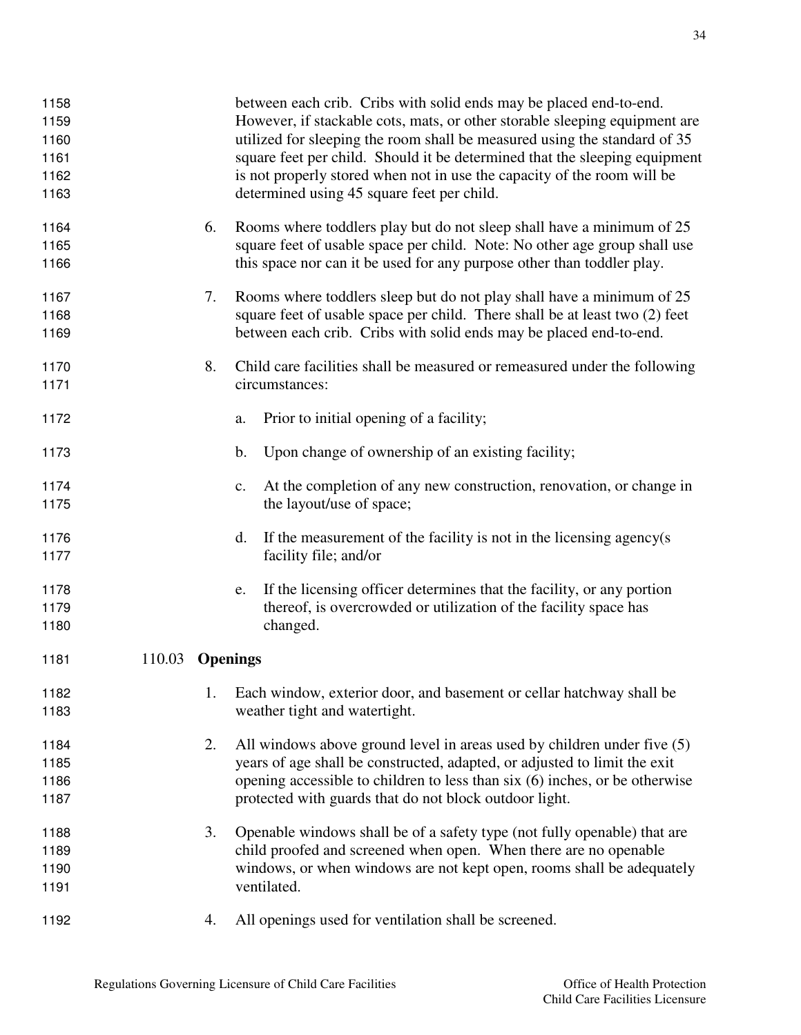| 1158<br>1159<br>1160<br>1161<br>1162<br>1163 |        |    | between each crib. Cribs with solid ends may be placed end-to-end.<br>However, if stackable cots, mats, or other storable sleeping equipment are<br>utilized for sleeping the room shall be measured using the standard of 35<br>square feet per child. Should it be determined that the sleeping equipment<br>is not properly stored when not in use the capacity of the room will be<br>determined using 45 square feet per child. |
|----------------------------------------------|--------|----|--------------------------------------------------------------------------------------------------------------------------------------------------------------------------------------------------------------------------------------------------------------------------------------------------------------------------------------------------------------------------------------------------------------------------------------|
| 1164<br>1165<br>1166                         |        | 6. | Rooms where toddlers play but do not sleep shall have a minimum of 25<br>square feet of usable space per child. Note: No other age group shall use<br>this space nor can it be used for any purpose other than toddler play.                                                                                                                                                                                                         |
| 1167<br>1168<br>1169                         |        | 7. | Rooms where toddlers sleep but do not play shall have a minimum of 25<br>square feet of usable space per child. There shall be at least two (2) feet<br>between each crib. Cribs with solid ends may be placed end-to-end.                                                                                                                                                                                                           |
| 1170<br>1171                                 |        | 8. | Child care facilities shall be measured or remeasured under the following<br>circumstances:                                                                                                                                                                                                                                                                                                                                          |
| 1172                                         |        |    | Prior to initial opening of a facility;<br>a.                                                                                                                                                                                                                                                                                                                                                                                        |
| 1173                                         |        |    | Upon change of ownership of an existing facility;<br>b.                                                                                                                                                                                                                                                                                                                                                                              |
| 1174<br>1175                                 |        |    | At the completion of any new construction, renovation, or change in<br>$\mathbf{c}$ .<br>the layout/use of space;                                                                                                                                                                                                                                                                                                                    |
| 1176<br>1177                                 |        |    | If the measurement of the facility is not in the licensing agency(s)<br>d.<br>facility file; and/or                                                                                                                                                                                                                                                                                                                                  |
| 1178<br>1179<br>1180                         |        |    | If the licensing officer determines that the facility, or any portion<br>e.<br>thereof, is overcrowded or utilization of the facility space has<br>changed.                                                                                                                                                                                                                                                                          |
| 1181                                         | 110.03 |    | <b>Openings</b>                                                                                                                                                                                                                                                                                                                                                                                                                      |
| 1182<br>1183                                 |        | 1. | Each window, exterior door, and basement or cellar hatchway shall be<br>weather tight and watertight.                                                                                                                                                                                                                                                                                                                                |
| 1184<br>1185<br>1186<br>1187                 |        | 2. | All windows above ground level in areas used by children under five (5)<br>years of age shall be constructed, adapted, or adjusted to limit the exit<br>opening accessible to children to less than six (6) inches, or be otherwise<br>protected with guards that do not block outdoor light.                                                                                                                                        |
| 1188<br>1189<br>1190<br>1191                 |        | 3. | Openable windows shall be of a safety type (not fully openable) that are<br>child proofed and screened when open. When there are no openable<br>windows, or when windows are not kept open, rooms shall be adequately<br>ventilated.                                                                                                                                                                                                 |
| 1192                                         |        | 4. | All openings used for ventilation shall be screened.                                                                                                                                                                                                                                                                                                                                                                                 |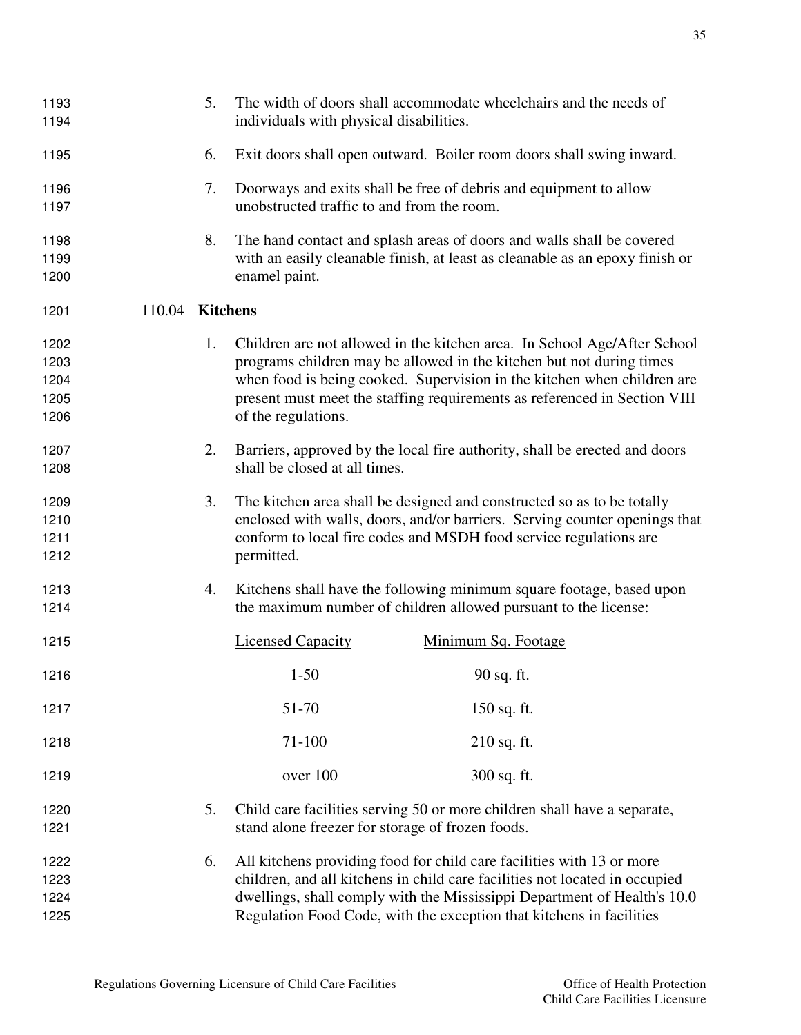| 1193<br>1194                         |                 | 5. | individuals with physical disabilities.          | The width of doors shall accommodate wheelchairs and the needs of                                                                                                                                                                                                                                        |
|--------------------------------------|-----------------|----|--------------------------------------------------|----------------------------------------------------------------------------------------------------------------------------------------------------------------------------------------------------------------------------------------------------------------------------------------------------------|
| 1195                                 |                 | 6. |                                                  | Exit doors shall open outward. Boiler room doors shall swing inward.                                                                                                                                                                                                                                     |
| 1196<br>1197                         |                 | 7. | unobstructed traffic to and from the room.       | Doorways and exits shall be free of debris and equipment to allow                                                                                                                                                                                                                                        |
| 1198<br>1199<br>1200                 |                 | 8. | enamel paint.                                    | The hand contact and splash areas of doors and walls shall be covered<br>with an easily cleanable finish, at least as cleanable as an epoxy finish or                                                                                                                                                    |
| 1201                                 | 110.04 Kitchens |    |                                                  |                                                                                                                                                                                                                                                                                                          |
| 1202<br>1203<br>1204<br>1205<br>1206 |                 | 1. | of the regulations.                              | Children are not allowed in the kitchen area. In School Age/After School<br>programs children may be allowed in the kitchen but not during times<br>when food is being cooked. Supervision in the kitchen when children are<br>present must meet the staffing requirements as referenced in Section VIII |
| 1207<br>1208                         |                 | 2. | shall be closed at all times.                    | Barriers, approved by the local fire authority, shall be erected and doors                                                                                                                                                                                                                               |
| 1209<br>1210<br>1211<br>1212         |                 | 3. | permitted.                                       | The kitchen area shall be designed and constructed so as to be totally<br>enclosed with walls, doors, and/or barriers. Serving counter openings that<br>conform to local fire codes and MSDH food service regulations are                                                                                |
| 1213<br>1214                         |                 | 4. |                                                  | Kitchens shall have the following minimum square footage, based upon<br>the maximum number of children allowed pursuant to the license:                                                                                                                                                                  |
| 1215                                 |                 |    | <b>Licensed Capacity</b>                         | Minimum Sq. Footage                                                                                                                                                                                                                                                                                      |
| 1216                                 |                 |    | $1 - 50$                                         | 90 sq. ft.                                                                                                                                                                                                                                                                                               |
| 1217                                 |                 |    | 51-70                                            | 150 sq. ft.                                                                                                                                                                                                                                                                                              |
| 1218                                 |                 |    | 71-100                                           | $210$ sq. ft.                                                                                                                                                                                                                                                                                            |
| 1219                                 |                 |    | over 100                                         | 300 sq. ft.                                                                                                                                                                                                                                                                                              |
| 1220<br>1221                         |                 | 5. | stand alone freezer for storage of frozen foods. | Child care facilities serving 50 or more children shall have a separate,                                                                                                                                                                                                                                 |
| 1222<br>1223<br>1224<br>1225         |                 | 6. |                                                  | All kitchens providing food for child care facilities with 13 or more<br>children, and all kitchens in child care facilities not located in occupied<br>dwellings, shall comply with the Mississippi Department of Health's 10.0<br>Regulation Food Code, with the exception that kitchens in facilities |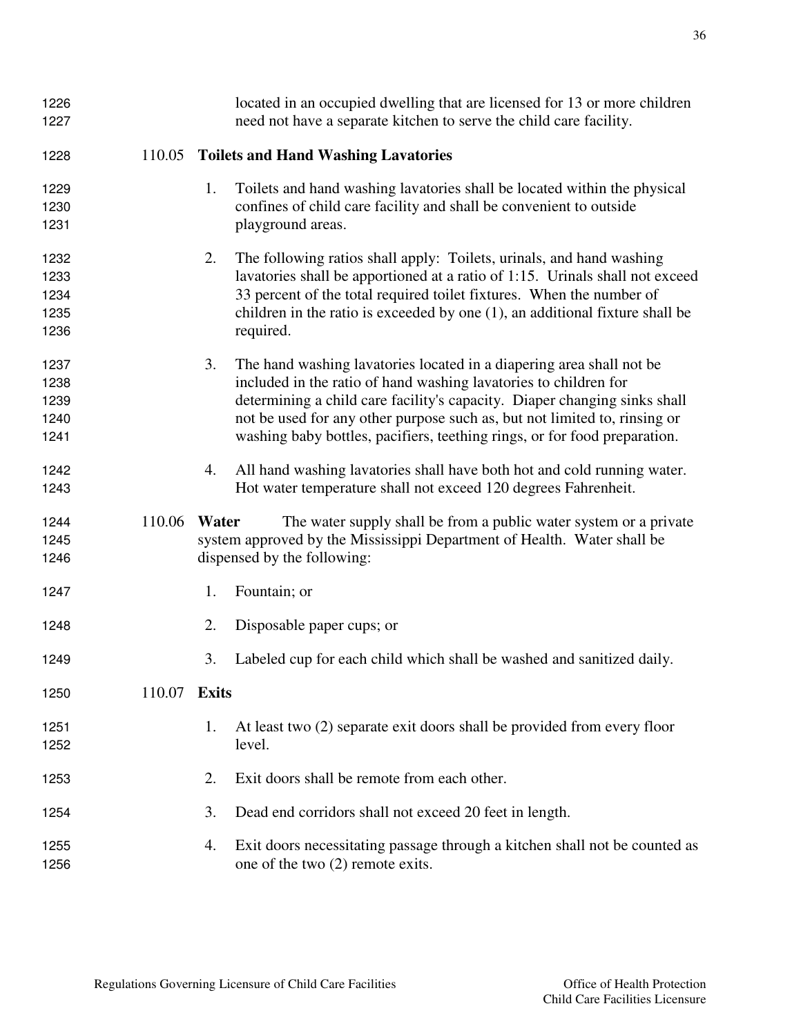| 1226<br>1227 |              |    | located in an occupied dwelling that are licensed for 13 or more children<br>need not have a separate kitchen to serve the child care facility. |
|--------------|--------------|----|-------------------------------------------------------------------------------------------------------------------------------------------------|
| 1228         | 110.05       |    | <b>Toilets and Hand Washing Lavatories</b>                                                                                                      |
| 1229         |              | 1. | Toilets and hand washing lavatories shall be located within the physical                                                                        |
| 1230         |              |    | confines of child care facility and shall be convenient to outside                                                                              |
| 1231         |              |    | playground areas.                                                                                                                               |
| 1232         |              | 2. | The following ratios shall apply: Toilets, urinals, and hand washing                                                                            |
| 1233         |              |    | lavatories shall be apportioned at a ratio of 1:15. Urinals shall not exceed                                                                    |
| 1234         |              |    | 33 percent of the total required toilet fixtures. When the number of                                                                            |
| 1235         |              |    | children in the ratio is exceeded by one $(1)$ , an additional fixture shall be                                                                 |
| 1236         |              |    | required.                                                                                                                                       |
| 1237         |              | 3. | The hand washing lavatories located in a diapering area shall not be                                                                            |
| 1238         |              |    | included in the ratio of hand washing lavatories to children for                                                                                |
| 1239         |              |    | determining a child care facility's capacity. Diaper changing sinks shall                                                                       |
| 1240         |              |    | not be used for any other purpose such as, but not limited to, rinsing or                                                                       |
| 1241         |              |    | washing baby bottles, pacifiers, teething rings, or for food preparation.                                                                       |
| 1242         |              | 4. | All hand washing lavatories shall have both hot and cold running water.                                                                         |
| 1243         |              |    | Hot water temperature shall not exceed 120 degrees Fahrenheit.                                                                                  |
| 1244         | 110.06 Water |    | The water supply shall be from a public water system or a private                                                                               |
| 1245         |              |    | system approved by the Mississippi Department of Health. Water shall be                                                                         |
| 1246         |              |    | dispensed by the following:                                                                                                                     |
| 1247         |              | 1. | Fountain; or                                                                                                                                    |
| 1248         |              | 2. | Disposable paper cups; or                                                                                                                       |
| 1249         |              | 3. | Labeled cup for each child which shall be washed and sanitized daily.                                                                           |
| 1250         | 110.07 Exits |    |                                                                                                                                                 |
| 1251         |              | 1. | At least two (2) separate exit doors shall be provided from every floor                                                                         |
|              |              |    |                                                                                                                                                 |
| 1252         |              |    | level.                                                                                                                                          |
| 1253         |              | 2. | Exit doors shall be remote from each other.                                                                                                     |
| 1254         |              | 3. | Dead end corridors shall not exceed 20 feet in length.                                                                                          |
|              |              | 4. |                                                                                                                                                 |
| 1255         |              |    | Exit doors necessitating passage through a kitchen shall not be counted as                                                                      |
| 1256         |              |    | one of the two (2) remote exits.                                                                                                                |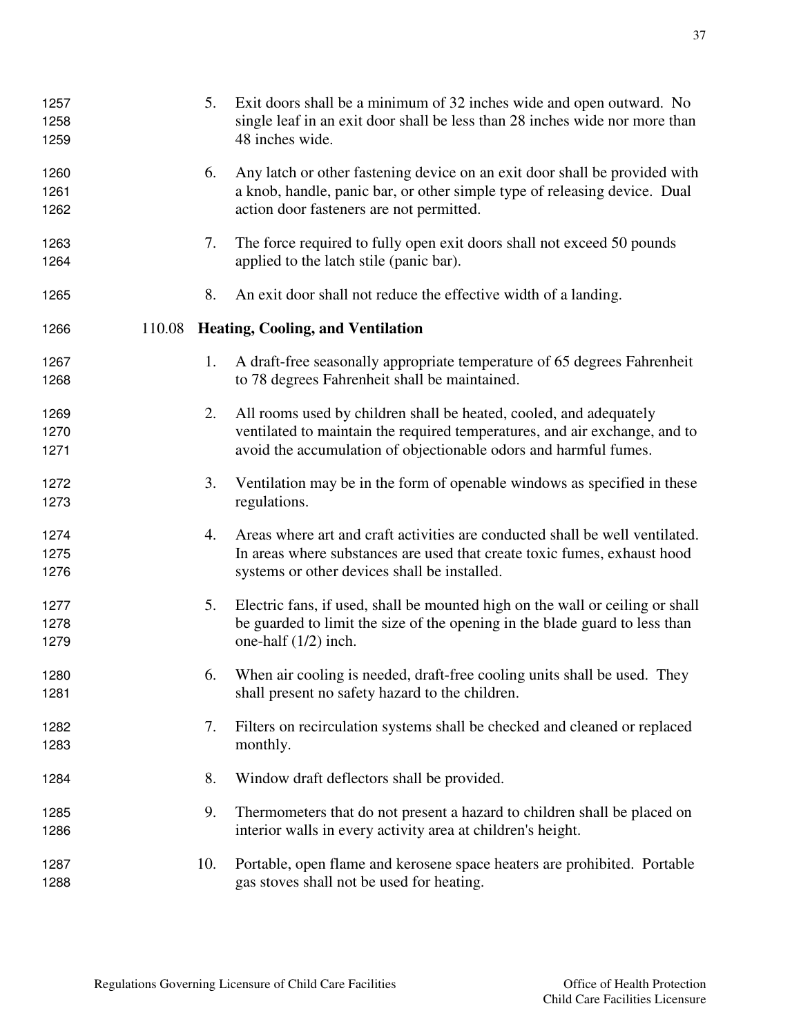| 1257<br>1258<br>1259 | 5.  | Exit doors shall be a minimum of 32 inches wide and open outward. No<br>single leaf in an exit door shall be less than 28 inches wide nor more than<br>48 inches wide.                                               |
|----------------------|-----|----------------------------------------------------------------------------------------------------------------------------------------------------------------------------------------------------------------------|
| 1260<br>1261<br>1262 | 6.  | Any latch or other fastening device on an exit door shall be provided with<br>a knob, handle, panic bar, or other simple type of releasing device. Dual<br>action door fasteners are not permitted.                  |
| 1263<br>1264         | 7.  | The force required to fully open exit doors shall not exceed 50 pounds<br>applied to the latch stile (panic bar).                                                                                                    |
| 1265                 | 8.  | An exit door shall not reduce the effective width of a landing.                                                                                                                                                      |
| 1266                 |     | 110.08 Heating, Cooling, and Ventilation                                                                                                                                                                             |
| 1267<br>1268         | 1.  | A draft-free seasonally appropriate temperature of 65 degrees Fahrenheit<br>to 78 degrees Fahrenheit shall be maintained.                                                                                            |
| 1269<br>1270<br>1271 | 2.  | All rooms used by children shall be heated, cooled, and adequately<br>ventilated to maintain the required temperatures, and air exchange, and to<br>avoid the accumulation of objectionable odors and harmful fumes. |
| 1272<br>1273         | 3.  | Ventilation may be in the form of openable windows as specified in these<br>regulations.                                                                                                                             |
| 1274<br>1275<br>1276 | 4.  | Areas where art and craft activities are conducted shall be well ventilated.<br>In areas where substances are used that create toxic fumes, exhaust hood<br>systems or other devices shall be installed.             |
| 1277<br>1278<br>1279 | 5.  | Electric fans, if used, shall be mounted high on the wall or ceiling or shall<br>be guarded to limit the size of the opening in the blade guard to less than<br>one-half $(1/2)$ inch.                               |
| 1280<br>1281         |     | 6. When air cooling is needed, draft-free cooling units shall be used. They<br>shall present no safety hazard to the children.                                                                                       |
| 1282<br>1283         | 7.  | Filters on recirculation systems shall be checked and cleaned or replaced<br>monthly.                                                                                                                                |
| 1284                 | 8.  | Window draft deflectors shall be provided.                                                                                                                                                                           |
| 1285<br>1286         | 9.  | Thermometers that do not present a hazard to children shall be placed on<br>interior walls in every activity area at children's height.                                                                              |
| 1287<br>1288         | 10. | Portable, open flame and kerosene space heaters are prohibited. Portable<br>gas stoves shall not be used for heating.                                                                                                |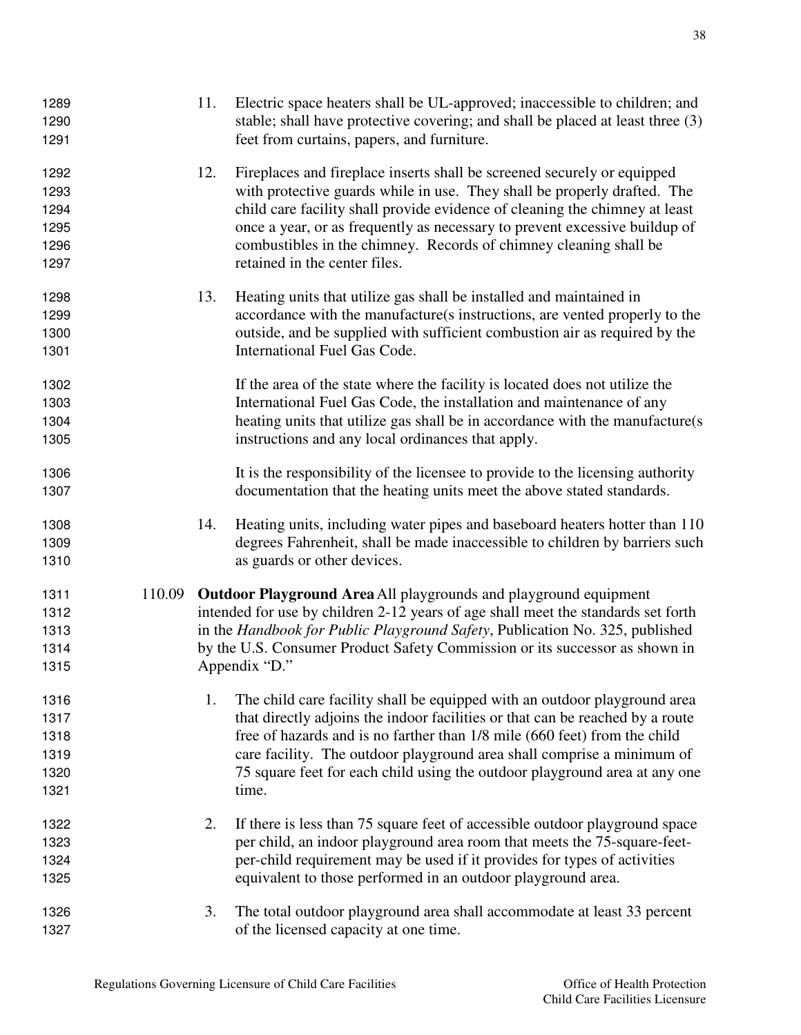| 1289<br>1290<br>1291                         |        | 11. | Electric space heaters shall be UL-approved; inaccessible to children; and<br>stable; shall have protective covering; and shall be placed at least three (3)<br>feet from curtains, papers, and furniture.                                                                                                                                                                                                             |
|----------------------------------------------|--------|-----|------------------------------------------------------------------------------------------------------------------------------------------------------------------------------------------------------------------------------------------------------------------------------------------------------------------------------------------------------------------------------------------------------------------------|
| 1292<br>1293<br>1294<br>1295<br>1296<br>1297 |        | 12. | Fireplaces and fireplace inserts shall be screened securely or equipped<br>with protective guards while in use. They shall be properly drafted. The<br>child care facility shall provide evidence of cleaning the chimney at least<br>once a year, or as frequently as necessary to prevent excessive buildup of<br>combustibles in the chimney. Records of chimney cleaning shall be<br>retained in the center files. |
| 1298<br>1299<br>1300<br>1301                 |        | 13. | Heating units that utilize gas shall be installed and maintained in<br>accordance with the manufacture(s instructions, are vented properly to the<br>outside, and be supplied with sufficient combustion air as required by the<br>International Fuel Gas Code.                                                                                                                                                        |
| 1302<br>1303<br>1304<br>1305                 |        |     | If the area of the state where the facility is located does not utilize the<br>International Fuel Gas Code, the installation and maintenance of any<br>heating units that utilize gas shall be in accordance with the manufacture(s)<br>instructions and any local ordinances that apply.                                                                                                                              |
| 1306<br>1307                                 |        |     | It is the responsibility of the licensee to provide to the licensing authority<br>documentation that the heating units meet the above stated standards.                                                                                                                                                                                                                                                                |
| 1308<br>1309<br>1310                         |        | 14. | Heating units, including water pipes and baseboard heaters hotter than 110<br>degrees Fahrenheit, shall be made inaccessible to children by barriers such<br>as guards or other devices.                                                                                                                                                                                                                               |
| 1311<br>1312<br>1313<br>1314<br>1315         | 110.09 |     | Outdoor Playground Area All playgrounds and playground equipment<br>intended for use by children 2-12 years of age shall meet the standards set forth<br>in the Handbook for Public Playground Safety, Publication No. 325, published<br>by the U.S. Consumer Product Safety Commission or its successor as shown in<br>Appendix "D."                                                                                  |
| 1316<br>1317<br>1318<br>1319<br>1320<br>1321 |        | 1.  | The child care facility shall be equipped with an outdoor playground area<br>that directly adjoins the indoor facilities or that can be reached by a route<br>free of hazards and is no farther than 1/8 mile (660 feet) from the child<br>care facility. The outdoor playground area shall comprise a minimum of<br>75 square feet for each child using the outdoor playground area at any one<br>time.               |
| 1322<br>1323<br>1324<br>1325                 |        | 2.  | If there is less than 75 square feet of accessible outdoor playground space<br>per child, an indoor playground area room that meets the 75-square-feet-<br>per-child requirement may be used if it provides for types of activities<br>equivalent to those performed in an outdoor playground area.                                                                                                                    |
| 1326<br>1327                                 |        | 3.  | The total outdoor playground area shall accommodate at least 33 percent<br>of the licensed capacity at one time.                                                                                                                                                                                                                                                                                                       |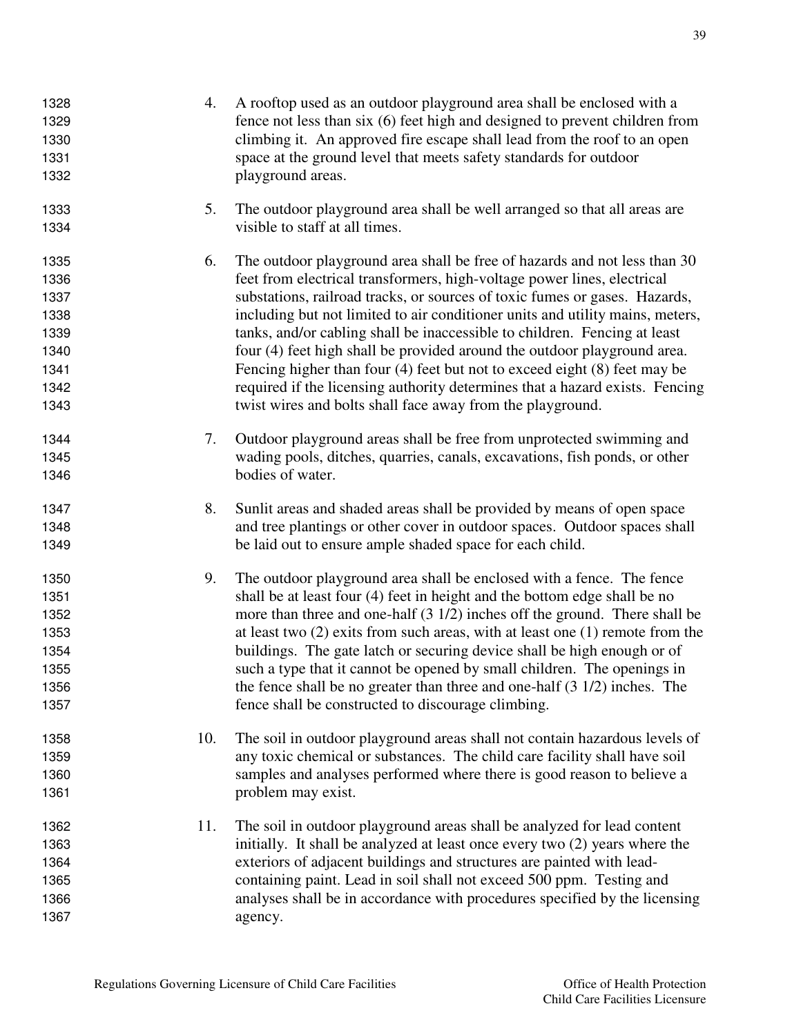| 1328<br>1329<br>1330<br>1331<br>1332                                 | 4.  | A rooftop used as an outdoor playground area shall be enclosed with a<br>fence not less than six (6) feet high and designed to prevent children from<br>climbing it. An approved fire escape shall lead from the roof to an open<br>space at the ground level that meets safety standards for outdoor<br>playground areas.                                                                                                                                                                                                                                                                                                                                                                                  |
|----------------------------------------------------------------------|-----|-------------------------------------------------------------------------------------------------------------------------------------------------------------------------------------------------------------------------------------------------------------------------------------------------------------------------------------------------------------------------------------------------------------------------------------------------------------------------------------------------------------------------------------------------------------------------------------------------------------------------------------------------------------------------------------------------------------|
| 1333<br>1334                                                         | 5.  | The outdoor playground area shall be well arranged so that all areas are<br>visible to staff at all times.                                                                                                                                                                                                                                                                                                                                                                                                                                                                                                                                                                                                  |
| 1335<br>1336<br>1337<br>1338<br>1339<br>1340<br>1341<br>1342<br>1343 | 6.  | The outdoor playground area shall be free of hazards and not less than 30<br>feet from electrical transformers, high-voltage power lines, electrical<br>substations, railroad tracks, or sources of toxic fumes or gases. Hazards,<br>including but not limited to air conditioner units and utility mains, meters,<br>tanks, and/or cabling shall be inaccessible to children. Fencing at least<br>four (4) feet high shall be provided around the outdoor playground area.<br>Fencing higher than four $(4)$ feet but not to exceed eight $(8)$ feet may be<br>required if the licensing authority determines that a hazard exists. Fencing<br>twist wires and bolts shall face away from the playground. |
| 1344<br>1345<br>1346                                                 | 7.  | Outdoor playground areas shall be free from unprotected swimming and<br>wading pools, ditches, quarries, canals, excavations, fish ponds, or other<br>bodies of water.                                                                                                                                                                                                                                                                                                                                                                                                                                                                                                                                      |
| 1347<br>1348<br>1349                                                 | 8.  | Sunlit areas and shaded areas shall be provided by means of open space<br>and tree plantings or other cover in outdoor spaces. Outdoor spaces shall<br>be laid out to ensure ample shaded space for each child.                                                                                                                                                                                                                                                                                                                                                                                                                                                                                             |
| 1350<br>1351<br>1352<br>1353<br>1354<br>1355<br>1356<br>1357         | 9.  | The outdoor playground area shall be enclosed with a fence. The fence<br>shall be at least four (4) feet in height and the bottom edge shall be no<br>more than three and one-half $(3\ 1/2)$ inches off the ground. There shall be<br>at least two $(2)$ exits from such areas, with at least one $(1)$ remote from the<br>buildings. The gate latch or securing device shall be high enough or of<br>such a type that it cannot be opened by small children. The openings in<br>the fence shall be no greater than three and one-half $(3\ 1/2)$ inches. The<br>fence shall be constructed to discourage climbing.                                                                                        |
| 1358<br>1359<br>1360<br>1361                                         | 10. | The soil in outdoor playground areas shall not contain hazardous levels of<br>any toxic chemical or substances. The child care facility shall have soil<br>samples and analyses performed where there is good reason to believe a<br>problem may exist.                                                                                                                                                                                                                                                                                                                                                                                                                                                     |
| 1362<br>1363<br>1364<br>1365<br>1366<br>1367                         | 11. | The soil in outdoor playground areas shall be analyzed for lead content<br>initially. It shall be analyzed at least once every two (2) years where the<br>exteriors of adjacent buildings and structures are painted with lead-<br>containing paint. Lead in soil shall not exceed 500 ppm. Testing and<br>analyses shall be in accordance with procedures specified by the licensing<br>agency.                                                                                                                                                                                                                                                                                                            |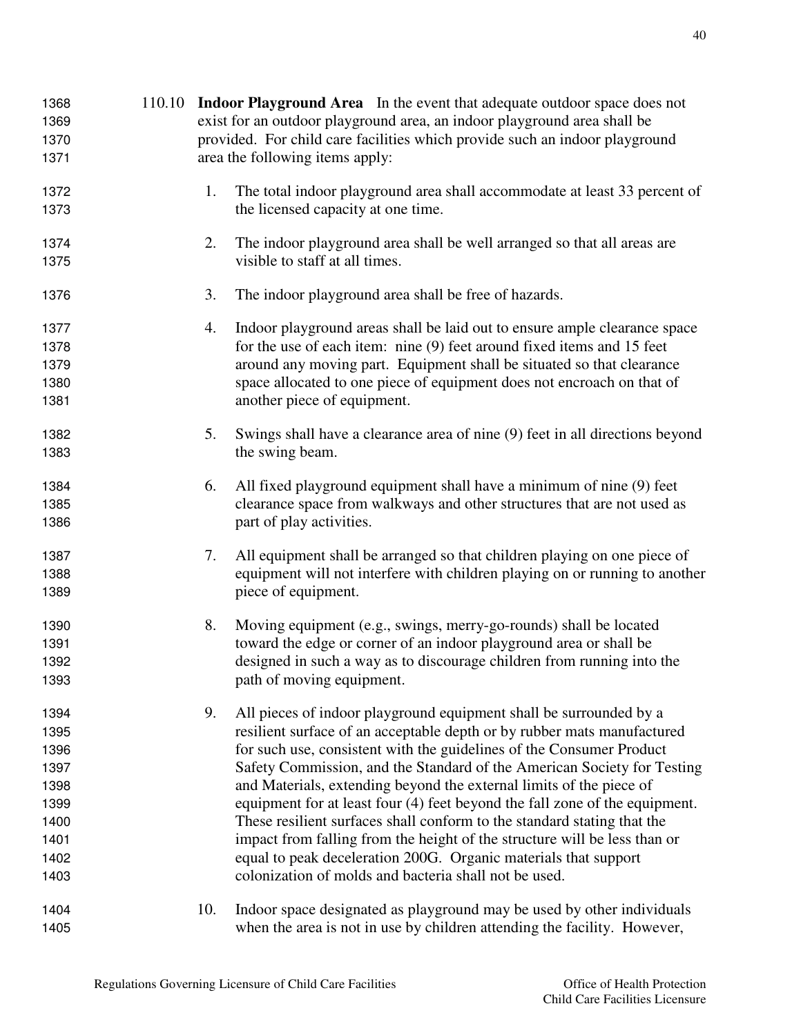| 1368 |     | 110.10 Indoor Playground Area In the event that adequate outdoor space does not |  |  |  |  |
|------|-----|---------------------------------------------------------------------------------|--|--|--|--|
| 1369 |     | exist for an outdoor playground area, an indoor playground area shall be        |  |  |  |  |
| 1370 |     | provided. For child care facilities which provide such an indoor playground     |  |  |  |  |
| 1371 |     | area the following items apply:                                                 |  |  |  |  |
| 1372 | 1.  | The total indoor playground area shall accommodate at least 33 percent of       |  |  |  |  |
| 1373 |     | the licensed capacity at one time.                                              |  |  |  |  |
| 1374 | 2.  | The indoor playground area shall be well arranged so that all areas are         |  |  |  |  |
| 1375 |     | visible to staff at all times.                                                  |  |  |  |  |
| 1376 | 3.  | The indoor playground area shall be free of hazards.                            |  |  |  |  |
| 1377 | 4.  | Indoor playground areas shall be laid out to ensure ample clearance space       |  |  |  |  |
| 1378 |     | for the use of each item: nine (9) feet around fixed items and 15 feet          |  |  |  |  |
| 1379 |     | around any moving part. Equipment shall be situated so that clearance           |  |  |  |  |
| 1380 |     | space allocated to one piece of equipment does not encroach on that of          |  |  |  |  |
| 1381 |     | another piece of equipment.                                                     |  |  |  |  |
| 1382 | 5.  | Swings shall have a clearance area of nine (9) feet in all directions beyond    |  |  |  |  |
| 1383 |     | the swing beam.                                                                 |  |  |  |  |
| 1384 | 6.  | All fixed playground equipment shall have a minimum of nine (9) feet            |  |  |  |  |
| 1385 |     | clearance space from walkways and other structures that are not used as         |  |  |  |  |
| 1386 |     | part of play activities.                                                        |  |  |  |  |
| 1387 | 7.  | All equipment shall be arranged so that children playing on one piece of        |  |  |  |  |
| 1388 |     | equipment will not interfere with children playing on or running to another     |  |  |  |  |
| 1389 |     | piece of equipment.                                                             |  |  |  |  |
| 1390 | 8.  | Moving equipment (e.g., swings, merry-go-rounds) shall be located               |  |  |  |  |
| 1391 |     | toward the edge or corner of an indoor playground area or shall be              |  |  |  |  |
| 1392 |     | designed in such a way as to discourage children from running into the          |  |  |  |  |
| 1393 |     | path of moving equipment.                                                       |  |  |  |  |
| 1394 | 9.  | All pieces of indoor playground equipment shall be surrounded by a              |  |  |  |  |
| 1395 |     | resilient surface of an acceptable depth or by rubber mats manufactured         |  |  |  |  |
| 1396 |     | for such use, consistent with the guidelines of the Consumer Product            |  |  |  |  |
| 1397 |     | Safety Commission, and the Standard of the American Society for Testing         |  |  |  |  |
| 1398 |     | and Materials, extending beyond the external limits of the piece of             |  |  |  |  |
| 1399 |     | equipment for at least four (4) feet beyond the fall zone of the equipment.     |  |  |  |  |
| 1400 |     | These resilient surfaces shall conform to the standard stating that the         |  |  |  |  |
| 1401 |     | impact from falling from the height of the structure will be less than or       |  |  |  |  |
| 1402 |     | equal to peak deceleration 200G. Organic materials that support                 |  |  |  |  |
| 1403 |     | colonization of molds and bacteria shall not be used.                           |  |  |  |  |
| 1404 | 10. | Indoor space designated as playground may be used by other individuals          |  |  |  |  |
| 1405 |     | when the area is not in use by children attending the facility. However,        |  |  |  |  |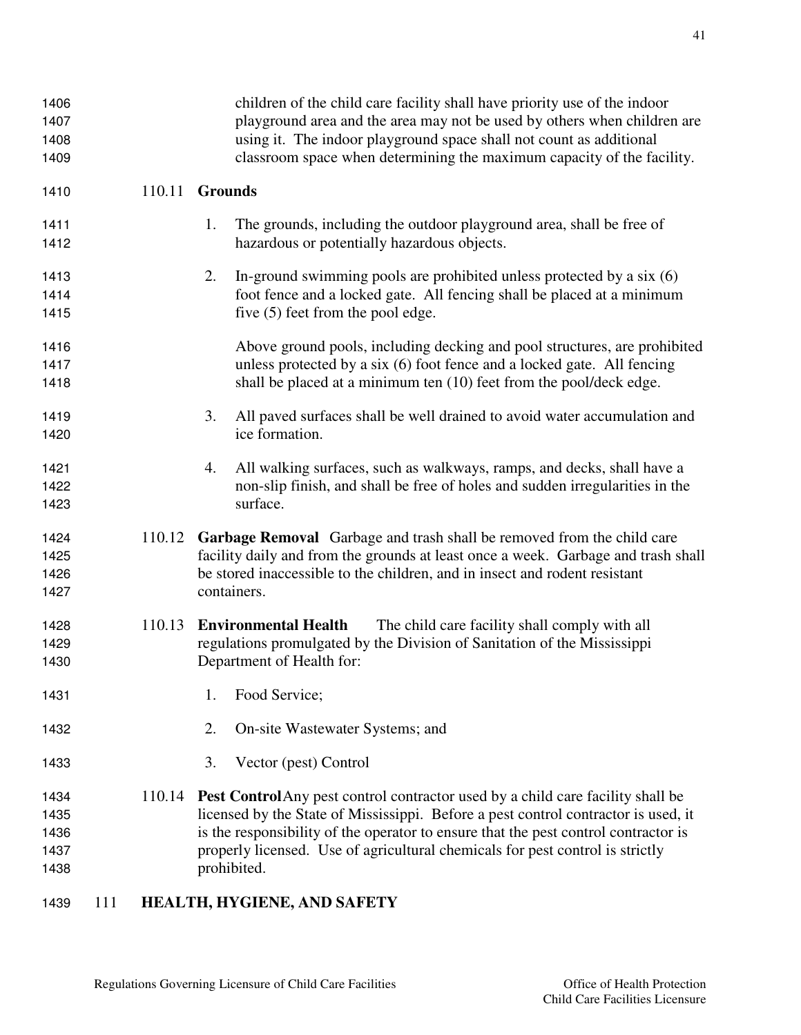| 1406 |     |        | children of the child care facility shall have priority use of the indoor              |
|------|-----|--------|----------------------------------------------------------------------------------------|
| 1407 |     |        | playground area and the area may not be used by others when children are               |
| 1408 |     |        | using it. The indoor playground space shall not count as additional                    |
| 1409 |     |        | classroom space when determining the maximum capacity of the facility.                 |
| 1410 |     | 110.11 | <b>Grounds</b>                                                                         |
| 1411 |     |        | The grounds, including the outdoor playground area, shall be free of<br>1.             |
| 1412 |     |        | hazardous or potentially hazardous objects.                                            |
| 1413 |     |        | 2.<br>In-ground swimming pools are prohibited unless protected by a six $(6)$          |
| 1414 |     |        | foot fence and a locked gate. All fencing shall be placed at a minimum                 |
| 1415 |     |        | five (5) feet from the pool edge.                                                      |
| 1416 |     |        | Above ground pools, including decking and pool structures, are prohibited              |
| 1417 |     |        | unless protected by a six (6) foot fence and a locked gate. All fencing                |
| 1418 |     |        | shall be placed at a minimum ten (10) feet from the pool/deck edge.                    |
| 1419 |     |        | All paved surfaces shall be well drained to avoid water accumulation and<br>3.         |
| 1420 |     |        | ice formation.                                                                         |
| 1421 |     |        | All walking surfaces, such as walkways, ramps, and decks, shall have a<br>4.           |
| 1422 |     |        | non-slip finish, and shall be free of holes and sudden irregularities in the           |
| 1423 |     |        | surface.                                                                               |
| 1424 |     | 110.12 | Garbage Removal Garbage and trash shall be removed from the child care                 |
| 1425 |     |        | facility daily and from the grounds at least once a week. Garbage and trash shall      |
| 1426 |     |        | be stored inaccessible to the children, and in insect and rodent resistant             |
| 1427 |     |        | containers.                                                                            |
| 1428 |     | 110.13 | <b>Environmental Health</b><br>The child care facility shall comply with all           |
| 1429 |     |        | regulations promulgated by the Division of Sanitation of the Mississippi               |
| 1430 |     |        | Department of Health for:                                                              |
| 1431 |     |        | Food Service;<br>1.                                                                    |
| 1432 |     |        | On-site Wastewater Systems; and<br>2.                                                  |
| 1433 |     |        | Vector (pest) Control<br>3.                                                            |
| 1434 |     |        | 110.14 Pest Control Any pest control contractor used by a child care facility shall be |
| 1435 |     |        | licensed by the State of Mississippi. Before a pest control contractor is used, it     |
| 1436 |     |        | is the responsibility of the operator to ensure that the pest control contractor is    |
| 1437 |     |        | properly licensed. Use of agricultural chemicals for pest control is strictly          |
| 1438 |     |        | prohibited.                                                                            |
| 1439 | 111 |        | HEALTH, HYGIENE, AND SAFETY                                                            |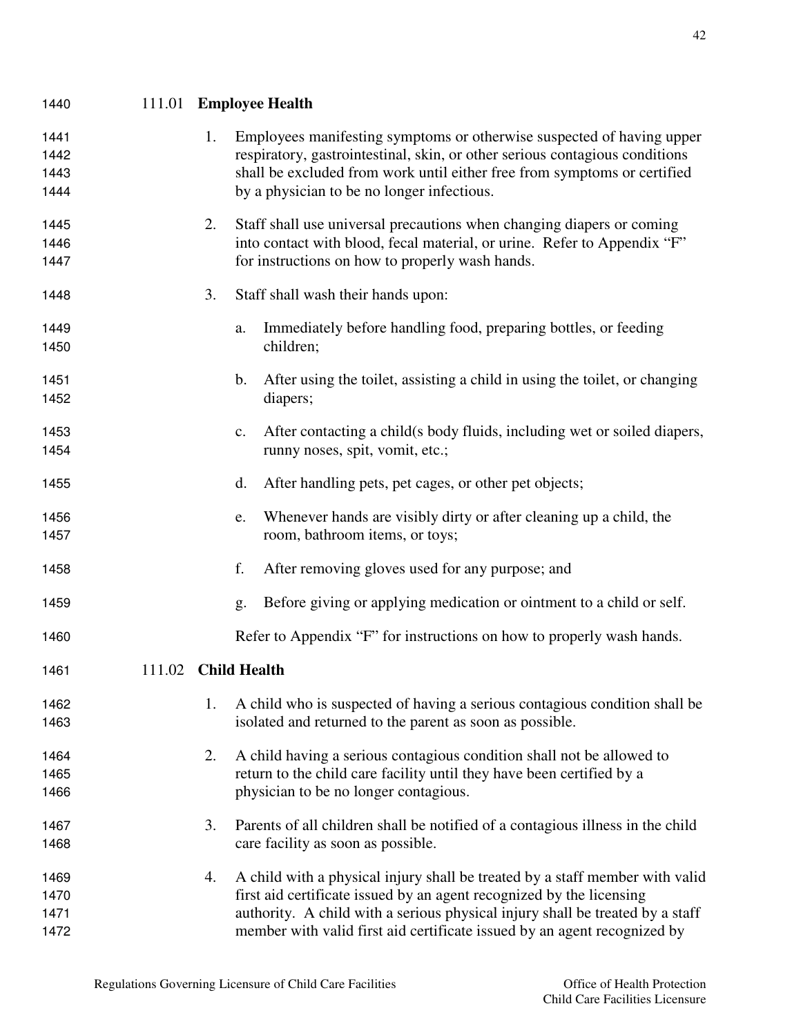| 1454                         |        |                     |    | runny noses, spit, vomit, etc.;                                                                                                                                                                                                                                                                                   |                                                                |
|------------------------------|--------|---------------------|----|-------------------------------------------------------------------------------------------------------------------------------------------------------------------------------------------------------------------------------------------------------------------------------------------------------------------|----------------------------------------------------------------|
| 1455                         |        |                     | d. | After handling pets, pet cages, or other pet objects;                                                                                                                                                                                                                                                             |                                                                |
| 1456<br>1457                 |        |                     | e. | Whenever hands are visibly dirty or after cleaning up a child, the<br>room, bathroom items, or toys;                                                                                                                                                                                                              |                                                                |
| 1458                         |        |                     | f. | After removing gloves used for any purpose; and                                                                                                                                                                                                                                                                   |                                                                |
| 1459                         |        |                     | g. | Before giving or applying medication or ointment to a child or self.                                                                                                                                                                                                                                              |                                                                |
| 1460                         |        |                     |    | Refer to Appendix "F" for instructions on how to properly wash hands.                                                                                                                                                                                                                                             |                                                                |
| 1461                         | 111.02 | <b>Child Health</b> |    |                                                                                                                                                                                                                                                                                                                   |                                                                |
| 1462<br>1463                 |        | 1.                  |    | A child who is suspected of having a serious contagious condition shall be<br>isolated and returned to the parent as soon as possible.                                                                                                                                                                            |                                                                |
| 1464<br>1465<br>1466         |        | 2.                  |    | A child having a serious contagious condition shall not be allowed to<br>return to the child care facility until they have been certified by a<br>physician to be no longer contagious.                                                                                                                           |                                                                |
| 1467<br>1468                 |        | 3.                  |    | Parents of all children shall be notified of a contagious illness in the child<br>care facility as soon as possible.                                                                                                                                                                                              |                                                                |
| 1469<br>1470<br>1471<br>1472 |        | 4.                  |    | A child with a physical injury shall be treated by a staff member with valid<br>first aid certificate issued by an agent recognized by the licensing<br>authority. A child with a serious physical injury shall be treated by a staff<br>member with valid first aid certificate issued by an agent recognized by |                                                                |
|                              |        |                     |    | Regulations Governing Licensure of Child Care Facilities                                                                                                                                                                                                                                                          | Office of Health Protection<br>Child Care Facilities Licensure |
|                              |        |                     |    |                                                                                                                                                                                                                                                                                                                   |                                                                |
|                              |        |                     |    |                                                                                                                                                                                                                                                                                                                   |                                                                |

1441 1. Employees manifesting symptoms or otherwise suspected of having upper respiratory, gastrointestinal, skin, or other serious contagious conditions shall be excluded from work until either free from symptoms or certified

2. Staff shall use universal precautions when changing diapers or coming 1446 into contact with blood, fecal material, or urine. Refer to Appendix "F"

a. Immediately before handling food, preparing bottles, or feeding

b. After using the toilet, assisting a child in using the toilet, or changing

c. After contacting a child(s body fluids, including wet or soiled diapers,

#### 111.01 **Employee Health**

children;

diapers;

1444 by a physician to be no longer infectious.

3. Staff shall wash their hands upon:

for instructions on how to properly wash hands.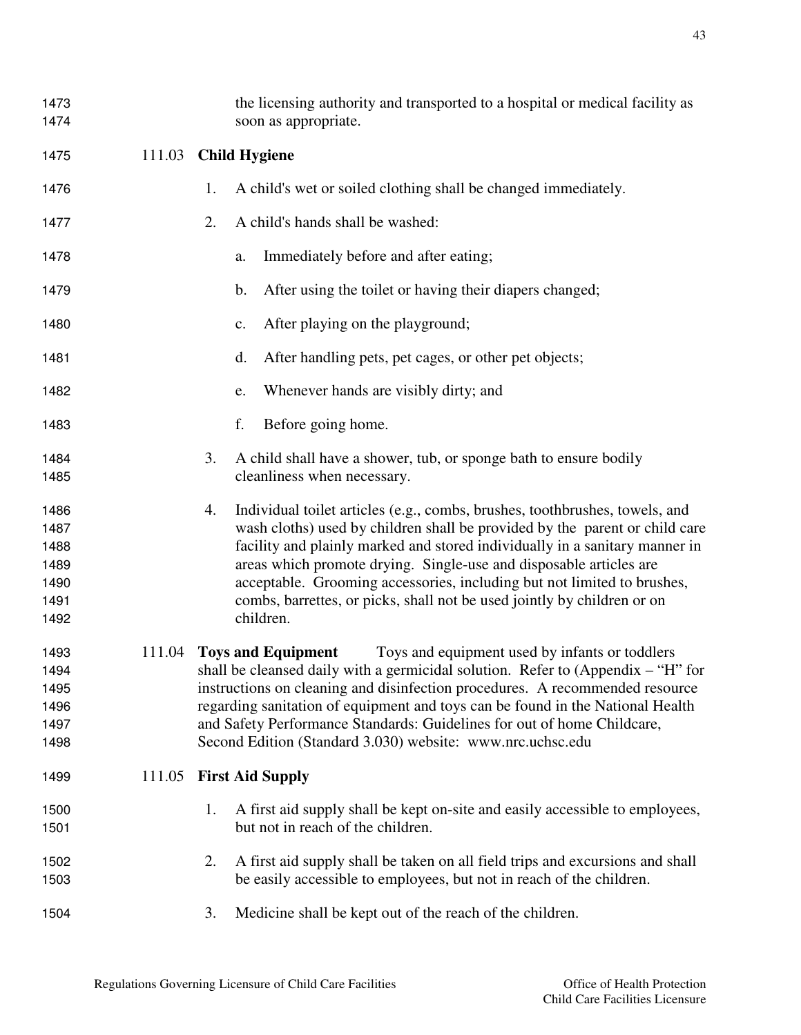| 1473<br>1474 |        | the licensing authority and transported to a hospital or medical facility as<br>soon as appropriate. |
|--------------|--------|------------------------------------------------------------------------------------------------------|
|              |        |                                                                                                      |
| 1475         | 111.03 | <b>Child Hygiene</b>                                                                                 |
| 1476         |        | A child's wet or soiled clothing shall be changed immediately.<br>1.                                 |
| 1477         |        | A child's hands shall be washed:<br>2.                                                               |
| 1478         |        | Immediately before and after eating;<br>a.                                                           |
| 1479         |        | After using the toilet or having their diapers changed;<br>b.                                        |
| 1480         |        | After playing on the playground;<br>c.                                                               |
| 1481         |        | d.<br>After handling pets, pet cages, or other pet objects;                                          |
| 1482         |        | Whenever hands are visibly dirty; and<br>e.                                                          |
| 1483         |        | f.<br>Before going home.                                                                             |
| 1484         |        | 3.<br>A child shall have a shower, tub, or sponge bath to ensure bodily                              |
| 1485         |        | cleanliness when necessary.                                                                          |
| 1486         |        | Individual toilet articles (e.g., combs, brushes, toothbrushes, towels, and<br>4.                    |
| 1487         |        | wash cloths) used by children shall be provided by the parent or child care                          |
| 1488         |        | facility and plainly marked and stored individually in a sanitary manner in                          |
| 1489         |        | areas which promote drying. Single-use and disposable articles are                                   |
| 1490         |        | acceptable. Grooming accessories, including but not limited to brushes,                              |
| 1491         |        | combs, barrettes, or picks, shall not be used jointly by children or on                              |
| 1492         |        | children.                                                                                            |
| 1493         | 111.04 | Toys and equipment used by infants or toddlers<br><b>Toys and Equipment</b>                          |
| 1494         |        | shall be cleansed daily with a germicidal solution. Refer to (Appendix $-$ "H" for                   |
| 1495         |        | instructions on cleaning and disinfection procedures. A recommended resource                         |
| 1496         |        | regarding sanitation of equipment and toys can be found in the National Health                       |
| 1497         |        | and Safety Performance Standards: Guidelines for out of home Childcare,                              |
| 1498         |        | Second Edition (Standard 3.030) website: www.nrc.uchsc.edu                                           |
| 1499         | 111.05 | <b>First Aid Supply</b>                                                                              |
| 1500         |        | A first aid supply shall be kept on-site and easily accessible to employees,<br>1.                   |
| 1501         |        | but not in reach of the children.                                                                    |
| 1502         |        | A first aid supply shall be taken on all field trips and excursions and shall<br>2.                  |
| 1503         |        | be easily accessible to employees, but not in reach of the children.                                 |
| 1504         |        | Medicine shall be kept out of the reach of the children.<br>3.                                       |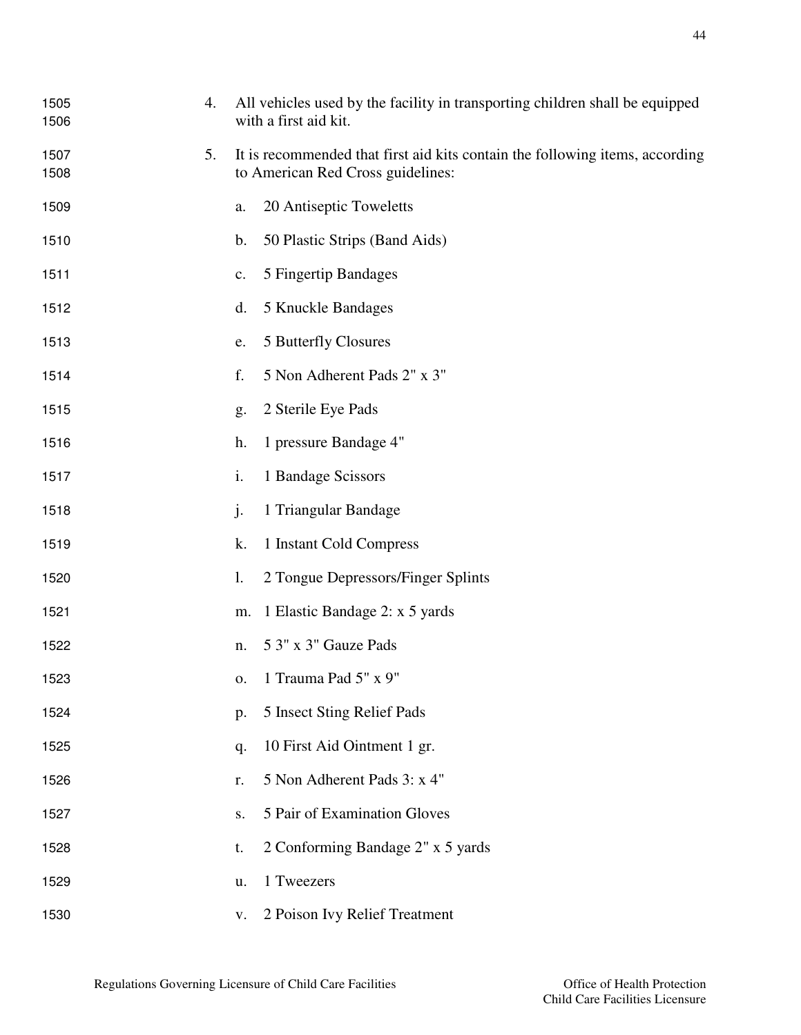| 1505<br>1506 | 4. | All vehicles used by the facility in transporting children shall be equipped<br>with a first aid kit.             |  |  |  |
|--------------|----|-------------------------------------------------------------------------------------------------------------------|--|--|--|
| 1507<br>1508 | 5. | It is recommended that first aid kits contain the following items, according<br>to American Red Cross guidelines: |  |  |  |
| 1509         |    | 20 Antiseptic Toweletts<br>a.                                                                                     |  |  |  |
| 1510         |    | 50 Plastic Strips (Band Aids)<br>$\mathbf b$ .                                                                    |  |  |  |
| 1511         |    | 5 Fingertip Bandages<br>$\mathbf{c}$ .                                                                            |  |  |  |
| 1512         |    | 5 Knuckle Bandages<br>d.                                                                                          |  |  |  |
| 1513         |    | 5 Butterfly Closures<br>e.                                                                                        |  |  |  |
| 1514         |    | 5 Non Adherent Pads 2" x 3"<br>f.                                                                                 |  |  |  |
| 1515         |    | 2 Sterile Eye Pads<br>g.                                                                                          |  |  |  |
| 1516         |    | 1 pressure Bandage 4"<br>h.                                                                                       |  |  |  |
| 1517         |    | 1 Bandage Scissors<br>i.                                                                                          |  |  |  |
| 1518         |    | j.<br>1 Triangular Bandage                                                                                        |  |  |  |
| 1519         |    | k.<br>1 Instant Cold Compress                                                                                     |  |  |  |
| 1520         |    | 2 Tongue Depressors/Finger Splints<br>1.                                                                          |  |  |  |
| 1521         |    | 1 Elastic Bandage 2: x 5 yards<br>m.                                                                              |  |  |  |
| 1522         |    | 5 3" x 3" Gauze Pads<br>n.                                                                                        |  |  |  |
| 1523         |    | o. 1 Trauma Pad $5" \times 9"$                                                                                    |  |  |  |
| 1524         |    | 5 Insect Sting Relief Pads<br>p.                                                                                  |  |  |  |
| 1525         |    | 10 First Aid Ointment 1 gr.<br>q.                                                                                 |  |  |  |
| 1526         |    | 5 Non Adherent Pads 3: x 4"<br>r.                                                                                 |  |  |  |
| 1527         |    | 5 Pair of Examination Gloves<br>S.                                                                                |  |  |  |
| 1528         |    | 2 Conforming Bandage 2" x 5 yards<br>t.                                                                           |  |  |  |
| 1529         |    | 1 Tweezers<br>u.                                                                                                  |  |  |  |
| 1530         |    | 2 Poison Ivy Relief Treatment<br>V.                                                                               |  |  |  |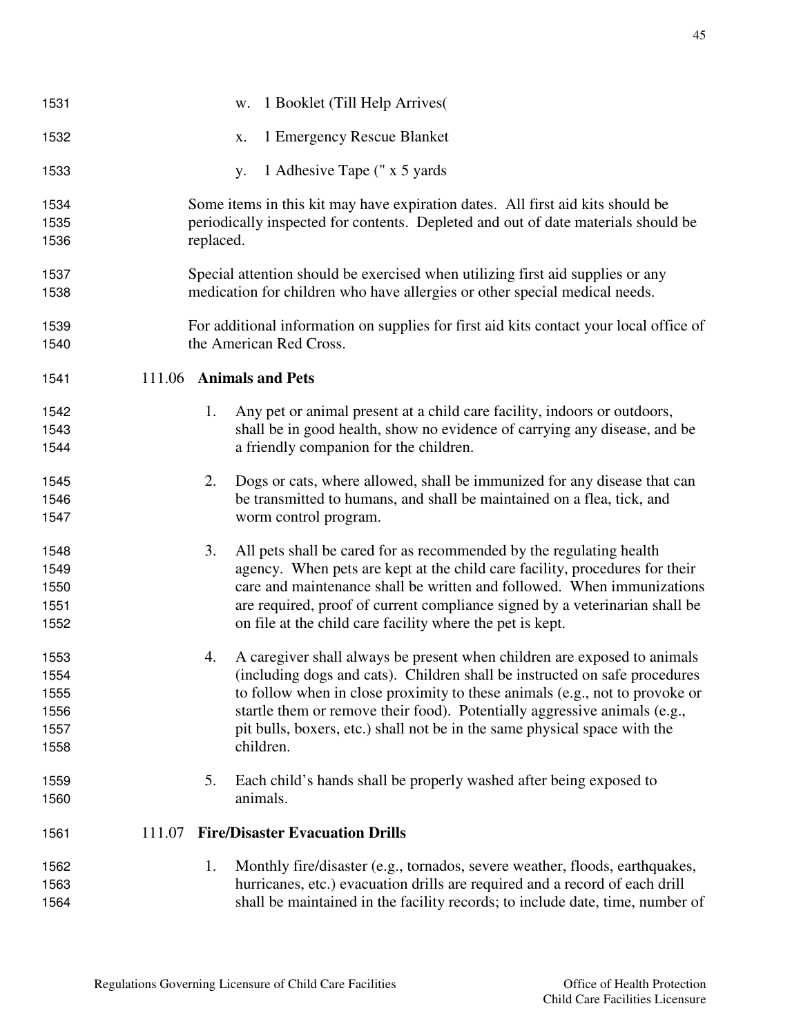| 1531 |                         | w. 1 Booklet (Till Help Arrives)                                                       |
|------|-------------------------|----------------------------------------------------------------------------------------|
| 1532 |                         | 1 Emergency Rescue Blanket<br>X.                                                       |
| 1533 |                         | 1 Adhesive Tape (" x 5 yards<br><b>y.</b>                                              |
| 1534 |                         | Some items in this kit may have expiration dates. All first aid kits should be         |
| 1535 |                         | periodically inspected for contents. Depleted and out of date materials should be      |
| 1536 | replaced.               |                                                                                        |
| 1537 |                         | Special attention should be exercised when utilizing first aid supplies or any         |
| 1538 |                         | medication for children who have allergies or other special medical needs.             |
| 1539 |                         | For additional information on supplies for first aid kits contact your local office of |
| 1540 |                         | the American Red Cross.                                                                |
| 1541 | 111.06 Animals and Pets |                                                                                        |
| 1542 | 1.                      | Any pet or animal present at a child care facility, indoors or outdoors,               |
| 1543 |                         | shall be in good health, show no evidence of carrying any disease, and be              |
| 1544 |                         | a friendly companion for the children.                                                 |
| 1545 | 2.                      | Dogs or cats, where allowed, shall be immunized for any disease that can               |
| 1546 |                         | be transmitted to humans, and shall be maintained on a flea, tick, and                 |
| 1547 |                         | worm control program.                                                                  |
| 1548 | 3.                      | All pets shall be cared for as recommended by the regulating health                    |
| 1549 |                         | agency. When pets are kept at the child care facility, procedures for their            |
| 1550 |                         | care and maintenance shall be written and followed. When immunizations                 |
| 1551 |                         | are required, proof of current compliance signed by a veterinarian shall be            |
| 1552 |                         | on file at the child care facility where the pet is kept.                              |
| 1553 | 4.                      | A caregiver shall always be present when children are exposed to animals               |
| 1554 |                         | (including dogs and cats). Children shall be instructed on safe procedures             |
| 1555 |                         | to follow when in close proximity to these animals (e.g., not to provoke or            |
| 1556 |                         | startle them or remove their food). Potentially aggressive animals (e.g.,              |
| 1557 |                         | pit bulls, boxers, etc.) shall not be in the same physical space with the              |
| 1558 |                         | children.                                                                              |
| 1559 | 5.                      | Each child's hands shall be properly washed after being exposed to                     |
| 1560 |                         | animals.                                                                               |
| 1561 | 111.07                  | <b>Fire/Disaster Evacuation Drills</b>                                                 |
| 1562 | 1.                      | Monthly fire/disaster (e.g., tornados, severe weather, floods, earthquakes,            |
| 1563 |                         | hurricanes, etc.) evacuation drills are required and a record of each drill            |
| 1564 |                         | shall be maintained in the facility records; to include date, time, number of          |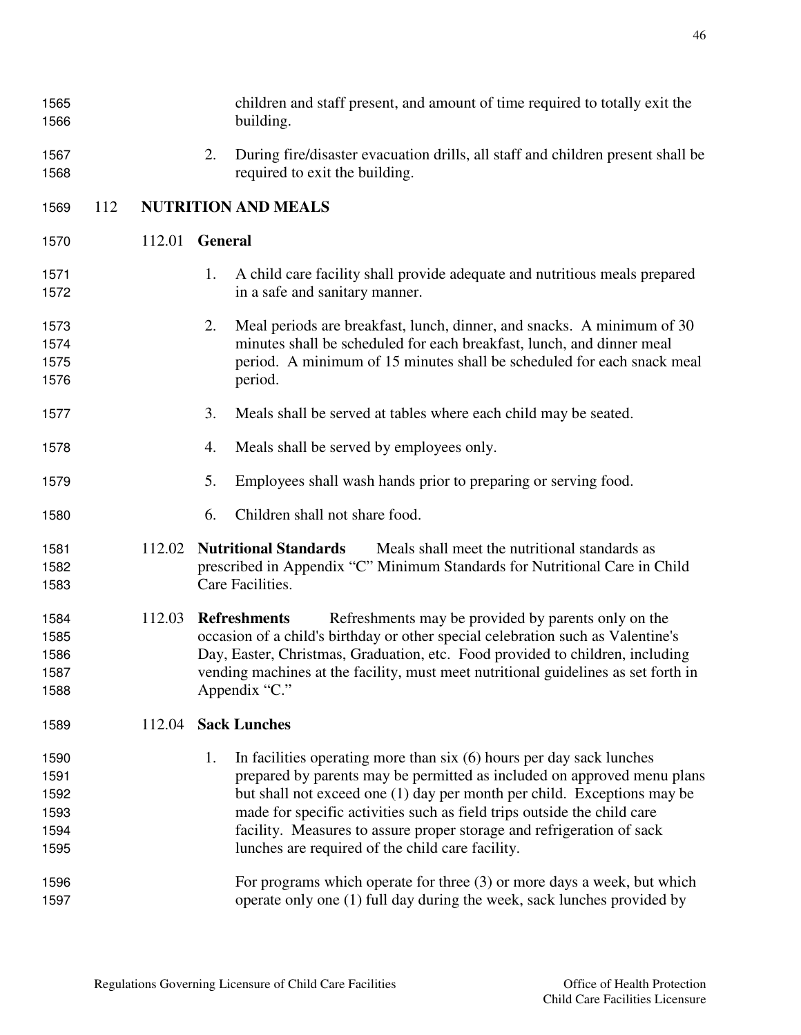| 1565<br>1566                                 |     |        |                | children and staff present, and amount of time required to totally exit the<br>building.                                                                                                                                                                                                                                                                                                                                            |
|----------------------------------------------|-----|--------|----------------|-------------------------------------------------------------------------------------------------------------------------------------------------------------------------------------------------------------------------------------------------------------------------------------------------------------------------------------------------------------------------------------------------------------------------------------|
| 1567<br>1568                                 |     |        | 2.             | During fire/disaster evacuation drills, all staff and children present shall be<br>required to exit the building.                                                                                                                                                                                                                                                                                                                   |
| 1569                                         | 112 |        |                | <b>NUTRITION AND MEALS</b>                                                                                                                                                                                                                                                                                                                                                                                                          |
| 1570                                         |     | 112.01 | <b>General</b> |                                                                                                                                                                                                                                                                                                                                                                                                                                     |
| 1571<br>1572                                 |     |        | 1.             | A child care facility shall provide adequate and nutritious meals prepared<br>in a safe and sanitary manner.                                                                                                                                                                                                                                                                                                                        |
| 1573<br>1574<br>1575<br>1576                 |     |        | 2.             | Meal periods are breakfast, lunch, dinner, and snacks. A minimum of 30<br>minutes shall be scheduled for each breakfast, lunch, and dinner meal<br>period. A minimum of 15 minutes shall be scheduled for each snack meal<br>period.                                                                                                                                                                                                |
| 1577                                         |     |        | 3.             | Meals shall be served at tables where each child may be seated.                                                                                                                                                                                                                                                                                                                                                                     |
| 1578                                         |     |        | 4.             | Meals shall be served by employees only.                                                                                                                                                                                                                                                                                                                                                                                            |
| 1579                                         |     |        | 5.             | Employees shall wash hands prior to preparing or serving food.                                                                                                                                                                                                                                                                                                                                                                      |
| 1580                                         |     |        | 6.             | Children shall not share food.                                                                                                                                                                                                                                                                                                                                                                                                      |
| 1581<br>1582<br>1583                         |     | 112.02 |                | <b>Nutritional Standards</b><br>Meals shall meet the nutritional standards as<br>prescribed in Appendix "C" Minimum Standards for Nutritional Care in Child<br>Care Facilities.                                                                                                                                                                                                                                                     |
| 1584<br>1585<br>1586<br>1587<br>1588         |     | 112.03 |                | <b>Refreshments</b><br>Refreshments may be provided by parents only on the<br>occasion of a child's birthday or other special celebration such as Valentine's<br>Day, Easter, Christmas, Graduation, etc. Food provided to children, including<br>vending machines at the facility, must meet nutritional guidelines as set forth in<br>Appendix "C."                                                                               |
| 1589                                         |     | 112.04 |                | <b>Sack Lunches</b>                                                                                                                                                                                                                                                                                                                                                                                                                 |
| 1590<br>1591<br>1592<br>1593<br>1594<br>1595 |     |        | 1.             | In facilities operating more than $six(6)$ hours per day sack lunches<br>prepared by parents may be permitted as included on approved menu plans<br>but shall not exceed one (1) day per month per child. Exceptions may be<br>made for specific activities such as field trips outside the child care<br>facility. Measures to assure proper storage and refrigeration of sack<br>lunches are required of the child care facility. |
| 1596<br>1597                                 |     |        |                | For programs which operate for three $(3)$ or more days a week, but which<br>operate only one (1) full day during the week, sack lunches provided by                                                                                                                                                                                                                                                                                |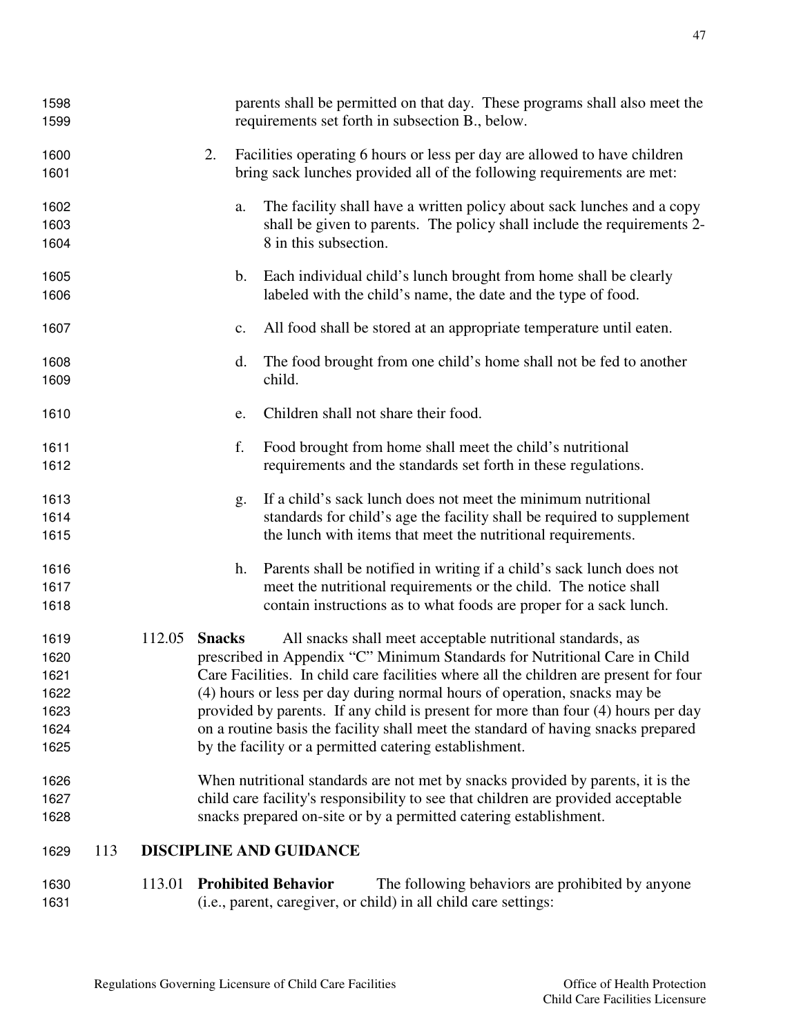| 1598 |     |        |                | parents shall be permitted on that day. These programs shall also meet the            |
|------|-----|--------|----------------|---------------------------------------------------------------------------------------|
| 1599 |     |        |                | requirements set forth in subsection B., below.                                       |
| 1600 |     |        | 2.             | Facilities operating 6 hours or less per day are allowed to have children             |
| 1601 |     |        |                | bring sack lunches provided all of the following requirements are met:                |
| 1602 |     |        | a.             | The facility shall have a written policy about sack lunches and a copy                |
| 1603 |     |        |                | shall be given to parents. The policy shall include the requirements 2-               |
| 1604 |     |        |                | 8 in this subsection.                                                                 |
| 1605 |     |        | $\mathbf{b}$ . | Each individual child's lunch brought from home shall be clearly                      |
| 1606 |     |        |                | labeled with the child's name, the date and the type of food.                         |
| 1607 |     |        | $\mathbf{c}$ . | All food shall be stored at an appropriate temperature until eaten.                   |
| 1608 |     |        | d.             | The food brought from one child's home shall not be fed to another                    |
| 1609 |     |        |                | child.                                                                                |
| 1610 |     |        | e.             | Children shall not share their food.                                                  |
| 1611 |     |        | f.             | Food brought from home shall meet the child's nutritional                             |
| 1612 |     |        |                | requirements and the standards set forth in these regulations.                        |
| 1613 |     |        | g.             | If a child's sack lunch does not meet the minimum nutritional                         |
| 1614 |     |        |                | standards for child's age the facility shall be required to supplement                |
| 1615 |     |        |                | the lunch with items that meet the nutritional requirements.                          |
| 1616 |     |        | h.             | Parents shall be notified in writing if a child's sack lunch does not                 |
| 1617 |     |        |                | meet the nutritional requirements or the child. The notice shall                      |
| 1618 |     |        |                | contain instructions as to what foods are proper for a sack lunch.                    |
| 1619 |     | 112.05 | <b>Snacks</b>  | All snacks shall meet acceptable nutritional standards, as                            |
| 1620 |     |        |                | prescribed in Appendix "C" Minimum Standards for Nutritional Care in Child            |
| 1621 |     |        |                | Care Facilities. In child care facilities where all the children are present for four |
| 1622 |     |        |                | (4) hours or less per day during normal hours of operation, snacks may be             |
| 1623 |     |        |                | provided by parents. If any child is present for more than four (4) hours per day     |
| 1624 |     |        |                | on a routine basis the facility shall meet the standard of having snacks prepared     |
| 1625 |     |        |                | by the facility or a permitted catering establishment.                                |
| 1626 |     |        |                | When nutritional standards are not met by snacks provided by parents, it is the       |
| 1627 |     |        |                | child care facility's responsibility to see that children are provided acceptable     |
| 1628 |     |        |                | snacks prepared on-site or by a permitted catering establishment.                     |
| 1629 | 113 |        |                | <b>DISCIPLINE AND GUIDANCE</b>                                                        |
| 1630 |     | 113.01 |                | <b>Prohibited Behavior</b><br>The following behaviors are prohibited by anyone        |
| 1631 |     |        |                | (i.e., parent, caregiver, or child) in all child care settings:                       |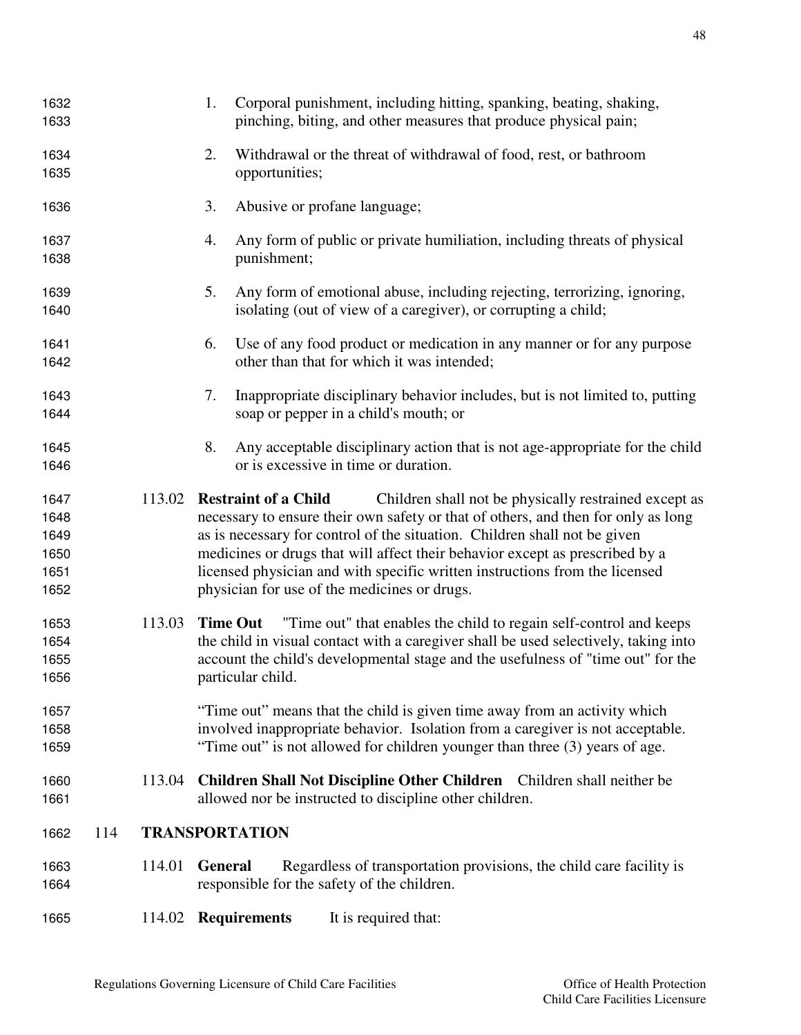| 1632<br>1633                                 |     |        | 1.             | Corporal punishment, including hitting, spanking, beating, shaking,<br>pinching, biting, and other measures that produce physical pain;                                                                                                                                                                                                                                                                                                                               |
|----------------------------------------------|-----|--------|----------------|-----------------------------------------------------------------------------------------------------------------------------------------------------------------------------------------------------------------------------------------------------------------------------------------------------------------------------------------------------------------------------------------------------------------------------------------------------------------------|
| 1634<br>1635                                 |     |        | 2.             | Withdrawal or the threat of withdrawal of food, rest, or bathroom<br>opportunities;                                                                                                                                                                                                                                                                                                                                                                                   |
| 1636                                         |     |        | 3.             | Abusive or profane language;                                                                                                                                                                                                                                                                                                                                                                                                                                          |
| 1637<br>1638                                 |     |        | 4.             | Any form of public or private humiliation, including threats of physical<br>punishment;                                                                                                                                                                                                                                                                                                                                                                               |
| 1639<br>1640                                 |     |        | 5.             | Any form of emotional abuse, including rejecting, terrorizing, ignoring,<br>isolating (out of view of a caregiver), or corrupting a child;                                                                                                                                                                                                                                                                                                                            |
| 1641<br>1642                                 |     |        | 6.             | Use of any food product or medication in any manner or for any purpose<br>other than that for which it was intended;                                                                                                                                                                                                                                                                                                                                                  |
| 1643<br>1644                                 |     |        | 7.             | Inappropriate disciplinary behavior includes, but is not limited to, putting<br>soap or pepper in a child's mouth; or                                                                                                                                                                                                                                                                                                                                                 |
| 1645<br>1646                                 |     |        | 8.             | Any acceptable disciplinary action that is not age-appropriate for the child<br>or is excessive in time or duration.                                                                                                                                                                                                                                                                                                                                                  |
| 1647<br>1648<br>1649<br>1650<br>1651<br>1652 |     | 113.02 |                | Children shall not be physically restrained except as<br><b>Restraint of a Child</b><br>necessary to ensure their own safety or that of others, and then for only as long<br>as is necessary for control of the situation. Children shall not be given<br>medicines or drugs that will affect their behavior except as prescribed by a<br>licensed physician and with specific written instructions from the licensed<br>physician for use of the medicines or drugs. |
| 1653<br>1654<br>1655<br>1656                 |     | 113.03 |                | "Time out" that enables the child to regain self-control and keeps<br><b>Time Out</b><br>the child in visual contact with a caregiver shall be used selectively, taking into<br>account the child's developmental stage and the usefulness of "time out" for the<br>particular child.                                                                                                                                                                                 |
| 1657<br>1658<br>1659                         |     |        |                | "Time out" means that the child is given time away from an activity which<br>involved inappropriate behavior. Isolation from a caregiver is not acceptable.<br>"Time out" is not allowed for children younger than three (3) years of age.                                                                                                                                                                                                                            |
| 1660<br>1661                                 |     | 113.04 |                | Children Shall Not Discipline Other Children Children shall neither be<br>allowed nor be instructed to discipline other children.                                                                                                                                                                                                                                                                                                                                     |
| 1662                                         | 114 |        |                | <b>TRANSPORTATION</b>                                                                                                                                                                                                                                                                                                                                                                                                                                                 |
| 1663<br>1664                                 |     | 114.01 | <b>General</b> | Regardless of transportation provisions, the child care facility is<br>responsible for the safety of the children.                                                                                                                                                                                                                                                                                                                                                    |
| 1665                                         |     |        |                | 114.02 Requirements<br>It is required that:                                                                                                                                                                                                                                                                                                                                                                                                                           |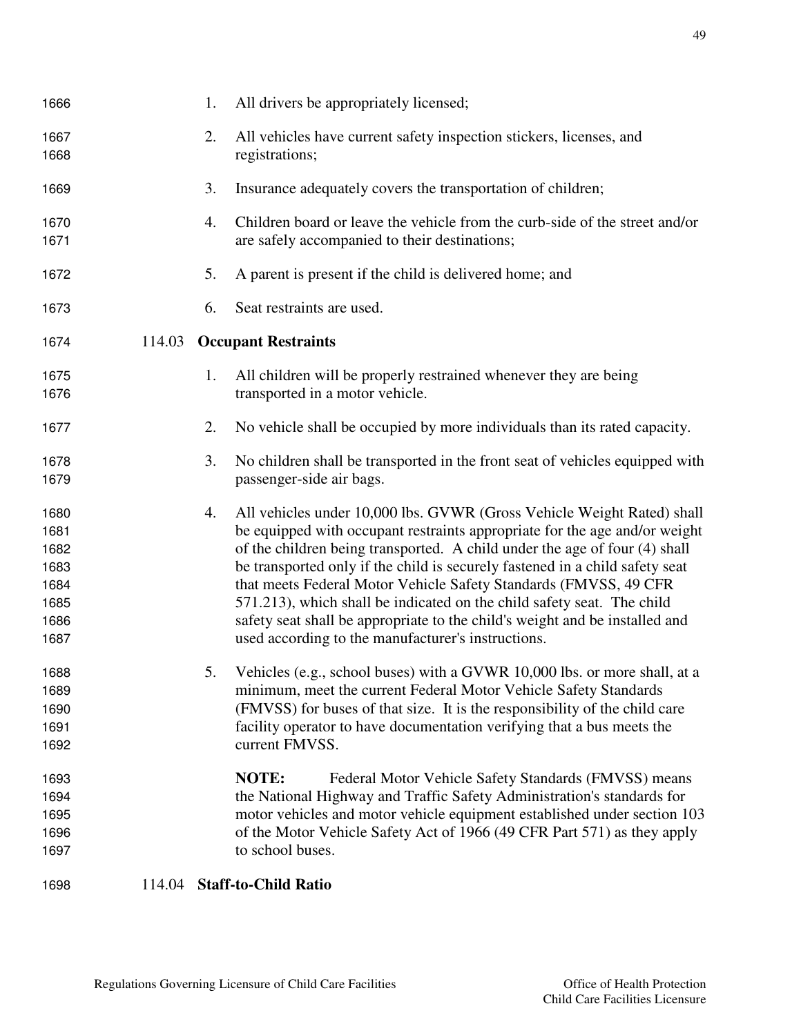| 1666                                                         |        | 1. | All drivers be appropriately licensed;                                                                                                                                                                                                                                                                                                                                                                                                                                                                                                                                                                |
|--------------------------------------------------------------|--------|----|-------------------------------------------------------------------------------------------------------------------------------------------------------------------------------------------------------------------------------------------------------------------------------------------------------------------------------------------------------------------------------------------------------------------------------------------------------------------------------------------------------------------------------------------------------------------------------------------------------|
| 1667<br>1668                                                 |        | 2. | All vehicles have current safety inspection stickers, licenses, and<br>registrations;                                                                                                                                                                                                                                                                                                                                                                                                                                                                                                                 |
| 1669                                                         |        | 3. | Insurance adequately covers the transportation of children;                                                                                                                                                                                                                                                                                                                                                                                                                                                                                                                                           |
| 1670<br>1671                                                 |        | 4. | Children board or leave the vehicle from the curb-side of the street and/or<br>are safely accompanied to their destinations;                                                                                                                                                                                                                                                                                                                                                                                                                                                                          |
| 1672                                                         |        | 5. | A parent is present if the child is delivered home; and                                                                                                                                                                                                                                                                                                                                                                                                                                                                                                                                               |
| 1673                                                         |        | 6. | Seat restraints are used.                                                                                                                                                                                                                                                                                                                                                                                                                                                                                                                                                                             |
| 1674                                                         |        |    | 114.03 Occupant Restraints                                                                                                                                                                                                                                                                                                                                                                                                                                                                                                                                                                            |
| 1675<br>1676                                                 |        | 1. | All children will be properly restrained whenever they are being<br>transported in a motor vehicle.                                                                                                                                                                                                                                                                                                                                                                                                                                                                                                   |
| 1677                                                         |        | 2. | No vehicle shall be occupied by more individuals than its rated capacity.                                                                                                                                                                                                                                                                                                                                                                                                                                                                                                                             |
| 1678<br>1679                                                 |        | 3. | No children shall be transported in the front seat of vehicles equipped with<br>passenger-side air bags.                                                                                                                                                                                                                                                                                                                                                                                                                                                                                              |
| 1680<br>1681<br>1682<br>1683<br>1684<br>1685<br>1686<br>1687 |        | 4. | All vehicles under 10,000 lbs. GVWR (Gross Vehicle Weight Rated) shall<br>be equipped with occupant restraints appropriate for the age and/or weight<br>of the children being transported. A child under the age of four (4) shall<br>be transported only if the child is securely fastened in a child safety seat<br>that meets Federal Motor Vehicle Safety Standards (FMVSS, 49 CFR<br>571.213), which shall be indicated on the child safety seat. The child<br>safety seat shall be appropriate to the child's weight and be installed and<br>used according to the manufacturer's instructions. |
| 1688<br>1689<br>1690<br>1691<br>1692                         |        |    | Vehicles (e.g., school buses) with a GVWR 10,000 lbs. or more shall, at a<br>minimum, meet the current Federal Motor Vehicle Safety Standards<br>(FMVSS) for buses of that size. It is the responsibility of the child care<br>facility operator to have documentation verifying that a bus meets the<br>current FMVSS.                                                                                                                                                                                                                                                                               |
| 1693<br>1694<br>1695<br>1696<br>1697                         |        |    | NOTE:<br>Federal Motor Vehicle Safety Standards (FMVSS) means<br>the National Highway and Traffic Safety Administration's standards for<br>motor vehicles and motor vehicle equipment established under section 103<br>of the Motor Vehicle Safety Act of 1966 (49 CFR Part 571) as they apply<br>to school buses.                                                                                                                                                                                                                                                                                    |
| 1698                                                         | 114.04 |    | <b>Staff-to-Child Ratio</b>                                                                                                                                                                                                                                                                                                                                                                                                                                                                                                                                                                           |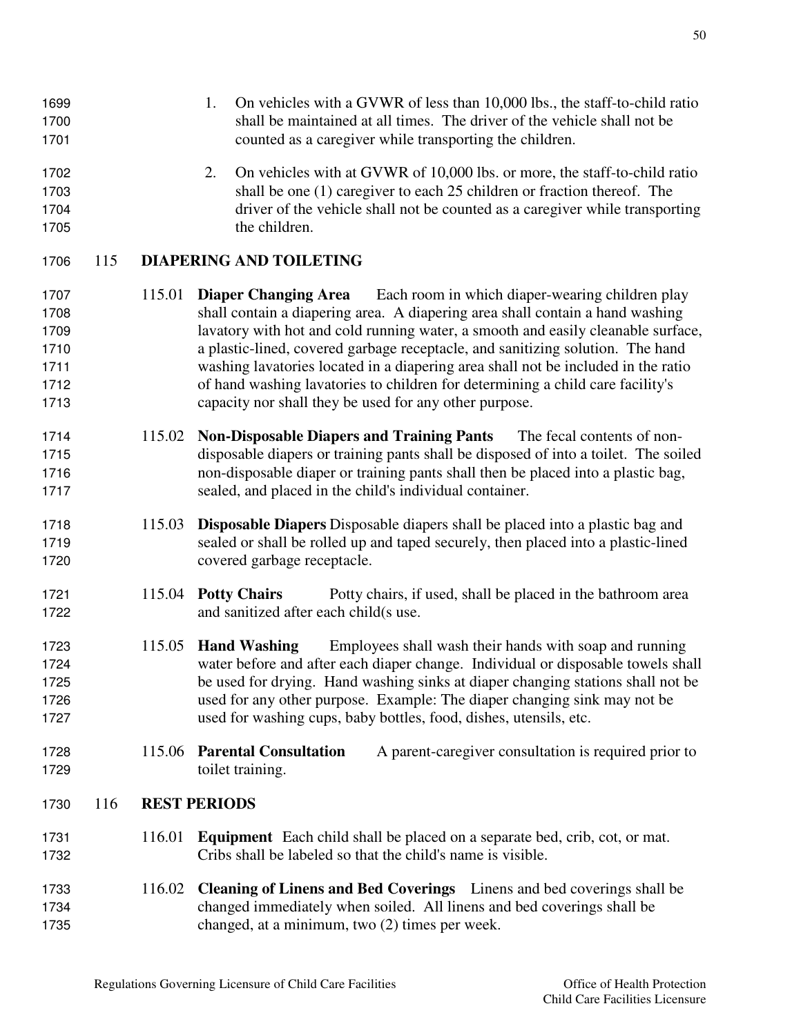| 1699<br>1700<br>1701                                 |     |        | On vehicles with a GVWR of less than 10,000 lbs., the staff-to-child ratio<br>1.<br>shall be maintained at all times. The driver of the vehicle shall not be<br>counted as a caregiver while transporting the children.                                                                                                                                                                                                                                                                                                                                                |
|------------------------------------------------------|-----|--------|------------------------------------------------------------------------------------------------------------------------------------------------------------------------------------------------------------------------------------------------------------------------------------------------------------------------------------------------------------------------------------------------------------------------------------------------------------------------------------------------------------------------------------------------------------------------|
| 1702<br>1703<br>1704<br>1705                         |     |        | 2.<br>On vehicles with at GVWR of 10,000 lbs. or more, the staff-to-child ratio<br>shall be one (1) caregiver to each 25 children or fraction thereof. The<br>driver of the vehicle shall not be counted as a caregiver while transporting<br>the children.                                                                                                                                                                                                                                                                                                            |
| 1706                                                 | 115 |        | <b>DIAPERING AND TOILETING</b>                                                                                                                                                                                                                                                                                                                                                                                                                                                                                                                                         |
| 1707<br>1708<br>1709<br>1710<br>1711<br>1712<br>1713 |     | 115.01 | <b>Diaper Changing Area</b><br>Each room in which diaper-wearing children play<br>shall contain a diapering area. A diapering area shall contain a hand washing<br>lavatory with hot and cold running water, a smooth and easily cleanable surface,<br>a plastic-lined, covered garbage receptacle, and sanitizing solution. The hand<br>washing lavatories located in a diapering area shall not be included in the ratio<br>of hand washing lavatories to children for determining a child care facility's<br>capacity nor shall they be used for any other purpose. |
| 1714<br>1715<br>1716<br>1717                         |     | 115.02 | <b>Non-Disposable Diapers and Training Pants</b><br>The fecal contents of non-<br>disposable diapers or training pants shall be disposed of into a toilet. The soiled<br>non-disposable diaper or training pants shall then be placed into a plastic bag,<br>sealed, and placed in the child's individual container.                                                                                                                                                                                                                                                   |
| 1718<br>1719<br>1720                                 |     | 115.03 | <b>Disposable Diapers</b> Disposable diapers shall be placed into a plastic bag and<br>sealed or shall be rolled up and taped securely, then placed into a plastic-lined<br>covered garbage receptacle.                                                                                                                                                                                                                                                                                                                                                                |
| 1721<br>1722                                         |     | 115.04 | <b>Potty Chairs</b><br>Potty chairs, if used, shall be placed in the bathroom area<br>and sanitized after each child(s use.                                                                                                                                                                                                                                                                                                                                                                                                                                            |
| 1723<br>1724<br>1725<br>1726<br>1727                 |     |        | 115.05 Hand Washing<br>Employees shall wash their hands with soap and running<br>water before and after each diaper change. Individual or disposable towels shall<br>be used for drying. Hand washing sinks at diaper changing stations shall not be<br>used for any other purpose. Example: The diaper changing sink may not be<br>used for washing cups, baby bottles, food, dishes, utensils, etc.                                                                                                                                                                  |
| 1728<br>1729                                         |     | 115.06 | <b>Parental Consultation</b><br>A parent-caregiver consultation is required prior to<br>toilet training.                                                                                                                                                                                                                                                                                                                                                                                                                                                               |
| 1730                                                 | 116 |        | <b>REST PERIODS</b>                                                                                                                                                                                                                                                                                                                                                                                                                                                                                                                                                    |
| 1731<br>1732                                         |     | 116.01 | <b>Equipment</b> Each child shall be placed on a separate bed, crib, cot, or mat.<br>Cribs shall be labeled so that the child's name is visible.                                                                                                                                                                                                                                                                                                                                                                                                                       |
| 1733<br>1734                                         |     | 116.02 | Cleaning of Linens and Bed Coverings Linens and bed coverings shall be<br>changed immediately when soiled. All linens and bed coverings shall be                                                                                                                                                                                                                                                                                                                                                                                                                       |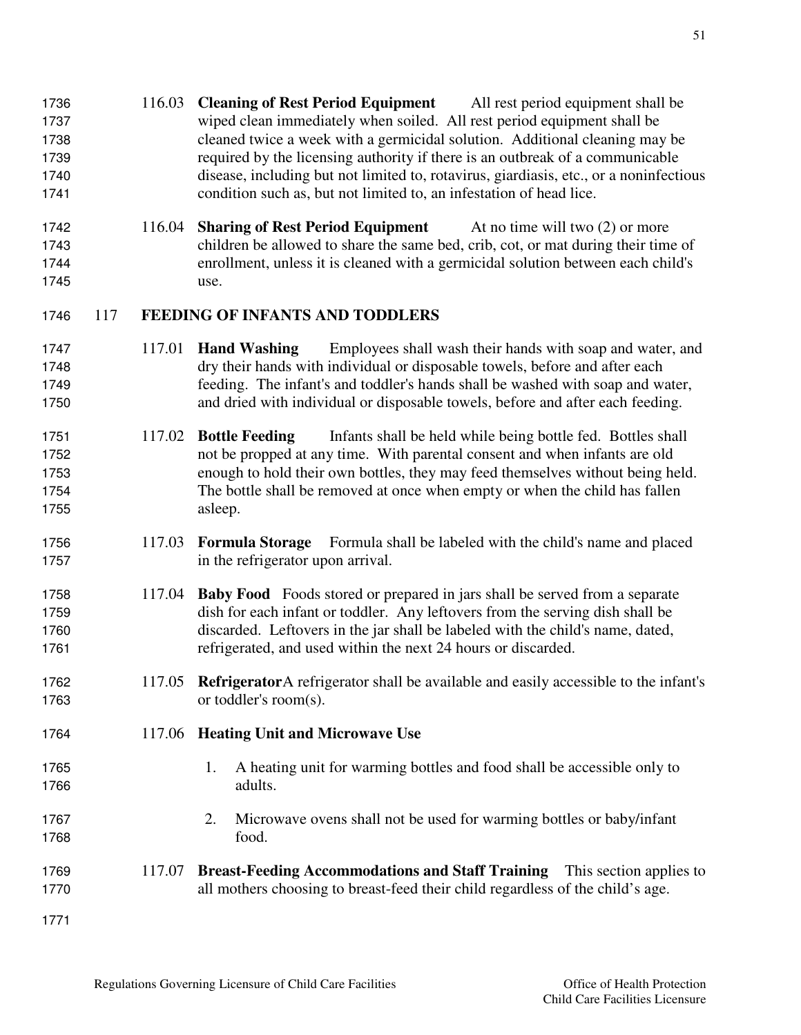- 116.03 **Cleaning of Rest Period Equipment** All rest period equipment shall be wiped clean immediately when soiled. All rest period equipment shall be cleaned twice a week with a germicidal solution. Additional cleaning may be required by the licensing authority if there is an outbreak of a communicable disease, including but not limited to, rotavirus, giardiasis, etc., or a noninfectious condition such as, but not limited to, an infestation of head lice.
- 116.04 **Sharing of Rest Period Equipment** At no time will two (2) or more children be allowed to share the same bed, crib, cot, or mat during their time of enrollment, unless it is cleaned with a germicidal solution between each child's use.

### 117 **FEEDING OF INFANTS AND TODDLERS**

- 117.01 **Hand Washing** Employees shall wash their hands with soap and water, and dry their hands with individual or disposable towels, before and after each feeding. The infant's and toddler's hands shall be washed with soap and water, and dried with individual or disposable towels, before and after each feeding.
- 117.02 **Bottle Feeding** Infants shall be held while being bottle fed. Bottles shall not be propped at any time. With parental consent and when infants are old enough to hold their own bottles, they may feed themselves without being held. The bottle shall be removed at once when empty or when the child has fallen asleep.
- 117.03 **Formula Storage** Formula shall be labeled with the child's name and placed 1757 in the refrigerator upon arrival.
- 117.04 **Baby Food** Foods stored or prepared in jars shall be served from a separate dish for each infant or toddler. Any leftovers from the serving dish shall be discarded. Leftovers in the jar shall be labeled with the child's name, dated, refrigerated, and used within the next 24 hours or discarded.
- 117.05 **Refrigerator** A refrigerator shall be available and easily accessible to the infant's 1763 or toddler's room(s).

### 117.06 **Heating Unit and Microwave Use**

- 1765 1. A heating unit for warming bottles and food shall be accessible only to adults.
- 2. Microwave ovens shall not be used for warming bottles or baby/infant food.
- 117.07 **Breast-Feeding Accommodations and Staff Training** This section applies to all mothers choosing to breast-feed their child regardless of the child's age.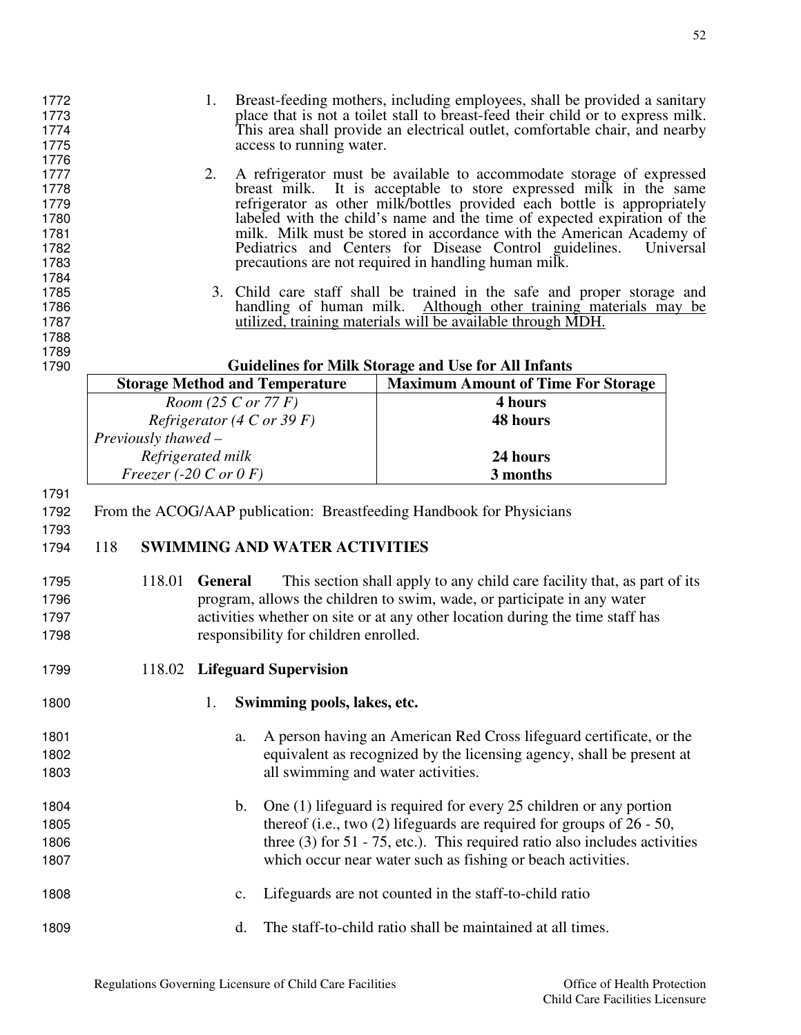| 1772<br>1773<br>1774<br>1775<br>1776                 |                                   | 1.                  |               | access to running water.              | Breast-feeding mothers, including employees, shall be provided a sanitary<br>place that is not a toilet stall to breast-feed their child or to express milk.<br>This area shall provide an electrical outlet, comfortable chair, and nearby                                                                                                                                                                                                                                                              |  |  |
|------------------------------------------------------|-----------------------------------|---------------------|---------------|---------------------------------------|----------------------------------------------------------------------------------------------------------------------------------------------------------------------------------------------------------------------------------------------------------------------------------------------------------------------------------------------------------------------------------------------------------------------------------------------------------------------------------------------------------|--|--|
| 1777<br>1778<br>1779<br>1780<br>1781<br>1782<br>1783 |                                   | 2.                  |               |                                       | A refrigerator must be available to accommodate storage of expressed<br>breast milk. It is acceptable to store expressed milk in the same<br>refrigerator as other milk/bottles provided each bottle is appropriately<br>labeled with the child's name and the time of expected expiration of the<br>milk. Milk must be stored in accordance with the American Academy of<br>Pediatrics and Centers for Disease Control guidelines.<br>Universal<br>precautions are not required in handling human milk. |  |  |
| 1784<br>1785<br>1786<br>1787<br>1788                 |                                   |                     |               | handling of human milk.               | 3. Child care staff shall be trained in the safe and proper storage and<br>Although other training materials may be<br>utilized, training materials will be available through MDH.                                                                                                                                                                                                                                                                                                                       |  |  |
| 1789<br>1790                                         |                                   |                     |               |                                       | <b>Guidelines for Milk Storage and Use for All Infants</b>                                                                                                                                                                                                                                                                                                                                                                                                                                               |  |  |
|                                                      |                                   |                     |               | <b>Storage Method and Temperature</b> | <b>Maximum Amount of Time For Storage</b>                                                                                                                                                                                                                                                                                                                                                                                                                                                                |  |  |
|                                                      |                                   | Room (25 C or 77 F) |               |                                       | 4 hours                                                                                                                                                                                                                                                                                                                                                                                                                                                                                                  |  |  |
|                                                      |                                   |                     |               | Refrigerator (4 C or 39 F)            | 48 hours                                                                                                                                                                                                                                                                                                                                                                                                                                                                                                 |  |  |
|                                                      | Previously thawed -               |                     |               |                                       |                                                                                                                                                                                                                                                                                                                                                                                                                                                                                                          |  |  |
|                                                      | Refrigerated milk                 |                     |               |                                       | 24 hours                                                                                                                                                                                                                                                                                                                                                                                                                                                                                                 |  |  |
|                                                      | Freezer (-20 C or $0 \text{ F}$ ) |                     |               |                                       | 3 months                                                                                                                                                                                                                                                                                                                                                                                                                                                                                                 |  |  |
| 1791                                                 |                                   |                     |               |                                       |                                                                                                                                                                                                                                                                                                                                                                                                                                                                                                          |  |  |
| 1792<br>1793                                         |                                   |                     |               |                                       | From the ACOG/AAP publication: Breastfeeding Handbook for Physicians                                                                                                                                                                                                                                                                                                                                                                                                                                     |  |  |
| 1794                                                 | 118                               |                     |               | <b>SWIMMING AND WATER ACTIVITIES</b>  |                                                                                                                                                                                                                                                                                                                                                                                                                                                                                                          |  |  |
| 1795                                                 | 118.01                            | <b>General</b>      |               |                                       | This section shall apply to any child care facility that, as part of its                                                                                                                                                                                                                                                                                                                                                                                                                                 |  |  |
| 1796                                                 |                                   |                     |               |                                       | program, allows the children to swim, wade, or participate in any water                                                                                                                                                                                                                                                                                                                                                                                                                                  |  |  |
| 1797                                                 |                                   |                     |               |                                       | activities whether on site or at any other location during the time staff has                                                                                                                                                                                                                                                                                                                                                                                                                            |  |  |
| 1798                                                 |                                   |                     |               | responsibility for children enrolled. |                                                                                                                                                                                                                                                                                                                                                                                                                                                                                                          |  |  |
| 1799                                                 |                                   |                     |               | 118.02 Lifeguard Supervision          |                                                                                                                                                                                                                                                                                                                                                                                                                                                                                                          |  |  |
| 1800                                                 |                                   | 1.                  |               | Swimming pools, lakes, etc.           |                                                                                                                                                                                                                                                                                                                                                                                                                                                                                                          |  |  |
| 1801                                                 |                                   |                     | a.            |                                       | A person having an American Red Cross lifeguard certificate, or the                                                                                                                                                                                                                                                                                                                                                                                                                                      |  |  |
| 1802                                                 |                                   |                     |               |                                       | equivalent as recognized by the licensing agency, shall be present at                                                                                                                                                                                                                                                                                                                                                                                                                                    |  |  |
| 1803                                                 |                                   |                     |               | all swimming and water activities.    |                                                                                                                                                                                                                                                                                                                                                                                                                                                                                                          |  |  |
| 1804                                                 |                                   |                     | $\mathbf b$ . |                                       | One (1) lifeguard is required for every 25 children or any portion                                                                                                                                                                                                                                                                                                                                                                                                                                       |  |  |
| 1805                                                 |                                   |                     |               |                                       | thereof (i.e., two $(2)$ lifeguards are required for groups of $26 - 50$ ,                                                                                                                                                                                                                                                                                                                                                                                                                               |  |  |
| 1806                                                 |                                   |                     |               |                                       | three $(3)$ for 51 - 75, etc.). This required ratio also includes activities                                                                                                                                                                                                                                                                                                                                                                                                                             |  |  |
| 1807                                                 |                                   |                     |               |                                       | which occur near water such as fishing or beach activities.                                                                                                                                                                                                                                                                                                                                                                                                                                              |  |  |
| 1808                                                 |                                   |                     | c.            |                                       | Lifeguards are not counted in the staff-to-child ratio                                                                                                                                                                                                                                                                                                                                                                                                                                                   |  |  |
| 1809                                                 |                                   |                     | d.            |                                       | The staff-to-child ratio shall be maintained at all times.                                                                                                                                                                                                                                                                                                                                                                                                                                               |  |  |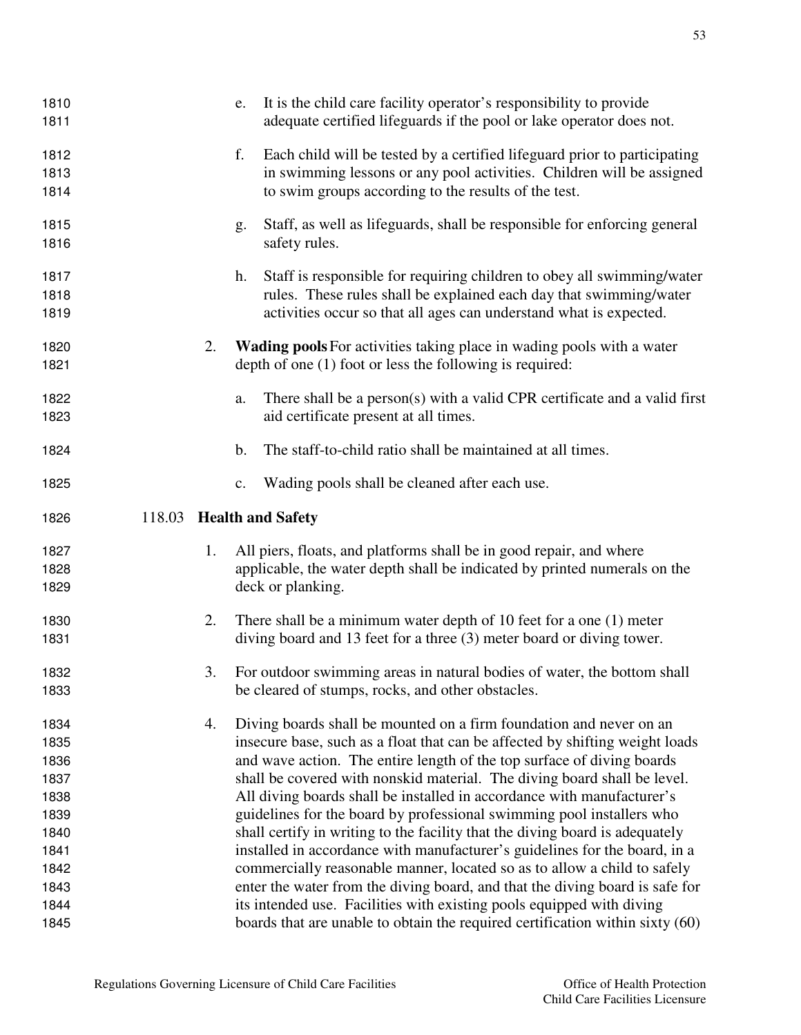| 1810<br>1811                                                                         |    | It is the child care facility operator's responsibility to provide<br>e.<br>adequate certified lifeguards if the pool or lake operator does not.                                                                                                                                                                                                                                                                                                                                                                                                                                                                                                                                                                                                                                                                                                                |
|--------------------------------------------------------------------------------------|----|-----------------------------------------------------------------------------------------------------------------------------------------------------------------------------------------------------------------------------------------------------------------------------------------------------------------------------------------------------------------------------------------------------------------------------------------------------------------------------------------------------------------------------------------------------------------------------------------------------------------------------------------------------------------------------------------------------------------------------------------------------------------------------------------------------------------------------------------------------------------|
| 1812<br>1813<br>1814                                                                 |    | f.<br>Each child will be tested by a certified lifeguard prior to participating<br>in swimming lessons or any pool activities. Children will be assigned<br>to swim groups according to the results of the test.                                                                                                                                                                                                                                                                                                                                                                                                                                                                                                                                                                                                                                                |
| 1815<br>1816                                                                         |    | Staff, as well as lifeguards, shall be responsible for enforcing general<br>g.<br>safety rules.                                                                                                                                                                                                                                                                                                                                                                                                                                                                                                                                                                                                                                                                                                                                                                 |
| 1817<br>1818<br>1819                                                                 |    | Staff is responsible for requiring children to obey all swimming/water<br>h.<br>rules. These rules shall be explained each day that swimming/water<br>activities occur so that all ages can understand what is expected.                                                                                                                                                                                                                                                                                                                                                                                                                                                                                                                                                                                                                                        |
| 1820<br>1821                                                                         | 2. | Wading pools For activities taking place in wading pools with a water<br>depth of one $(1)$ foot or less the following is required:                                                                                                                                                                                                                                                                                                                                                                                                                                                                                                                                                                                                                                                                                                                             |
| 1822<br>1823                                                                         |    | There shall be a person(s) with a valid CPR certificate and a valid first<br>a.<br>aid certificate present at all times.                                                                                                                                                                                                                                                                                                                                                                                                                                                                                                                                                                                                                                                                                                                                        |
| 1824                                                                                 |    | The staff-to-child ratio shall be maintained at all times.<br>$\mathbf b$ .                                                                                                                                                                                                                                                                                                                                                                                                                                                                                                                                                                                                                                                                                                                                                                                     |
| 1825                                                                                 |    | Wading pools shall be cleaned after each use.<br>$\mathbf{c}$ .                                                                                                                                                                                                                                                                                                                                                                                                                                                                                                                                                                                                                                                                                                                                                                                                 |
| 1826                                                                                 |    | 118.03 Health and Safety                                                                                                                                                                                                                                                                                                                                                                                                                                                                                                                                                                                                                                                                                                                                                                                                                                        |
| 1827<br>1828<br>1829                                                                 | 1. | All piers, floats, and platforms shall be in good repair, and where<br>applicable, the water depth shall be indicated by printed numerals on the<br>deck or planking.                                                                                                                                                                                                                                                                                                                                                                                                                                                                                                                                                                                                                                                                                           |
| 1830<br>1831                                                                         | 2. | There shall be a minimum water depth of 10 feet for a one (1) meter<br>diving board and 13 feet for a three (3) meter board or diving tower.                                                                                                                                                                                                                                                                                                                                                                                                                                                                                                                                                                                                                                                                                                                    |
| 1832<br>1833                                                                         | 3. | For outdoor swimming areas in natural bodies of water, the bottom shall<br>be cleared of stumps, rocks, and other obstacles.                                                                                                                                                                                                                                                                                                                                                                                                                                                                                                                                                                                                                                                                                                                                    |
| 1834<br>1835<br>1836<br>1837<br>1838<br>1839<br>1840<br>1841<br>1842<br>1843<br>1844 | 4. | Diving boards shall be mounted on a firm foundation and never on an<br>insecure base, such as a float that can be affected by shifting weight loads<br>and wave action. The entire length of the top surface of diving boards<br>shall be covered with nonskid material. The diving board shall be level.<br>All diving boards shall be installed in accordance with manufacturer's<br>guidelines for the board by professional swimming pool installers who<br>shall certify in writing to the facility that the diving board is adequately<br>installed in accordance with manufacturer's guidelines for the board, in a<br>commercially reasonable manner, located so as to allow a child to safely<br>enter the water from the diving board, and that the diving board is safe for<br>its intended use. Facilities with existing pools equipped with diving |
| 1845                                                                                 |    | boards that are unable to obtain the required certification within sixty (60)                                                                                                                                                                                                                                                                                                                                                                                                                                                                                                                                                                                                                                                                                                                                                                                   |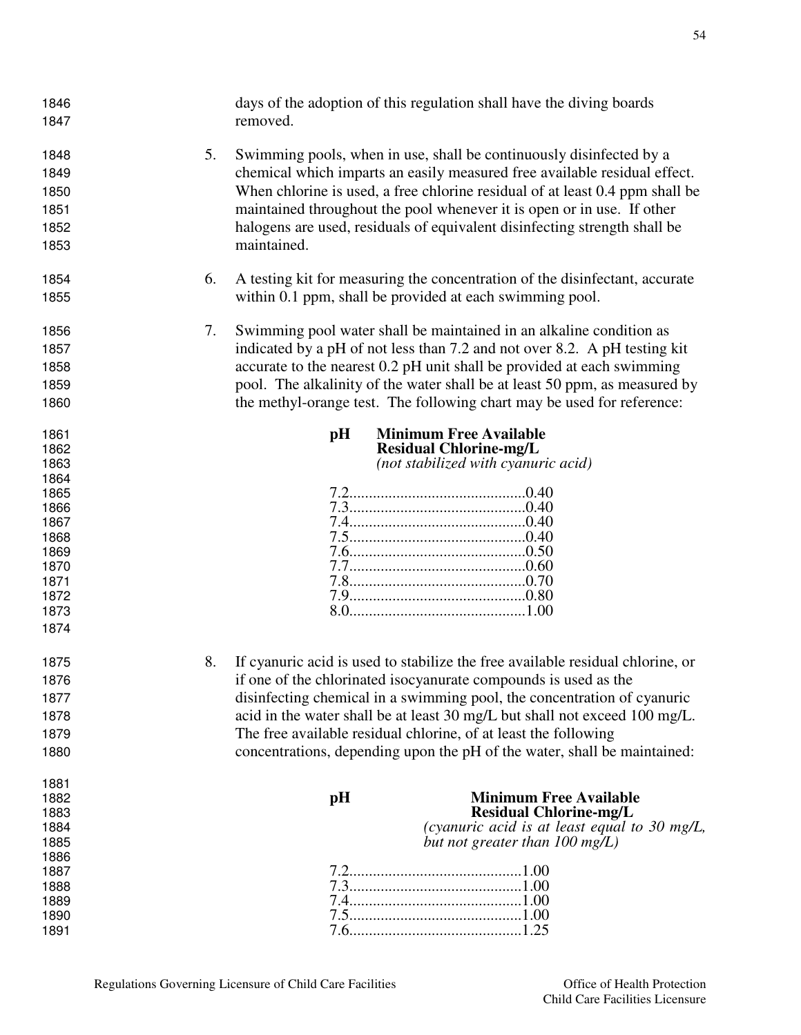| 1846<br>1847                                                 |    | days of the adoption of this regulation shall have the diving boards<br>removed.                                                                                                                                                                                                                                                                                                                       |
|--------------------------------------------------------------|----|--------------------------------------------------------------------------------------------------------------------------------------------------------------------------------------------------------------------------------------------------------------------------------------------------------------------------------------------------------------------------------------------------------|
| 1848<br>1849<br>1850<br>1851<br>1852<br>1853                 | 5. | Swimming pools, when in use, shall be continuously disinfected by a<br>chemical which imparts an easily measured free available residual effect.<br>When chlorine is used, a free chlorine residual of at least 0.4 ppm shall be<br>maintained throughout the pool whenever it is open or in use. If other<br>halogens are used, residuals of equivalent disinfecting strength shall be<br>maintained. |
| 1854<br>1855                                                 | 6. | A testing kit for measuring the concentration of the disinfectant, accurate<br>within 0.1 ppm, shall be provided at each swimming pool.                                                                                                                                                                                                                                                                |
| 1856<br>1857<br>1858<br>1859<br>1860                         | 7. | Swimming pool water shall be maintained in an alkaline condition as<br>indicated by a pH of not less than 7.2 and not over 8.2. A pH testing kit<br>accurate to the nearest 0.2 pH unit shall be provided at each swimming<br>pool. The alkalinity of the water shall be at least 50 ppm, as measured by<br>the methyl-orange test. The following chart may be used for reference:                     |
| 1861<br>1862<br>1863<br>1864<br>1865<br>1866                 |    | <b>Minimum Free Available</b><br>pH<br><b>Residual Chlorine-mg/L</b><br>(not stabilized with cyanuric acid)                                                                                                                                                                                                                                                                                            |
| 1867<br>1868<br>1869<br>1870<br>1871<br>1872<br>1873<br>1874 |    |                                                                                                                                                                                                                                                                                                                                                                                                        |
| 1875                                                         | 8. | If cyanuric acid is used to stabilize the free available residual chlorine, or                                                                                                                                                                                                                                                                                                                         |
| 1876                                                         |    | if one of the chlorinated isocyanurate compounds is used as the                                                                                                                                                                                                                                                                                                                                        |
| 1877                                                         |    | disinfecting chemical in a swimming pool, the concentration of cyanuric                                                                                                                                                                                                                                                                                                                                |
| 1878                                                         |    | acid in the water shall be at least 30 mg/L but shall not exceed 100 mg/L.                                                                                                                                                                                                                                                                                                                             |
| 1879                                                         |    | The free available residual chlorine, of at least the following                                                                                                                                                                                                                                                                                                                                        |
| 1880                                                         |    | concentrations, depending upon the pH of the water, shall be maintained:                                                                                                                                                                                                                                                                                                                               |
| 1881                                                         |    |                                                                                                                                                                                                                                                                                                                                                                                                        |
| 1882                                                         |    | <b>Minimum Free Available</b><br>pH                                                                                                                                                                                                                                                                                                                                                                    |
| 1883<br>1884                                                 |    | <b>Residual Chlorine-mg/L</b><br>(cyanuric acid is at least equal to 30 mg/L,                                                                                                                                                                                                                                                                                                                          |
| 1885                                                         |    | but not greater than $100 \text{ mg/L}$ )                                                                                                                                                                                                                                                                                                                                                              |
| 1886                                                         |    |                                                                                                                                                                                                                                                                                                                                                                                                        |
| 1887                                                         |    |                                                                                                                                                                                                                                                                                                                                                                                                        |
| 1888                                                         |    |                                                                                                                                                                                                                                                                                                                                                                                                        |
| 1889<br>1890                                                 |    |                                                                                                                                                                                                                                                                                                                                                                                                        |
| 1891                                                         |    |                                                                                                                                                                                                                                                                                                                                                                                                        |
|                                                              |    |                                                                                                                                                                                                                                                                                                                                                                                                        |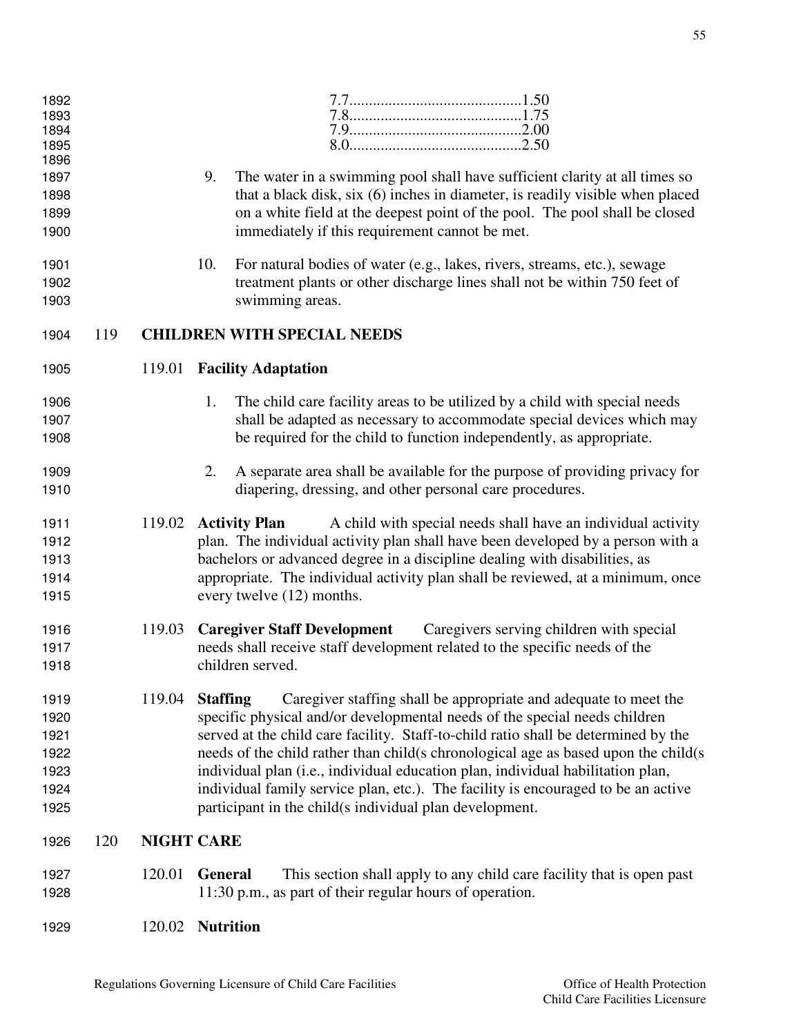| 1892<br>1893<br>1894<br>1895<br>1896                 |     |                   |                                                                                                                                                                                                                                                                                                                                                                                                                                                                                                                                                                                  |
|------------------------------------------------------|-----|-------------------|----------------------------------------------------------------------------------------------------------------------------------------------------------------------------------------------------------------------------------------------------------------------------------------------------------------------------------------------------------------------------------------------------------------------------------------------------------------------------------------------------------------------------------------------------------------------------------|
| 1897<br>1898<br>1899<br>1900                         |     |                   | 9.<br>The water in a swimming pool shall have sufficient clarity at all times so<br>that a black disk, six (6) inches in diameter, is readily visible when placed<br>on a white field at the deepest point of the pool. The pool shall be closed<br>immediately if this requirement cannot be met.                                                                                                                                                                                                                                                                               |
| 1901<br>1902<br>1903                                 |     |                   | 10.<br>For natural bodies of water (e.g., lakes, rivers, streams, etc.), sewage<br>treatment plants or other discharge lines shall not be within 750 feet of<br>swimming areas.                                                                                                                                                                                                                                                                                                                                                                                                  |
| 1904                                                 | 119 |                   | <b>CHILDREN WITH SPECIAL NEEDS</b>                                                                                                                                                                                                                                                                                                                                                                                                                                                                                                                                               |
| 1905                                                 |     |                   | 119.01 Facility Adaptation                                                                                                                                                                                                                                                                                                                                                                                                                                                                                                                                                       |
| 1906<br>1907<br>1908                                 |     |                   | 1.<br>The child care facility areas to be utilized by a child with special needs<br>shall be adapted as necessary to accommodate special devices which may<br>be required for the child to function independently, as appropriate.                                                                                                                                                                                                                                                                                                                                               |
| 1909<br>1910                                         |     |                   | A separate area shall be available for the purpose of providing privacy for<br>2.<br>diapering, dressing, and other personal care procedures.                                                                                                                                                                                                                                                                                                                                                                                                                                    |
| 1911<br>1912<br>1913<br>1914<br>1915                 |     | 119.02            | <b>Activity Plan</b><br>A child with special needs shall have an individual activity<br>plan. The individual activity plan shall have been developed by a person with a<br>bachelors or advanced degree in a discipline dealing with disabilities, as<br>appropriate. The individual activity plan shall be reviewed, at a minimum, once<br>every twelve (12) months.                                                                                                                                                                                                            |
| 1916<br>1917<br>1918                                 |     | 119.03            | <b>Caregiver Staff Development</b><br>Caregivers serving children with special<br>needs shall receive staff development related to the specific needs of the<br>children served.                                                                                                                                                                                                                                                                                                                                                                                                 |
| 1919<br>1920<br>1921<br>1922<br>1923<br>1924<br>1925 |     | 119.04            | <b>Staffing</b><br>Caregiver staffing shall be appropriate and adequate to meet the<br>specific physical and/or developmental needs of the special needs children<br>served at the child care facility. Staff-to-child ratio shall be determined by the<br>needs of the child rather than child(s chronological age as based upon the child(s<br>individual plan (i.e., individual education plan, individual habilitation plan,<br>individual family service plan, etc.). The facility is encouraged to be an active<br>participant in the child(s individual plan development. |
| 1926                                                 | 120 | <b>NIGHT CARE</b> |                                                                                                                                                                                                                                                                                                                                                                                                                                                                                                                                                                                  |
| 1927<br>1928                                         |     | 120.01            | General<br>This section shall apply to any child care facility that is open past<br>11:30 p.m., as part of their regular hours of operation.                                                                                                                                                                                                                                                                                                                                                                                                                                     |
| 1929                                                 |     | 120.02            | <b>Nutrition</b>                                                                                                                                                                                                                                                                                                                                                                                                                                                                                                                                                                 |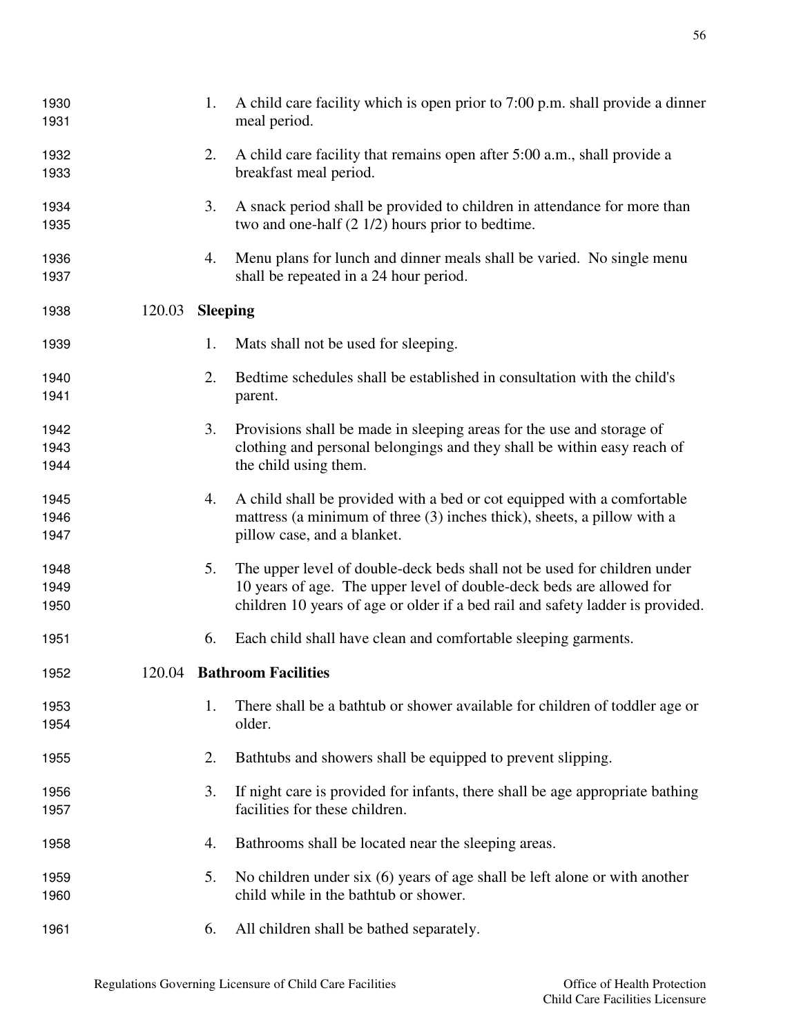| 1930<br>1931 |        | 1.              | A child care facility which is open prior to 7:00 p.m. shall provide a dinner<br>meal period.                                  |
|--------------|--------|-----------------|--------------------------------------------------------------------------------------------------------------------------------|
|              |        |                 |                                                                                                                                |
| 1932<br>1933 |        | 2.              | A child care facility that remains open after 5:00 a.m., shall provide a<br>breakfast meal period.                             |
|              |        |                 |                                                                                                                                |
| 1934<br>1935 |        | 3.              | A snack period shall be provided to children in attendance for more than<br>two and one-half $(2 1/2)$ hours prior to bedtime. |
|              |        |                 |                                                                                                                                |
| 1936<br>1937 |        | 4.              | Menu plans for lunch and dinner meals shall be varied. No single menu<br>shall be repeated in a 24 hour period.                |
|              |        |                 |                                                                                                                                |
| 1938         | 120.03 | <b>Sleeping</b> |                                                                                                                                |
| 1939         |        | 1.              | Mats shall not be used for sleeping.                                                                                           |
| 1940         |        | 2.              | Bedtime schedules shall be established in consultation with the child's                                                        |
| 1941         |        |                 | parent.                                                                                                                        |
| 1942         |        | 3.              | Provisions shall be made in sleeping areas for the use and storage of                                                          |
| 1943         |        |                 | clothing and personal belongings and they shall be within easy reach of                                                        |
| 1944         |        |                 | the child using them.                                                                                                          |
| 1945         |        | 4.              | A child shall be provided with a bed or cot equipped with a comfortable                                                        |
| 1946         |        |                 | mattress (a minimum of three (3) inches thick), sheets, a pillow with a                                                        |
| 1947         |        |                 | pillow case, and a blanket.                                                                                                    |
| 1948         |        | 5.              | The upper level of double-deck beds shall not be used for children under                                                       |
| 1949         |        |                 | 10 years of age. The upper level of double-deck beds are allowed for                                                           |
| 1950         |        |                 | children 10 years of age or older if a bed rail and safety ladder is provided.                                                 |
| 1951         |        | 6.              | Each child shall have clean and comfortable sleeping garments.                                                                 |
| 1952         |        |                 | 120.04 Bathroom Facilities                                                                                                     |
| 1953         |        | 1.              | There shall be a bathtub or shower available for children of toddler age or                                                    |
| 1954         |        |                 | older.                                                                                                                         |
| 1955         |        | 2.              | Bathtubs and showers shall be equipped to prevent slipping.                                                                    |
| 1956         |        | 3.              | If night care is provided for infants, there shall be age appropriate bathing                                                  |
| 1957         |        |                 | facilities for these children.                                                                                                 |
| 1958         |        | 4.              | Bathrooms shall be located near the sleeping areas.                                                                            |
| 1959         |        | 5.              | No children under six $(6)$ years of age shall be left alone or with another                                                   |
| 1960         |        |                 | child while in the bathtub or shower.                                                                                          |
| 1961         |        | 6.              | All children shall be bathed separately.                                                                                       |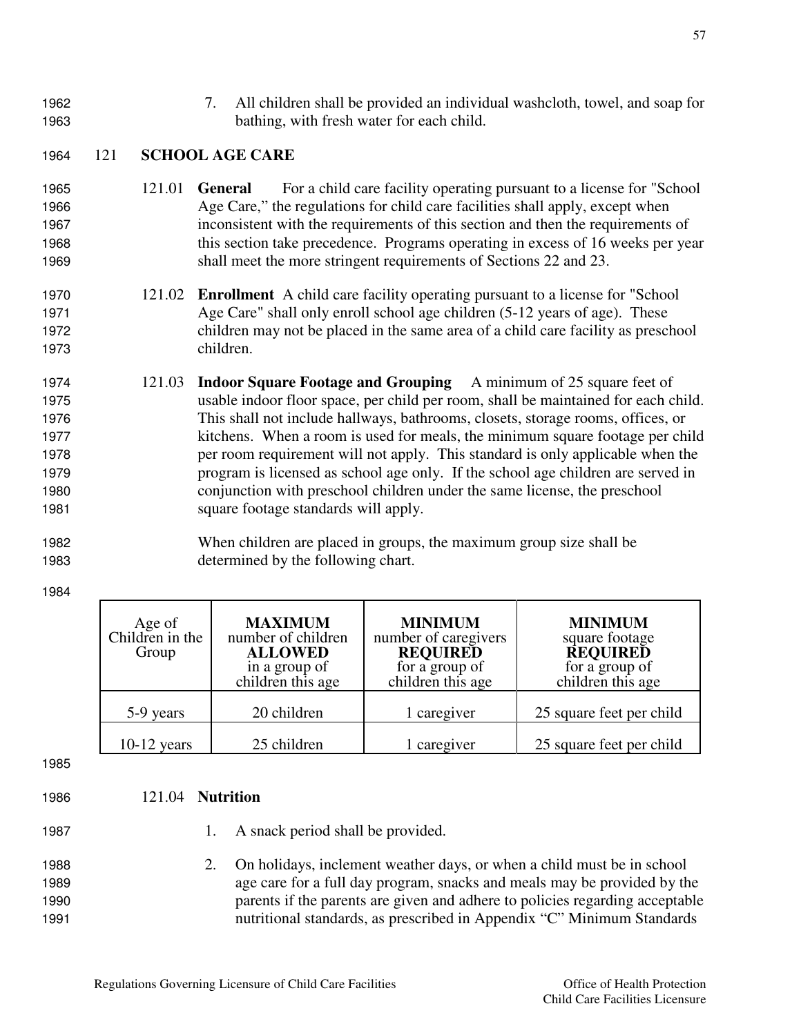- 
- 1962 7. All children shall be provided an individual washcloth, towel, and soap for 1963 bathing, with fresh water for each child.

#### 1964 121 **SCHOOL AGE CARE**

- 1965 121.01 **General** For a child care facility operating pursuant to a license for "School 1966 Age Care," the regulations for child care facilities shall apply, except when 1967 inconsistent with the requirements of this section and then the requirements of 1968 this section take precedence. Programs operating in excess of 16 weeks per year 1969 shall meet the more stringent requirements of Sections 22 and 23.
- 1970 121.02 **Enrollment** A child care facility operating pursuant to a license for "School 1971 Age Care" shall only enroll school age children (5-12 years of age). These 1972 children may not be placed in the same area of a child care facility as preschool 1973 children.
- 1974 121.03 **Indoor Square Footage and Grouping** A minimum of 25 square feet of 1975 usable indoor floor space, per child per room, shall be maintained for each child. 1976 This shall not include hallways, bathrooms, closets, storage rooms, offices, or 1977 kitchens. When a room is used for meals, the minimum square footage per child 1978 per room requirement will not apply. This standard is only applicable when the 1979 program is licensed as school age only. If the school age children are served in 1980 conjunction with preschool children under the same license, the preschool 1981 square footage standards will apply.
- 1982 When children are placed in groups, the maximum group size shall be 1983 determined by the following chart.
- 1984

| Age of<br>Children in the<br>Group | <b>MAXIMUM</b><br>number of children<br><b>ALLOWED</b><br>in a group of<br>children this age | <b>MINIMUM</b><br>number of caregivers<br><b>REQUIRED</b><br>for a group of<br>children this age | <b>MINIMUM</b><br>square footage<br><b>REQUIRED</b><br>for a group of<br>children this age |
|------------------------------------|----------------------------------------------------------------------------------------------|--------------------------------------------------------------------------------------------------|--------------------------------------------------------------------------------------------|
| 5-9 years                          | 20 children                                                                                  | 1 caregiver                                                                                      | 25 square feet per child                                                                   |
| $10-12$ years                      | 25 children                                                                                  | 1 caregiver                                                                                      | 25 square feet per child                                                                   |

1985

#### 1986 121.04 **Nutrition**

- 1987 1. A snack period shall be provided.
- 1988 2. On holidays, inclement weather days, or when a child must be in school 1989 age care for a full day program, snacks and meals may be provided by the 1990 parents if the parents are given and adhere to policies regarding acceptable 1991 nutritional standards, as prescribed in Appendix "C" Minimum Standards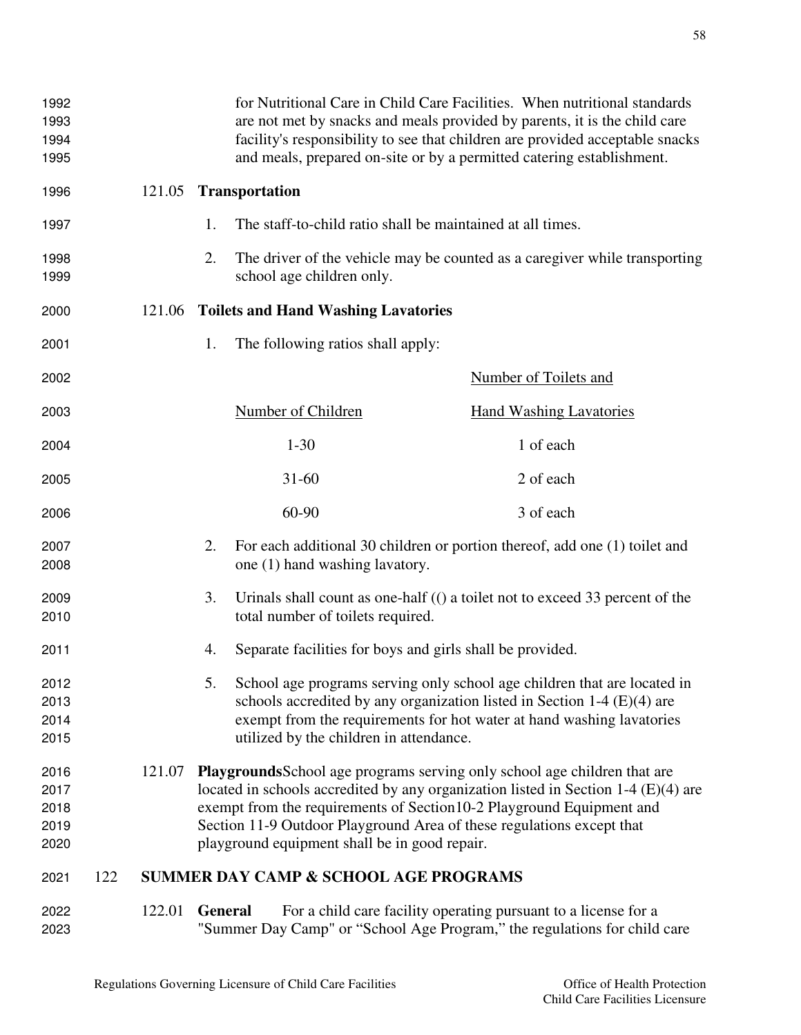| 1992<br>1993<br>1994<br>1995         |        |                |                                                  | for Nutritional Care in Child Care Facilities. When nutritional standards<br>are not met by snacks and meals provided by parents, it is the child care<br>facility's responsibility to see that children are provided acceptable snacks<br>and meals, prepared on-site or by a permitted catering establishment.           |
|--------------------------------------|--------|----------------|--------------------------------------------------|----------------------------------------------------------------------------------------------------------------------------------------------------------------------------------------------------------------------------------------------------------------------------------------------------------------------------|
| 1996                                 | 121.05 |                | <b>Transportation</b>                            |                                                                                                                                                                                                                                                                                                                            |
| 1997                                 |        | 1.             |                                                  | The staff-to-child ratio shall be maintained at all times.                                                                                                                                                                                                                                                                 |
| 1998<br>1999                         |        | 2.             | school age children only.                        | The driver of the vehicle may be counted as a caregiver while transporting                                                                                                                                                                                                                                                 |
| 2000                                 | 121.06 |                | <b>Toilets and Hand Washing Lavatories</b>       |                                                                                                                                                                                                                                                                                                                            |
| 2001                                 |        | 1.             | The following ratios shall apply:                |                                                                                                                                                                                                                                                                                                                            |
| 2002                                 |        |                |                                                  | <b>Number of Toilets and</b>                                                                                                                                                                                                                                                                                               |
| 2003                                 |        |                | Number of Children                               | <b>Hand Washing Lavatories</b>                                                                                                                                                                                                                                                                                             |
| 2004                                 |        |                | $1 - 30$                                         | 1 of each                                                                                                                                                                                                                                                                                                                  |
| 2005                                 |        |                | $31 - 60$                                        | 2 of each                                                                                                                                                                                                                                                                                                                  |
| 2006                                 |        |                | 60-90                                            | 3 of each                                                                                                                                                                                                                                                                                                                  |
| 2007<br>2008                         |        | 2.             | one (1) hand washing lavatory.                   | For each additional 30 children or portion thereof, add one (1) toilet and                                                                                                                                                                                                                                                 |
| 2009<br>2010                         |        | 3.             | total number of toilets required.                | Urinals shall count as one-half (() a toilet not to exceed 33 percent of the                                                                                                                                                                                                                                               |
| 2011                                 |        | 4.             |                                                  | Separate facilities for boys and girls shall be provided.                                                                                                                                                                                                                                                                  |
| 2012<br>2013<br>2014<br>2015         |        | 5.             | utilized by the children in attendance.          | School age programs serving only school age children that are located in<br>schools accredited by any organization listed in Section $1-4$ (E)(4) are<br>exempt from the requirements for hot water at hand washing lavatories                                                                                             |
| 2016<br>2017<br>2018<br>2019<br>2020 | 121.07 |                | playground equipment shall be in good repair.    | <b>Playgrounds</b> School age programs serving only school age children that are<br>located in schools accredited by any organization listed in Section 1-4 $(E)(4)$ are<br>exempt from the requirements of Section 10-2 Playground Equipment and<br>Section 11-9 Outdoor Playground Area of these regulations except that |
| 122<br>2021                          |        |                | <b>SUMMER DAY CAMP &amp; SCHOOL AGE PROGRAMS</b> |                                                                                                                                                                                                                                                                                                                            |
| 2022<br>2023                         | 122.01 | <b>General</b> |                                                  | For a child care facility operating pursuant to a license for a<br>"Summer Day Camp" or "School Age Program," the regulations for child care                                                                                                                                                                               |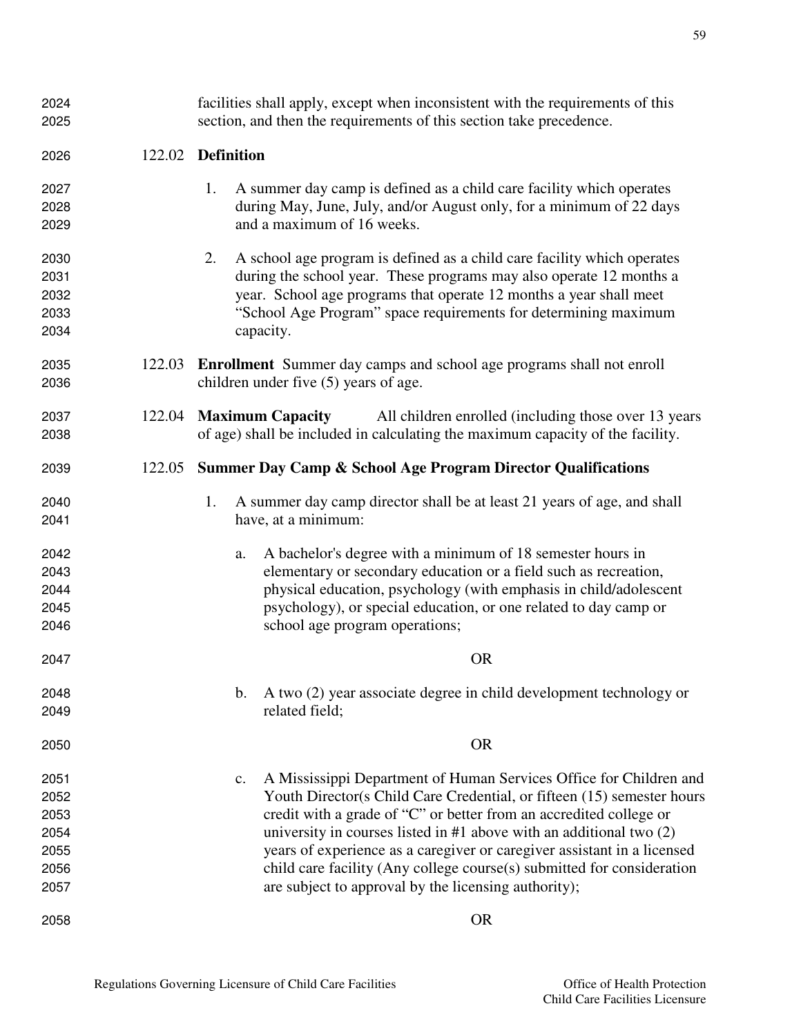| 2024 |        | facilities shall apply, except when inconsistent with the requirements of this      |  |  |  |
|------|--------|-------------------------------------------------------------------------------------|--|--|--|
| 2025 |        | section, and then the requirements of this section take precedence.                 |  |  |  |
| 2026 | 122.02 | <b>Definition</b>                                                                   |  |  |  |
| 2027 |        | A summer day camp is defined as a child care facility which operates<br>1.          |  |  |  |
| 2028 |        | during May, June, July, and/or August only, for a minimum of 22 days                |  |  |  |
| 2029 |        | and a maximum of 16 weeks.                                                          |  |  |  |
| 2030 |        | A school age program is defined as a child care facility which operates<br>2.       |  |  |  |
| 2031 |        | during the school year. These programs may also operate 12 months a                 |  |  |  |
| 2032 |        | year. School age programs that operate 12 months a year shall meet                  |  |  |  |
| 2033 |        | "School Age Program" space requirements for determining maximum                     |  |  |  |
| 2034 |        | capacity.                                                                           |  |  |  |
| 2035 | 122.03 | <b>Enrollment</b> Summer day camps and school age programs shall not enroll         |  |  |  |
| 2036 |        | children under five (5) years of age.                                               |  |  |  |
| 2037 | 122.04 | <b>Maximum Capacity</b><br>All children enrolled (including those over 13 years)    |  |  |  |
| 2038 |        | of age) shall be included in calculating the maximum capacity of the facility.      |  |  |  |
| 2039 | 122.05 | <b>Summer Day Camp &amp; School Age Program Director Qualifications</b>             |  |  |  |
| 2040 |        | A summer day camp director shall be at least 21 years of age, and shall<br>1.       |  |  |  |
| 2041 |        | have, at a minimum:                                                                 |  |  |  |
| 2042 |        | A bachelor's degree with a minimum of 18 semester hours in<br>a.                    |  |  |  |
| 2043 |        | elementary or secondary education or a field such as recreation,                    |  |  |  |
| 2044 |        | physical education, psychology (with emphasis in child/adolescent                   |  |  |  |
| 2045 |        | psychology), or special education, or one related to day camp or                    |  |  |  |
| 2046 |        | school age program operations;                                                      |  |  |  |
| 2047 |        | <b>OR</b>                                                                           |  |  |  |
| 2048 |        | A two (2) year associate degree in child development technology or<br>$\mathbf b$ . |  |  |  |
| 2049 |        | related field;                                                                      |  |  |  |
| 2050 |        | <b>OR</b>                                                                           |  |  |  |
| 2051 |        | A Mississippi Department of Human Services Office for Children and<br>c.            |  |  |  |
| 2052 |        | Youth Director(s Child Care Credential, or fifteen (15) semester hours              |  |  |  |
| 2053 |        | credit with a grade of "C" or better from an accredited college or                  |  |  |  |
| 2054 |        | university in courses listed in $#1$ above with an additional two $(2)$             |  |  |  |
| 2055 |        | years of experience as a caregiver or caregiver assistant in a licensed             |  |  |  |
| 2056 |        | child care facility (Any college course(s) submitted for consideration              |  |  |  |
| 2057 |        | are subject to approval by the licensing authority);                                |  |  |  |
| 2058 |        | <b>OR</b>                                                                           |  |  |  |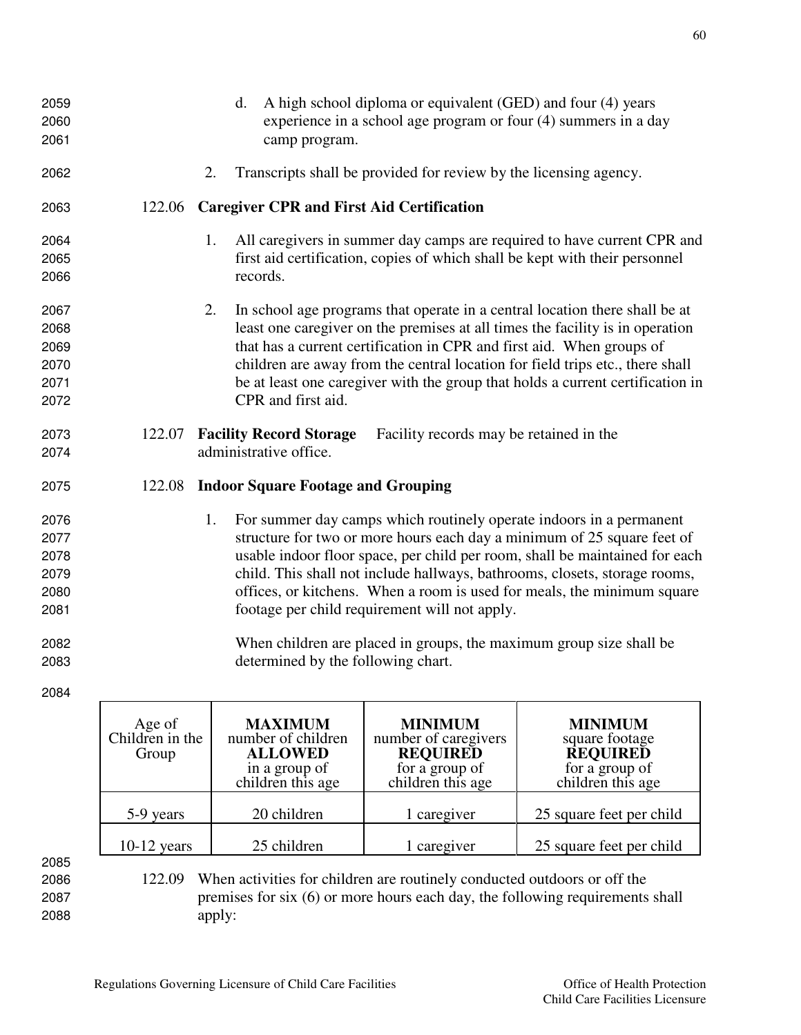experience in a school age program or four (4) summers in a day camp program. 2. Transcripts shall be provided for review by the licensing agency. 122.06 **Caregiver CPR and First Aid Certification**  1. All caregivers in summer day camps are required to have current CPR and first aid certification, copies of which shall be kept with their personnel records. 2. In school age programs that operate in a central location there shall be at least one caregiver on the premises at all times the facility is in operation that has a current certification in CPR and first aid. When groups of children are away from the central location for field trips etc., there shall be at least one caregiver with the group that holds a current certification in CPR and first aid. 122.07 **Facility Record Storage** Facility records may be retained in the administrative office. 122.08 **Indoor Square Footage and Grouping**  1. For summer day camps which routinely operate indoors in a permanent structure for two or more hours each day a minimum of 25 square feet of usable indoor floor space, per child per room, shall be maintained for each child. This shall not include hallways, bathrooms, closets, storage rooms, offices, or kitchens. When a room is used for meals, the minimum square footage per child requirement will not apply. When children are placed in groups, the maximum group size shall be determined by the following chart.

2059 d. A high school diploma or equivalent (GED) and four (4) years

2084

| Age of<br>Children in the<br>Group | <b>MAXIMUM</b><br>number of children<br><b>ALLOWED</b><br>in a group of<br>children this age | <b>MINIMUM</b><br>number of caregivers<br><b>REQUIRED</b><br>for a group of<br>children this age | <b>MINIMUM</b><br>square footage<br><b>REQUIRED</b><br>for a group of<br>children this age |
|------------------------------------|----------------------------------------------------------------------------------------------|--------------------------------------------------------------------------------------------------|--------------------------------------------------------------------------------------------|
| 5-9 years                          | 20 children                                                                                  | 1 caregiver                                                                                      | 25 square feet per child                                                                   |
| $10-12$ years                      | 25 children                                                                                  | 1 caregiver                                                                                      | 25 square feet per child                                                                   |

2085

2086 122.09 When activities for children are routinely conducted outdoors or off the 2087 premises for six (6) or more hours each day, the following requirements shall 2088 apply: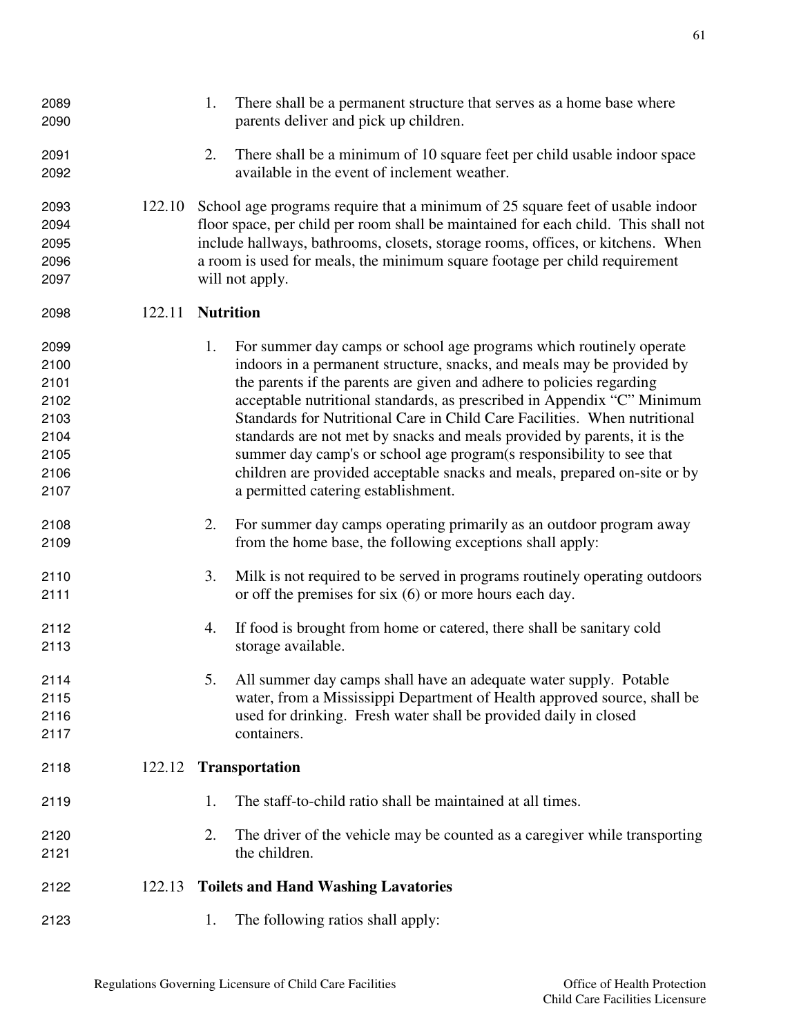| 2089<br>2090 |        | 1. | There shall be a permanent structure that serves as a home base where<br>parents deliver and pick up children.                   |
|--------------|--------|----|----------------------------------------------------------------------------------------------------------------------------------|
| 2091<br>2092 |        | 2. | There shall be a minimum of 10 square feet per child usable indoor space<br>available in the event of inclement weather.         |
| 2093         | 122.10 |    | School age programs require that a minimum of 25 square feet of usable indoor                                                    |
| 2094         |        |    | floor space, per child per room shall be maintained for each child. This shall not                                               |
| 2095         |        |    | include hallways, bathrooms, closets, storage rooms, offices, or kitchens. When                                                  |
| 2096         |        |    | a room is used for meals, the minimum square footage per child requirement                                                       |
| 2097         |        |    | will not apply.                                                                                                                  |
| 2098         | 122.11 |    | <b>Nutrition</b>                                                                                                                 |
| 2099         |        | 1. | For summer day camps or school age programs which routinely operate                                                              |
| 2100         |        |    | indoors in a permanent structure, snacks, and meals may be provided by                                                           |
| 2101         |        |    | the parents if the parents are given and adhere to policies regarding                                                            |
| 2102         |        |    | acceptable nutritional standards, as prescribed in Appendix "C" Minimum                                                          |
| 2103         |        |    | Standards for Nutritional Care in Child Care Facilities. When nutritional                                                        |
| 2104         |        |    | standards are not met by snacks and meals provided by parents, it is the                                                         |
| 2105         |        |    | summer day camp's or school age program(s responsibility to see that                                                             |
| 2106         |        |    | children are provided acceptable snacks and meals, prepared on-site or by                                                        |
| 2107         |        |    | a permitted catering establishment.                                                                                              |
| 2108<br>2109 |        | 2. | For summer day camps operating primarily as an outdoor program away<br>from the home base, the following exceptions shall apply: |
|              |        |    |                                                                                                                                  |
| 2110         |        | 3. | Milk is not required to be served in programs routinely operating outdoors                                                       |
| 2111         |        |    | or off the premises for six $(6)$ or more hours each day.                                                                        |
| 2112         |        | 4. | If food is brought from home or catered, there shall be sanitary cold                                                            |
| 2113         |        |    | storage available.                                                                                                               |
| 2114         |        |    | 5. All summer day camps shall have an adequate water supply. Potable                                                             |
| 2115         |        |    | water, from a Mississippi Department of Health approved source, shall be                                                         |
| 2116         |        |    | used for drinking. Fresh water shall be provided daily in closed                                                                 |
| 2117         |        |    | containers.                                                                                                                      |
| 2118         | 122.12 |    | <b>Transportation</b>                                                                                                            |
| 2119         |        | 1. | The staff-to-child ratio shall be maintained at all times.                                                                       |
| 2120         |        | 2. | The driver of the vehicle may be counted as a caregiver while transporting                                                       |
| 2121         |        |    | the children.                                                                                                                    |
| 2122         | 122.13 |    | <b>Toilets and Hand Washing Lavatories</b>                                                                                       |
| 2123         |        | 1. | The following ratios shall apply:                                                                                                |
|              |        |    |                                                                                                                                  |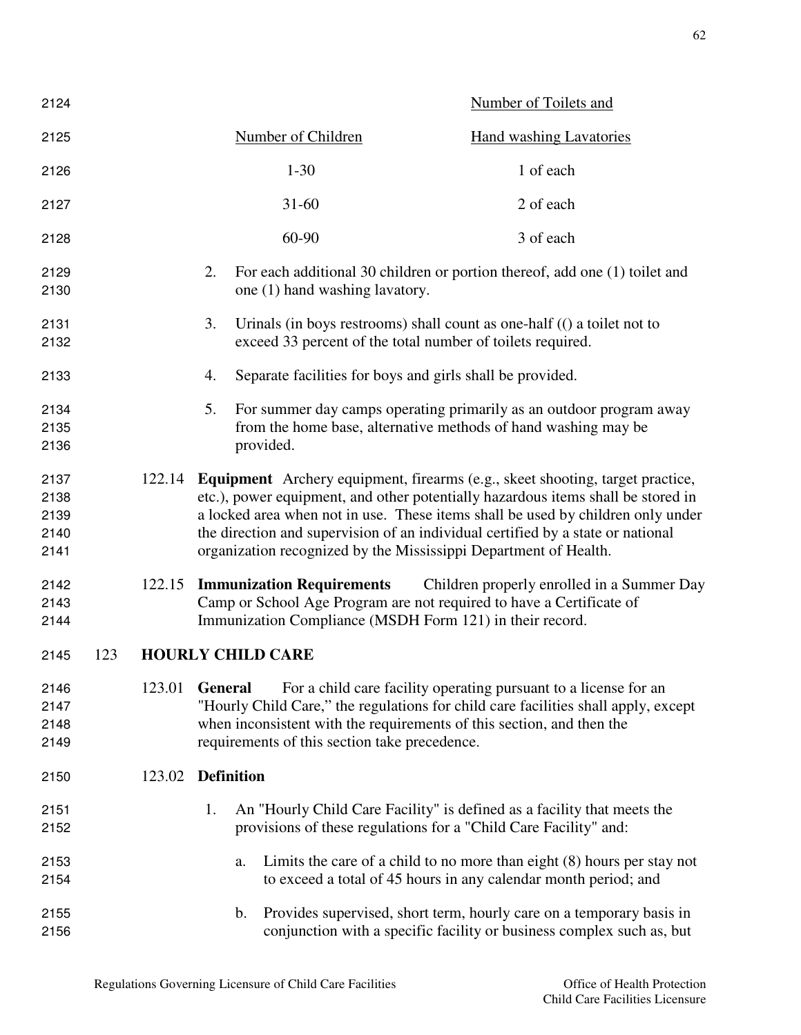| 2124                                 |     |        |                                                                 | Number of Toilets and                                                                                                                                                                                                                                                                                                                                                                                              |
|--------------------------------------|-----|--------|-----------------------------------------------------------------|--------------------------------------------------------------------------------------------------------------------------------------------------------------------------------------------------------------------------------------------------------------------------------------------------------------------------------------------------------------------------------------------------------------------|
| 2125                                 |     |        | Number of Children                                              | <b>Hand washing Lavatories</b>                                                                                                                                                                                                                                                                                                                                                                                     |
| 2126                                 |     |        | $1 - 30$                                                        | 1 of each                                                                                                                                                                                                                                                                                                                                                                                                          |
| 2127                                 |     |        | $31 - 60$                                                       | 2 of each                                                                                                                                                                                                                                                                                                                                                                                                          |
| 2128                                 |     |        | 60-90                                                           | 3 of each                                                                                                                                                                                                                                                                                                                                                                                                          |
| 2129<br>2130                         |     |        | 2.<br>one (1) hand washing lavatory.                            | For each additional 30 children or portion thereof, add one (1) toilet and                                                                                                                                                                                                                                                                                                                                         |
| 2131<br>2132                         |     |        | 3.                                                              | Urinals (in boys restrooms) shall count as one-half $($ ( $)$ a toilet not to<br>exceed 33 percent of the total number of toilets required.                                                                                                                                                                                                                                                                        |
| 2133                                 |     |        | 4.                                                              | Separate facilities for boys and girls shall be provided.                                                                                                                                                                                                                                                                                                                                                          |
| 2134<br>2135<br>2136                 |     |        | 5.<br>provided.                                                 | For summer day camps operating primarily as an outdoor program away<br>from the home base, alternative methods of hand washing may be                                                                                                                                                                                                                                                                              |
| 2137<br>2138<br>2139<br>2140<br>2141 |     |        |                                                                 | 122.14 Equipment Archery equipment, firearms (e.g., skeet shooting, target practice,<br>etc.), power equipment, and other potentially hazardous items shall be stored in<br>a locked area when not in use. These items shall be used by children only under<br>the direction and supervision of an individual certified by a state or national<br>organization recognized by the Mississippi Department of Health. |
| 2142<br>2143<br>2144                 |     | 122.15 | <b>Immunization Requirements</b>                                | Children properly enrolled in a Summer Day<br>Camp or School Age Program are not required to have a Certificate of<br>Immunization Compliance (MSDH Form 121) in their record.                                                                                                                                                                                                                                     |
| 2145                                 | 123 |        | <b>HOURLY CHILD CARE</b>                                        |                                                                                                                                                                                                                                                                                                                                                                                                                    |
| 2146<br>2147<br>2148<br>2149         |     | 123.01 | <b>General</b><br>requirements of this section take precedence. | For a child care facility operating pursuant to a license for an<br>"Hourly Child Care," the regulations for child care facilities shall apply, except<br>when inconsistent with the requirements of this section, and then the                                                                                                                                                                                    |
| 2150                                 |     | 123.02 | <b>Definition</b>                                               |                                                                                                                                                                                                                                                                                                                                                                                                                    |
| 2151<br>2152                         |     |        | 1.                                                              | An "Hourly Child Care Facility" is defined as a facility that meets the<br>provisions of these regulations for a "Child Care Facility" and:                                                                                                                                                                                                                                                                        |
| 2153<br>2154                         |     |        | a.                                                              | Limits the care of a child to no more than eight $(8)$ hours per stay not<br>to exceed a total of 45 hours in any calendar month period; and                                                                                                                                                                                                                                                                       |
| 2155<br>2156                         |     |        | b.                                                              | Provides supervised, short term, hourly care on a temporary basis in<br>conjunction with a specific facility or business complex such as, but                                                                                                                                                                                                                                                                      |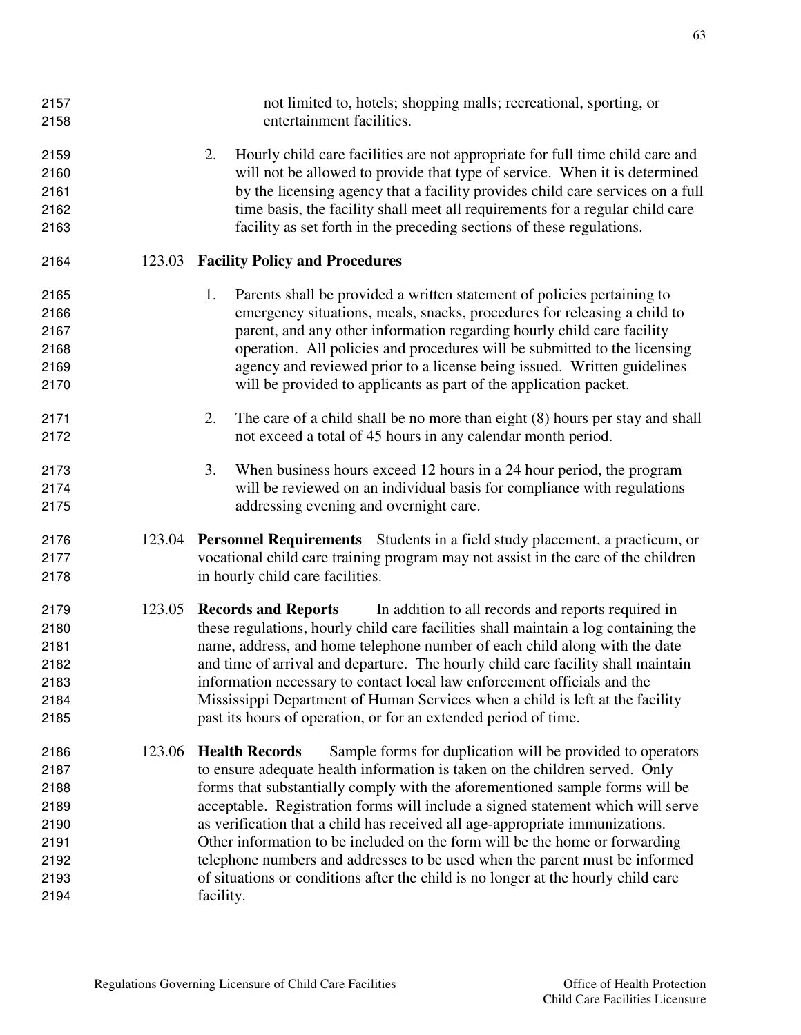| 2157<br>2158 |        | not limited to, hotels; shopping malls; recreational, sporting, or<br>entertainment facilities. |
|--------------|--------|-------------------------------------------------------------------------------------------------|
| 2159         |        | Hourly child care facilities are not appropriate for full time child care and<br>2.             |
| 2160         |        | will not be allowed to provide that type of service. When it is determined                      |
| 2161         |        | by the licensing agency that a facility provides child care services on a full                  |
| 2162         |        | time basis, the facility shall meet all requirements for a regular child care                   |
| 2163         |        | facility as set forth in the preceding sections of these regulations.                           |
| 2164         |        | 123.03 Facility Policy and Procedures                                                           |
| 2165         |        | Parents shall be provided a written statement of policies pertaining to<br>1.                   |
| 2166         |        | emergency situations, meals, snacks, procedures for releasing a child to                        |
| 2167         |        | parent, and any other information regarding hourly child care facility                          |
| 2168         |        | operation. All policies and procedures will be submitted to the licensing                       |
| 2169         |        | agency and reviewed prior to a license being issued. Written guidelines                         |
| 2170         |        | will be provided to applicants as part of the application packet.                               |
| 2171         |        | The care of a child shall be no more than eight (8) hours per stay and shall<br>2.              |
| 2172         |        | not exceed a total of 45 hours in any calendar month period.                                    |
| 2173         |        | When business hours exceed 12 hours in a 24 hour period, the program<br>3.                      |
| 2174         |        | will be reviewed on an individual basis for compliance with regulations                         |
| 2175         |        | addressing evening and overnight care.                                                          |
| 2176         |        | 123.04 Personnel Requirements Students in a field study placement, a practicum, or              |
| 2177         |        | vocational child care training program may not assist in the care of the children               |
| 2178         |        | in hourly child care facilities.                                                                |
| 2179         |        | 123.05 Records and Reports<br>In addition to all records and reports required in                |
| 2180         |        | these regulations, hourly child care facilities shall maintain a log containing the             |
| 2181         |        | name, address, and home telephone number of each child along with the date                      |
| 2182         |        | and time of arrival and departure. The hourly child care facility shall maintain                |
| 2183         |        | information necessary to contact local law enforcement officials and the                        |
| 2184         |        | Mississippi Department of Human Services when a child is left at the facility                   |
| 2185         |        | past its hours of operation, or for an extended period of time.                                 |
| 2186         | 123.06 | <b>Health Records</b><br>Sample forms for duplication will be provided to operators             |
| 2187         |        | to ensure adequate health information is taken on the children served. Only                     |
| 2188         |        | forms that substantially comply with the aforementioned sample forms will be                    |
| 2189         |        | acceptable. Registration forms will include a signed statement which will serve                 |
| 2190         |        | as verification that a child has received all age-appropriate immunizations.                    |
| 2191         |        | Other information to be included on the form will be the home or forwarding                     |
| 2192         |        | telephone numbers and addresses to be used when the parent must be informed                     |
| 2193         |        | of situations or conditions after the child is no longer at the hourly child care               |
| 2194         |        | facility.                                                                                       |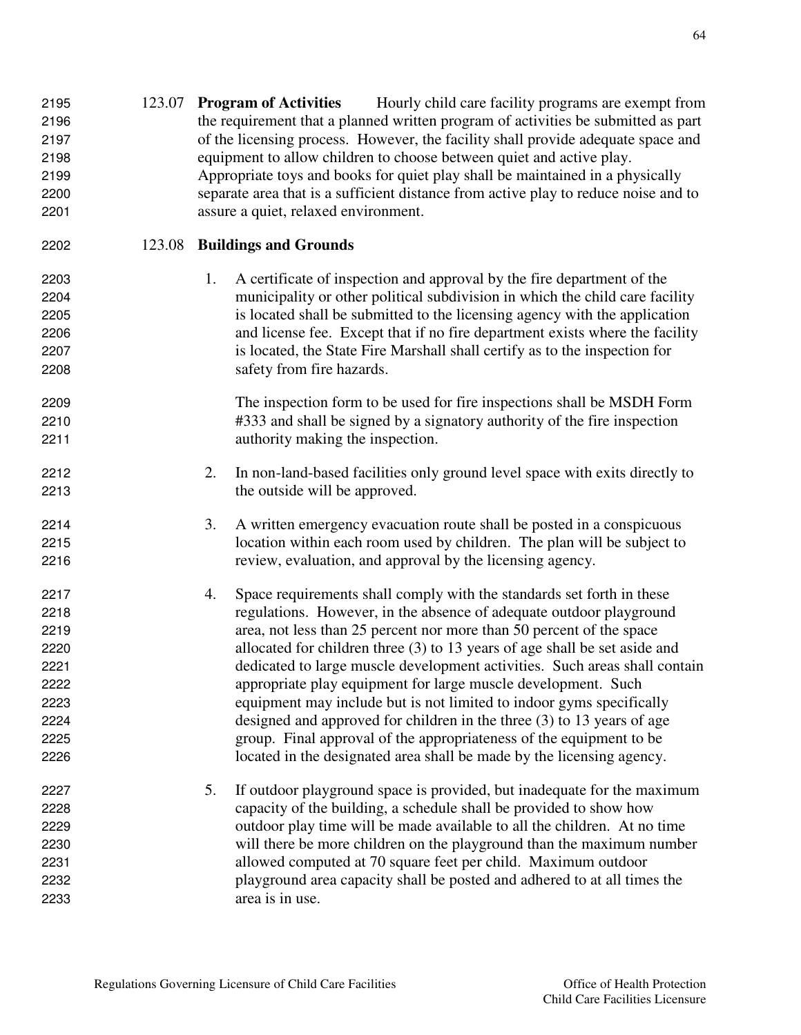| 2196<br>2197<br>2198<br>2199<br>2200<br>2201 |        |    | the requirement that a planned written program of activities be submitted as part<br>of the licensing process. However, the facility shall provide adequate space and<br>equipment to allow children to choose between quiet and active play.<br>Appropriate toys and books for quiet play shall be maintained in a physically<br>separate area that is a sufficient distance from active play to reduce noise and to<br>assure a quiet, relaxed environment. |
|----------------------------------------------|--------|----|---------------------------------------------------------------------------------------------------------------------------------------------------------------------------------------------------------------------------------------------------------------------------------------------------------------------------------------------------------------------------------------------------------------------------------------------------------------|
| 2202                                         | 123.08 |    | <b>Buildings and Grounds</b>                                                                                                                                                                                                                                                                                                                                                                                                                                  |
| 2203                                         |        | 1. | A certificate of inspection and approval by the fire department of the                                                                                                                                                                                                                                                                                                                                                                                        |
| 2204                                         |        |    | municipality or other political subdivision in which the child care facility                                                                                                                                                                                                                                                                                                                                                                                  |
| 2205                                         |        |    | is located shall be submitted to the licensing agency with the application                                                                                                                                                                                                                                                                                                                                                                                    |
| 2206                                         |        |    | and license fee. Except that if no fire department exists where the facility                                                                                                                                                                                                                                                                                                                                                                                  |
| 2207                                         |        |    | is located, the State Fire Marshall shall certify as to the inspection for                                                                                                                                                                                                                                                                                                                                                                                    |
| 2208                                         |        |    | safety from fire hazards.                                                                                                                                                                                                                                                                                                                                                                                                                                     |
| 2209                                         |        |    | The inspection form to be used for fire inspections shall be MSDH Form                                                                                                                                                                                                                                                                                                                                                                                        |
| 2210                                         |        |    | #333 and shall be signed by a signatory authority of the fire inspection                                                                                                                                                                                                                                                                                                                                                                                      |
| 2211                                         |        |    | authority making the inspection.                                                                                                                                                                                                                                                                                                                                                                                                                              |
| 2212                                         |        | 2. | In non-land-based facilities only ground level space with exits directly to                                                                                                                                                                                                                                                                                                                                                                                   |
| 2213                                         |        |    | the outside will be approved.                                                                                                                                                                                                                                                                                                                                                                                                                                 |
| 2214                                         |        | 3. | A written emergency evacuation route shall be posted in a conspicuous                                                                                                                                                                                                                                                                                                                                                                                         |
| 2215                                         |        |    | location within each room used by children. The plan will be subject to                                                                                                                                                                                                                                                                                                                                                                                       |
| 2216                                         |        |    | review, evaluation, and approval by the licensing agency.                                                                                                                                                                                                                                                                                                                                                                                                     |
| 2217                                         |        | 4. | Space requirements shall comply with the standards set forth in these                                                                                                                                                                                                                                                                                                                                                                                         |
| 2218                                         |        |    | regulations. However, in the absence of adequate outdoor playground                                                                                                                                                                                                                                                                                                                                                                                           |
| 2219                                         |        |    | area, not less than 25 percent nor more than 50 percent of the space                                                                                                                                                                                                                                                                                                                                                                                          |
| 2220                                         |        |    | allocated for children three $(3)$ to 13 years of age shall be set aside and                                                                                                                                                                                                                                                                                                                                                                                  |
| 2221                                         |        |    | dedicated to large muscle development activities. Such areas shall contain                                                                                                                                                                                                                                                                                                                                                                                    |
| 2222                                         |        |    | appropriate play equipment for large muscle development. Such                                                                                                                                                                                                                                                                                                                                                                                                 |
| 2223                                         |        |    | equipment may include but is not limited to indoor gyms specifically                                                                                                                                                                                                                                                                                                                                                                                          |
| 2224                                         |        |    | designed and approved for children in the three $(3)$ to 13 years of age                                                                                                                                                                                                                                                                                                                                                                                      |
| 2225                                         |        |    | group. Final approval of the appropriateness of the equipment to be                                                                                                                                                                                                                                                                                                                                                                                           |
| 2226                                         |        |    | located in the designated area shall be made by the licensing agency.                                                                                                                                                                                                                                                                                                                                                                                         |
| 2227                                         |        | 5. | If outdoor playground space is provided, but inadequate for the maximum                                                                                                                                                                                                                                                                                                                                                                                       |
| 2228                                         |        |    | capacity of the building, a schedule shall be provided to show how                                                                                                                                                                                                                                                                                                                                                                                            |
| 2229                                         |        |    | outdoor play time will be made available to all the children. At no time                                                                                                                                                                                                                                                                                                                                                                                      |
| 2230                                         |        |    | will there be more children on the playground than the maximum number                                                                                                                                                                                                                                                                                                                                                                                         |
| 2231                                         |        |    | allowed computed at 70 square feet per child. Maximum outdoor                                                                                                                                                                                                                                                                                                                                                                                                 |
| 2232                                         |        |    | playground area capacity shall be posted and adhered to at all times the                                                                                                                                                                                                                                                                                                                                                                                      |
| 2233                                         |        |    | area is in use.                                                                                                                                                                                                                                                                                                                                                                                                                                               |

123.07 **Program of Activities** Hourly child care facility programs are exempt from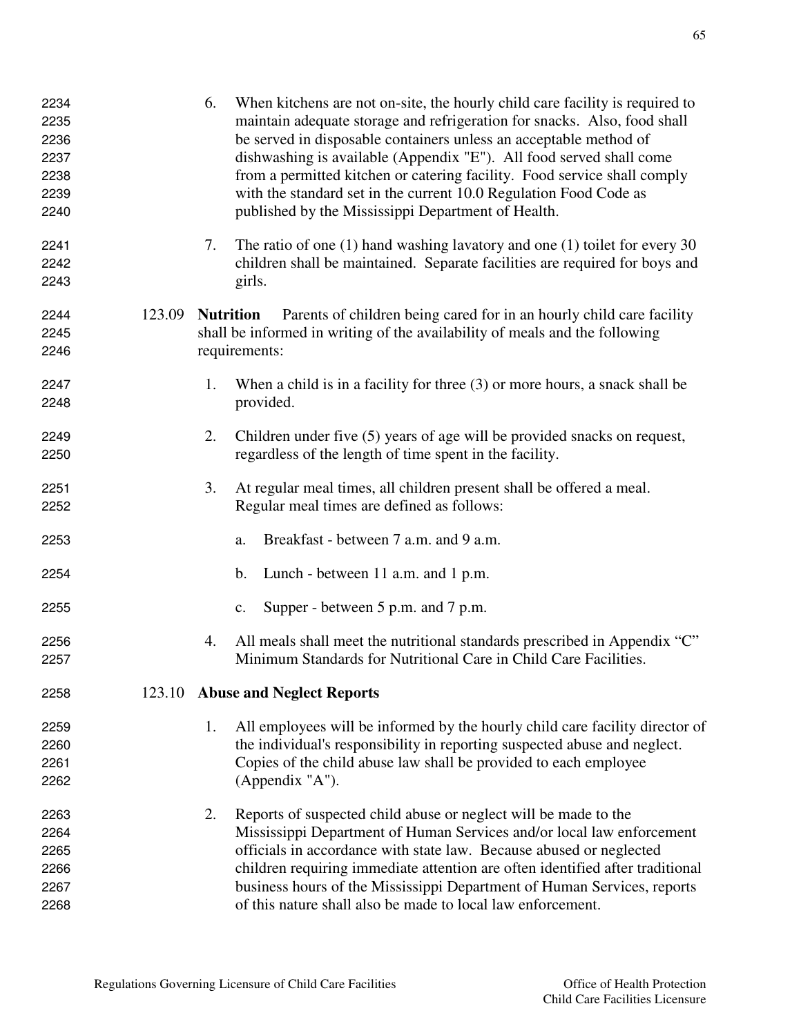| 2234<br>2235<br>2236<br>2237<br>2238<br>2239<br>2240 |        | 6.               | When kitchens are not on-site, the hourly child care facility is required to<br>maintain adequate storage and refrigeration for snacks. Also, food shall<br>be served in disposable containers unless an acceptable method of<br>dishwashing is available (Appendix "E"). All food served shall come<br>from a permitted kitchen or catering facility. Food service shall comply<br>with the standard set in the current 10.0 Regulation Food Code as<br>published by the Mississippi Department of Health. |
|------------------------------------------------------|--------|------------------|-------------------------------------------------------------------------------------------------------------------------------------------------------------------------------------------------------------------------------------------------------------------------------------------------------------------------------------------------------------------------------------------------------------------------------------------------------------------------------------------------------------|
| 2241<br>2242<br>2243                                 |        | 7.               | The ratio of one $(1)$ hand washing lavatory and one $(1)$ toilet for every 30<br>children shall be maintained. Separate facilities are required for boys and<br>girls.                                                                                                                                                                                                                                                                                                                                     |
| 2244<br>2245<br>2246                                 | 123.09 | <b>Nutrition</b> | Parents of children being cared for in an hourly child care facility<br>shall be informed in writing of the availability of meals and the following<br>requirements:                                                                                                                                                                                                                                                                                                                                        |
| 2247<br>2248                                         |        | 1.               | When a child is in a facility for three (3) or more hours, a snack shall be<br>provided.                                                                                                                                                                                                                                                                                                                                                                                                                    |
| 2249<br>2250                                         |        | 2.               | Children under five (5) years of age will be provided snacks on request,<br>regardless of the length of time spent in the facility.                                                                                                                                                                                                                                                                                                                                                                         |
| 2251<br>2252                                         |        | 3.               | At regular meal times, all children present shall be offered a meal.<br>Regular meal times are defined as follows:                                                                                                                                                                                                                                                                                                                                                                                          |
| 2253                                                 |        |                  | Breakfast - between 7 a.m. and 9 a.m.<br>a.                                                                                                                                                                                                                                                                                                                                                                                                                                                                 |
| 2254                                                 |        |                  | b.<br>Lunch - between 11 a.m. and 1 p.m.                                                                                                                                                                                                                                                                                                                                                                                                                                                                    |
| 2255                                                 |        |                  | Supper - between 5 p.m. and 7 p.m.<br>c.                                                                                                                                                                                                                                                                                                                                                                                                                                                                    |
| 2256<br>2257                                         |        | 4.               | All meals shall meet the nutritional standards prescribed in Appendix "C"<br>Minimum Standards for Nutritional Care in Child Care Facilities.                                                                                                                                                                                                                                                                                                                                                               |
| 2258                                                 |        |                  | 123.10 Abuse and Neglect Reports                                                                                                                                                                                                                                                                                                                                                                                                                                                                            |
| 2259<br>2260<br>2261<br>2262                         |        | 1.               | All employees will be informed by the hourly child care facility director of<br>the individual's responsibility in reporting suspected abuse and neglect.<br>Copies of the child abuse law shall be provided to each employee<br>(Appendix "A").                                                                                                                                                                                                                                                            |
| 2263<br>2264<br>2265<br>2266<br>2267<br>2268         |        | 2.               | Reports of suspected child abuse or neglect will be made to the<br>Mississippi Department of Human Services and/or local law enforcement<br>officials in accordance with state law. Because abused or neglected<br>children requiring immediate attention are often identified after traditional<br>business hours of the Mississippi Department of Human Services, reports<br>of this nature shall also be made to local law enforcement.                                                                  |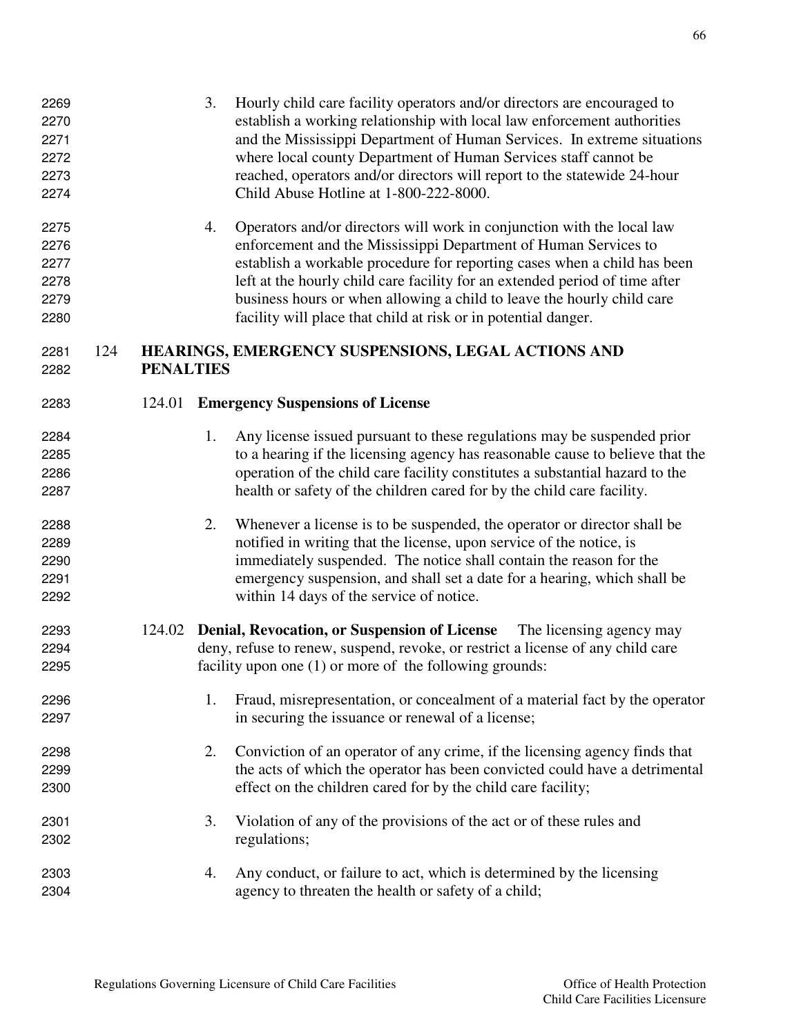| 2276<br>2277<br>2278<br>2279<br>2280 |     |                  |    | enforcement and the Mississippi Department of Human Services to<br>establish a workable procedure for reporting cases when a child has been<br>left at the hourly child care facility for an extended period of time after<br>business hours or when allowing a child to leave the hourly child care<br>facility will place that child at risk or in potential danger. |
|--------------------------------------|-----|------------------|----|------------------------------------------------------------------------------------------------------------------------------------------------------------------------------------------------------------------------------------------------------------------------------------------------------------------------------------------------------------------------|
| 2281<br>2282                         | 124 | <b>PENALTIES</b> |    | HEARINGS, EMERGENCY SUSPENSIONS, LEGAL ACTIONS AND                                                                                                                                                                                                                                                                                                                     |
|                                      |     |                  |    |                                                                                                                                                                                                                                                                                                                                                                        |
| 2283                                 |     | 124.01           |    | <b>Emergency Suspensions of License</b>                                                                                                                                                                                                                                                                                                                                |
| 2284                                 |     |                  | 1. | Any license issued pursuant to these regulations may be suspended prior                                                                                                                                                                                                                                                                                                |
| 2285                                 |     |                  |    | to a hearing if the licensing agency has reasonable cause to believe that the                                                                                                                                                                                                                                                                                          |
| 2286                                 |     |                  |    | operation of the child care facility constitutes a substantial hazard to the                                                                                                                                                                                                                                                                                           |
| 2287                                 |     |                  |    | health or safety of the children cared for by the child care facility.                                                                                                                                                                                                                                                                                                 |
| 2288                                 |     |                  | 2. | Whenever a license is to be suspended, the operator or director shall be                                                                                                                                                                                                                                                                                               |
| 2289                                 |     |                  |    | notified in writing that the license, upon service of the notice, is                                                                                                                                                                                                                                                                                                   |
| 2290                                 |     |                  |    | immediately suspended. The notice shall contain the reason for the                                                                                                                                                                                                                                                                                                     |
| 2291                                 |     |                  |    | emergency suspension, and shall set a date for a hearing, which shall be                                                                                                                                                                                                                                                                                               |
| 2292                                 |     |                  |    | within 14 days of the service of notice.                                                                                                                                                                                                                                                                                                                               |
| 2293                                 |     |                  |    | 124.02 Denial, Revocation, or Suspension of License The licensing agency may                                                                                                                                                                                                                                                                                           |
| 2294                                 |     |                  |    | deny, refuse to renew, suspend, revoke, or restrict a license of any child care                                                                                                                                                                                                                                                                                        |
| 2295                                 |     |                  |    | facility upon one $(1)$ or more of the following grounds:                                                                                                                                                                                                                                                                                                              |
| 2296                                 |     |                  | 1. | Fraud, misrepresentation, or concealment of a material fact by the operator                                                                                                                                                                                                                                                                                            |
| 2297                                 |     |                  |    | in securing the issuance or renewal of a license;                                                                                                                                                                                                                                                                                                                      |
| 2298                                 |     |                  | 2. | Conviction of an operator of any crime, if the licensing agency finds that                                                                                                                                                                                                                                                                                             |
| 2299                                 |     |                  |    | the acts of which the operator has been convicted could have a detrimental                                                                                                                                                                                                                                                                                             |
| 2300                                 |     |                  |    | effect on the children cared for by the child care facility;                                                                                                                                                                                                                                                                                                           |
| 2301                                 |     |                  | 3. | Violation of any of the provisions of the act or of these rules and                                                                                                                                                                                                                                                                                                    |
| 2302                                 |     |                  |    | regulations;                                                                                                                                                                                                                                                                                                                                                           |
| 2303                                 |     |                  | 4. | Any conduct, or failure to act, which is determined by the licensing                                                                                                                                                                                                                                                                                                   |
| 2304                                 |     |                  |    | agency to threaten the health or safety of a child;                                                                                                                                                                                                                                                                                                                    |
|                                      |     |                  |    |                                                                                                                                                                                                                                                                                                                                                                        |

3. Hourly child care facility operators and/or directors are encouraged to establish a working relationship with local law enforcement authorities and the Mississippi Department of Human Services. In extreme situations where local county Department of Human Services staff cannot be reached, operators and/or directors will report to the statewide 24-hour Child Abuse Hotline at 1-800-222-8000.

4. Operators and/or directors will work in conjunction with the local law

Regulations Governing Licensure of Child Care Facilities **Office of Health Protection**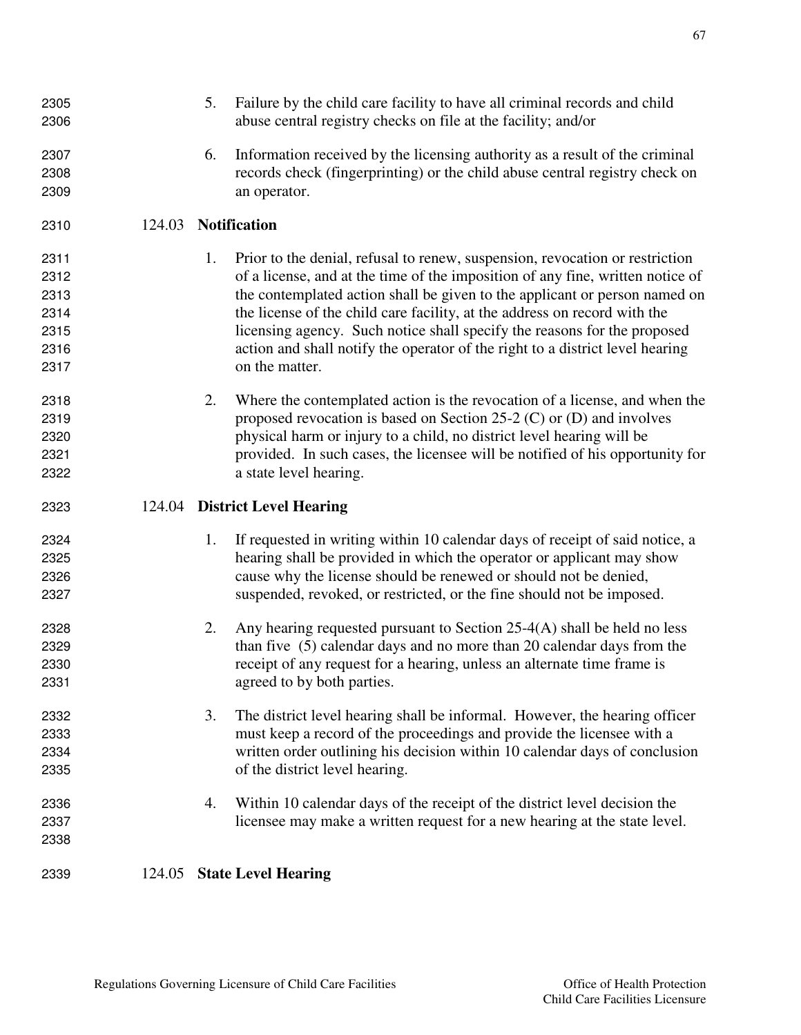| 2305<br>2306 |        | 5. | Failure by the child care facility to have all criminal records and child<br>abuse central registry checks on file at the facility; and/or |
|--------------|--------|----|--------------------------------------------------------------------------------------------------------------------------------------------|
| 2307         |        | 6. | Information received by the licensing authority as a result of the criminal                                                                |
| 2308         |        |    | records check (fingerprinting) or the child abuse central registry check on                                                                |
| 2309         |        |    | an operator.                                                                                                                               |
|              |        |    |                                                                                                                                            |
| 2310         | 124.03 |    | <b>Notification</b>                                                                                                                        |
| 2311         |        | 1. | Prior to the denial, refusal to renew, suspension, revocation or restriction                                                               |
| 2312         |        |    | of a license, and at the time of the imposition of any fine, written notice of                                                             |
| 2313         |        |    | the contemplated action shall be given to the applicant or person named on                                                                 |
| 2314         |        |    | the license of the child care facility, at the address on record with the                                                                  |
| 2315         |        |    | licensing agency. Such notice shall specify the reasons for the proposed                                                                   |
| 2316         |        |    | action and shall notify the operator of the right to a district level hearing                                                              |
| 2317         |        |    | on the matter.                                                                                                                             |
| 2318         |        | 2. | Where the contemplated action is the revocation of a license, and when the                                                                 |
| 2319         |        |    | proposed revocation is based on Section 25-2 $(C)$ or $(D)$ and involves                                                                   |
| 2320         |        |    | physical harm or injury to a child, no district level hearing will be                                                                      |
| 2321         |        |    | provided. In such cases, the licensee will be notified of his opportunity for                                                              |
| 2322         |        |    | a state level hearing.                                                                                                                     |
|              |        |    |                                                                                                                                            |
| 2323         | 124.04 |    | <b>District Level Hearing</b>                                                                                                              |
| 2324         |        | 1. | If requested in writing within 10 calendar days of receipt of said notice, a                                                               |
| 2325         |        |    | hearing shall be provided in which the operator or applicant may show                                                                      |
| 2326         |        |    | cause why the license should be renewed or should not be denied,                                                                           |
| 2327         |        |    | suspended, revoked, or restricted, or the fine should not be imposed.                                                                      |
| 2328         |        | 2. | Any hearing requested pursuant to Section $25-4(A)$ shall be held no less                                                                  |
| 2329         |        |    | than five (5) calendar days and no more than 20 calendar days from the                                                                     |
| 2330         |        |    | receipt of any request for a hearing, unless an alternate time frame is                                                                    |
| 2331         |        |    | agreed to by both parties.                                                                                                                 |
| 2332         |        | 3. | The district level hearing shall be informal. However, the hearing officer                                                                 |
| 2333         |        |    |                                                                                                                                            |
| 2334         |        |    | must keep a record of the proceedings and provide the licensee with a                                                                      |
| 2335         |        |    | written order outlining his decision within 10 calendar days of conclusion<br>of the district level hearing.                               |
| 2336         |        | 4. | Within 10 calendar days of the receipt of the district level decision the                                                                  |
| 2337         |        |    | licensee may make a written request for a new hearing at the state level.                                                                  |
| 2338         |        |    |                                                                                                                                            |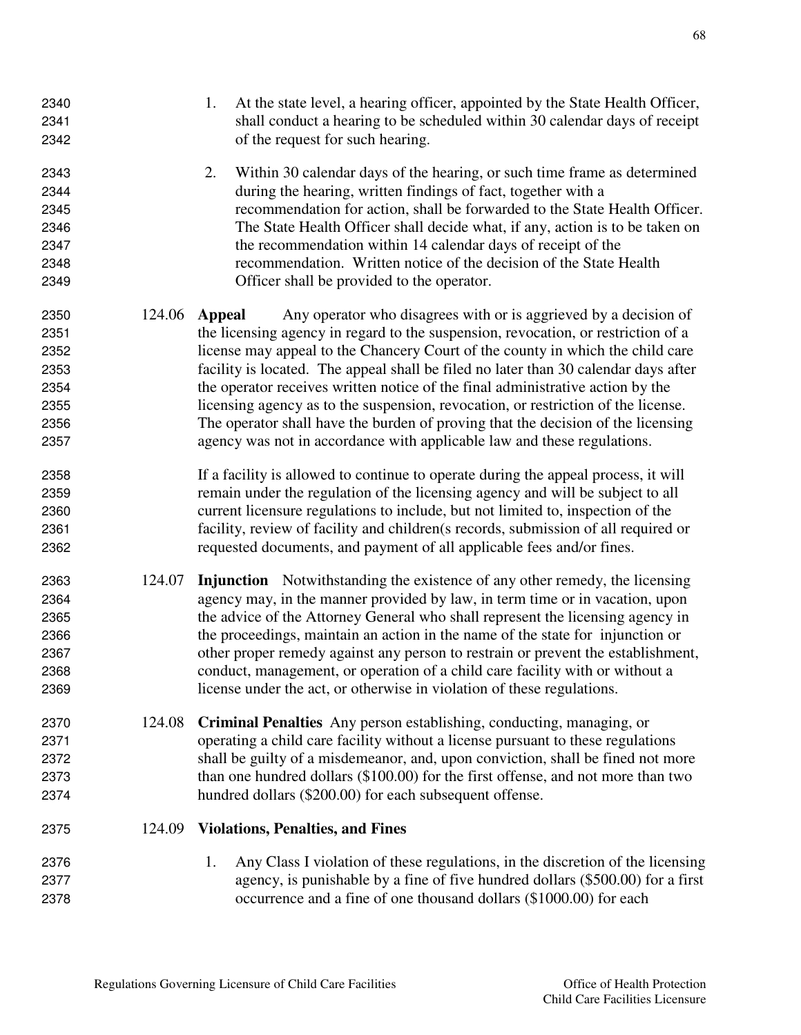| 2340<br>2341<br>2342                                         |        | At the state level, a hearing officer, appointed by the State Health Officer,<br>1.<br>shall conduct a hearing to be scheduled within 30 calendar days of receipt<br>of the request for such hearing.                                                                                                                                                                                                                                                                                                                                                                                                                                                                                 |
|--------------------------------------------------------------|--------|---------------------------------------------------------------------------------------------------------------------------------------------------------------------------------------------------------------------------------------------------------------------------------------------------------------------------------------------------------------------------------------------------------------------------------------------------------------------------------------------------------------------------------------------------------------------------------------------------------------------------------------------------------------------------------------|
| 2343<br>2344<br>2345<br>2346<br>2347<br>2348<br>2349         |        | 2.<br>Within 30 calendar days of the hearing, or such time frame as determined<br>during the hearing, written findings of fact, together with a<br>recommendation for action, shall be forwarded to the State Health Officer.<br>The State Health Officer shall decide what, if any, action is to be taken on<br>the recommendation within 14 calendar days of receipt of the<br>recommendation. Written notice of the decision of the State Health<br>Officer shall be provided to the operator.                                                                                                                                                                                     |
| 2350<br>2351<br>2352<br>2353<br>2354<br>2355<br>2356<br>2357 | 124.06 | Any operator who disagrees with or is aggrieved by a decision of<br><b>Appeal</b><br>the licensing agency in regard to the suspension, revocation, or restriction of a<br>license may appeal to the Chancery Court of the county in which the child care<br>facility is located. The appeal shall be filed no later than 30 calendar days after<br>the operator receives written notice of the final administrative action by the<br>licensing agency as to the suspension, revocation, or restriction of the license.<br>The operator shall have the burden of proving that the decision of the licensing<br>agency was not in accordance with applicable law and these regulations. |
| 2358<br>2359<br>2360<br>2361<br>2362                         |        | If a facility is allowed to continue to operate during the appeal process, it will<br>remain under the regulation of the licensing agency and will be subject to all<br>current licensure regulations to include, but not limited to, inspection of the<br>facility, review of facility and children(s records, submission of all required or<br>requested documents, and payment of all applicable fees and/or fines.                                                                                                                                                                                                                                                                |
| 2363<br>2364<br>2365<br>2366<br>2367<br>2368<br>2369         | 124.07 | Injunction Notwithstanding the existence of any other remedy, the licensing<br>agency may, in the manner provided by law, in term time or in vacation, upon<br>the advice of the Attorney General who shall represent the licensing agency in<br>the proceedings, maintain an action in the name of the state for injunction or<br>other proper remedy against any person to restrain or prevent the establishment,<br>conduct, management, or operation of a child care facility with or without a<br>license under the act, or otherwise in violation of these regulations.                                                                                                         |
| 2370<br>2371<br>2372<br>2373<br>2374                         | 124.08 | <b>Criminal Penalties</b> Any person establishing, conducting, managing, or<br>operating a child care facility without a license pursuant to these regulations<br>shall be guilty of a misdemeanor, and, upon conviction, shall be fined not more<br>than one hundred dollars (\$100.00) for the first offense, and not more than two<br>hundred dollars (\$200.00) for each subsequent offense.                                                                                                                                                                                                                                                                                      |
| 2375                                                         | 124.09 | <b>Violations, Penalties, and Fines</b>                                                                                                                                                                                                                                                                                                                                                                                                                                                                                                                                                                                                                                               |
| 2376<br>2377<br>2378                                         |        | Any Class I violation of these regulations, in the discretion of the licensing<br>1.<br>agency, is punishable by a fine of five hundred dollars (\$500.00) for a first<br>occurrence and a fine of one thousand dollars (\$1000.00) for each                                                                                                                                                                                                                                                                                                                                                                                                                                          |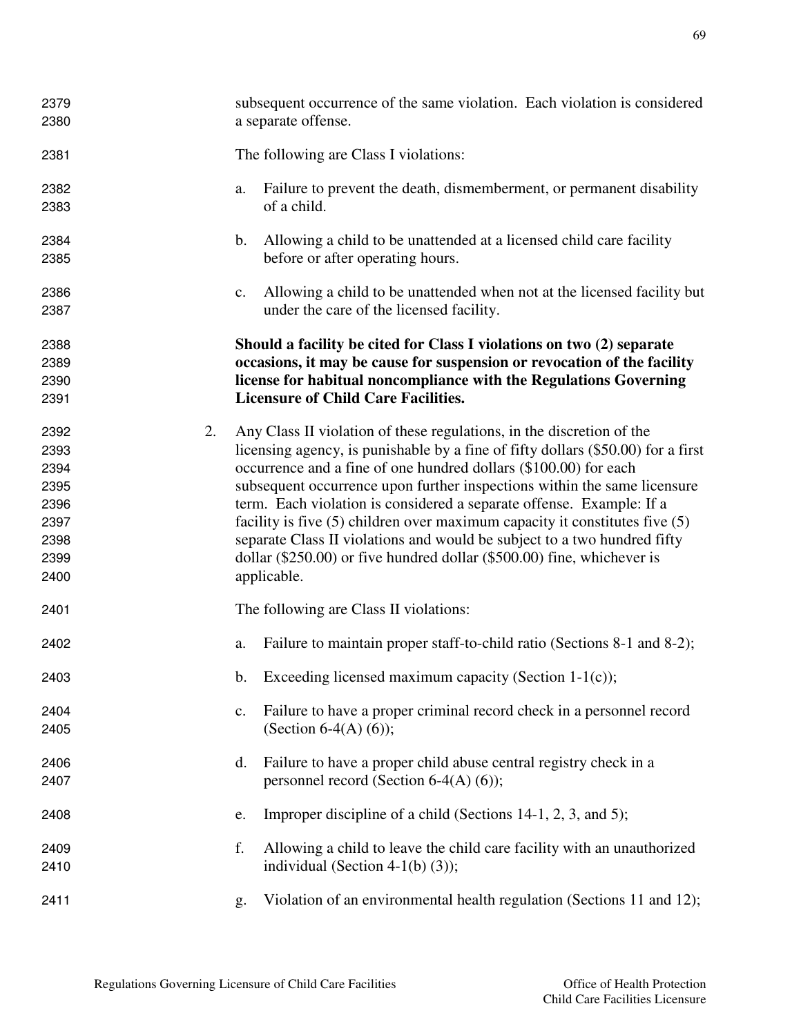| 2379<br>2380                                                         |               | subsequent occurrence of the same violation. Each violation is considered<br>a separate offense.                                                                                                                                                                                                                                                                                                                                                                                                                                                                                                                                          |  |  |
|----------------------------------------------------------------------|---------------|-------------------------------------------------------------------------------------------------------------------------------------------------------------------------------------------------------------------------------------------------------------------------------------------------------------------------------------------------------------------------------------------------------------------------------------------------------------------------------------------------------------------------------------------------------------------------------------------------------------------------------------------|--|--|
| 2381                                                                 |               | The following are Class I violations:                                                                                                                                                                                                                                                                                                                                                                                                                                                                                                                                                                                                     |  |  |
| 2382<br>2383                                                         | a.            | Failure to prevent the death, dismemberment, or permanent disability<br>of a child.                                                                                                                                                                                                                                                                                                                                                                                                                                                                                                                                                       |  |  |
| 2384<br>2385                                                         | $\mathbf b$ . | Allowing a child to be unattended at a licensed child care facility<br>before or after operating hours.                                                                                                                                                                                                                                                                                                                                                                                                                                                                                                                                   |  |  |
| 2386<br>2387                                                         | $C_{\bullet}$ | Allowing a child to be unattended when not at the licensed facility but<br>under the care of the licensed facility.                                                                                                                                                                                                                                                                                                                                                                                                                                                                                                                       |  |  |
| 2388<br>2389<br>2390<br>2391                                         |               | Should a facility be cited for Class I violations on two (2) separate<br>occasions, it may be cause for suspension or revocation of the facility<br>license for habitual noncompliance with the Regulations Governing<br><b>Licensure of Child Care Facilities.</b>                                                                                                                                                                                                                                                                                                                                                                       |  |  |
| 2392<br>2393<br>2394<br>2395<br>2396<br>2397<br>2398<br>2399<br>2400 | 2.            | Any Class II violation of these regulations, in the discretion of the<br>licensing agency, is punishable by a fine of fifty dollars (\$50.00) for a first<br>occurrence and a fine of one hundred dollars (\$100.00) for each<br>subsequent occurrence upon further inspections within the same licensure<br>term. Each violation is considered a separate offense. Example: If a<br>facility is five $(5)$ children over maximum capacity it constitutes five $(5)$<br>separate Class II violations and would be subject to a two hundred fifty<br>dollar (\$250.00) or five hundred dollar (\$500.00) fine, whichever is<br>applicable. |  |  |
| 2401                                                                 |               | The following are Class II violations:                                                                                                                                                                                                                                                                                                                                                                                                                                                                                                                                                                                                    |  |  |
| 2402                                                                 | a.            | Failure to maintain proper staff-to-child ratio (Sections 8-1 and 8-2);                                                                                                                                                                                                                                                                                                                                                                                                                                                                                                                                                                   |  |  |
| 2403                                                                 |               | b. Exceeding licensed maximum capacity (Section $1-1(c)$ );                                                                                                                                                                                                                                                                                                                                                                                                                                                                                                                                                                               |  |  |
| 2404<br>2405                                                         | c.            | Failure to have a proper criminal record check in a personnel record<br>(Section 6-4(A) $(6)$ );                                                                                                                                                                                                                                                                                                                                                                                                                                                                                                                                          |  |  |
| 2406<br>2407                                                         | d.            | Failure to have a proper child abuse central registry check in a<br>personnel record (Section 6-4(A) $(6)$ );                                                                                                                                                                                                                                                                                                                                                                                                                                                                                                                             |  |  |
| 2408                                                                 | e.            | Improper discipline of a child (Sections 14-1, 2, 3, and 5);                                                                                                                                                                                                                                                                                                                                                                                                                                                                                                                                                                              |  |  |
| 2409<br>2410                                                         | f.            | Allowing a child to leave the child care facility with an unauthorized<br>individual (Section 4-1(b) $(3)$ );                                                                                                                                                                                                                                                                                                                                                                                                                                                                                                                             |  |  |
| 2411                                                                 | g.            | Violation of an environmental health regulation (Sections 11 and 12);                                                                                                                                                                                                                                                                                                                                                                                                                                                                                                                                                                     |  |  |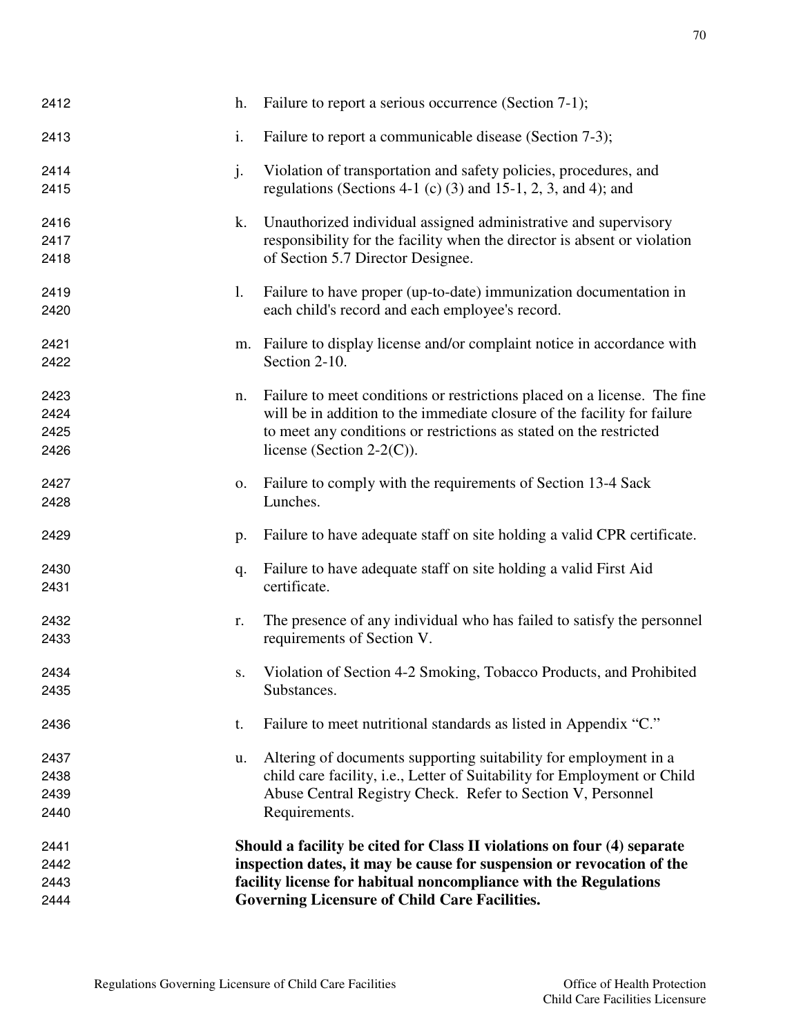| 2443<br>2444 |    | facility license for habitual noncompliance with the Regulations<br><b>Governing Licensure of Child Care Facilities.</b>                     |
|--------------|----|----------------------------------------------------------------------------------------------------------------------------------------------|
| 2442         |    | inspection dates, it may be cause for suspension or revocation of the                                                                        |
| 2441         |    | Should a facility be cited for Class II violations on four (4) separate                                                                      |
|              |    |                                                                                                                                              |
| 2440         |    | Requirements.                                                                                                                                |
| 2439         |    | Abuse Central Registry Check. Refer to Section V, Personnel                                                                                  |
| 2437<br>2438 | u. | Altering of documents supporting suitability for employment in a<br>child care facility, i.e., Letter of Suitability for Employment or Child |
| 2436         | t. | Failure to meet nutritional standards as listed in Appendix "C."                                                                             |
| 2434<br>2435 | S. | Violation of Section 4-2 Smoking, Tobacco Products, and Prohibited<br>Substances.                                                            |
|              |    |                                                                                                                                              |
| 2432<br>2433 | r. | The presence of any individual who has failed to satisfy the personnel<br>requirements of Section V.                                         |
| 2430<br>2431 | q. | Failure to have adequate staff on site holding a valid First Aid<br>certificate.                                                             |
| 2429         | p. | Failure to have adequate staff on site holding a valid CPR certificate.                                                                      |
| 2427<br>2428 | 0. | Failure to comply with the requirements of Section 13-4 Sack<br>Lunches.                                                                     |
| 2425<br>2426 |    | to meet any conditions or restrictions as stated on the restricted<br>license (Section 2-2 $(C)$ ).                                          |
| 2424         |    | will be in addition to the immediate closure of the facility for failure                                                                     |
| 2423         | n. | Failure to meet conditions or restrictions placed on a license. The fine                                                                     |
| 2421<br>2422 | m. | Failure to display license and/or complaint notice in accordance with<br>Section 2-10.                                                       |
| 2420         |    | each child's record and each employee's record.                                                                                              |
| 2419         | 1. | Failure to have proper (up-to-date) immunization documentation in                                                                            |
| 2418         |    | of Section 5.7 Director Designee.                                                                                                            |
| 2417         |    | responsibility for the facility when the director is absent or violation                                                                     |
| 2416         | k. | Unauthorized individual assigned administrative and supervisory                                                                              |
| 2414<br>2415 | j. | Violation of transportation and safety policies, procedures, and<br>regulations (Sections 4-1 (c) (3) and 15-1, 2, 3, and 4); and            |
| 2413         | i. | Failure to report a communicable disease (Section 7-3);                                                                                      |
| 2412         | h. | Failure to report a serious occurrence (Section 7-1);                                                                                        |
|              |    |                                                                                                                                              |